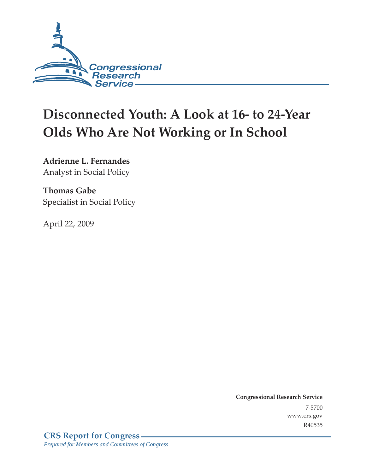

# **Disconnected Youth: A Look at 16- to 24-Year Olds Who Are Not Working or In School**

**Adrienne L. Fernandes**  Analyst in Social Policy

**Thomas Gabe**  Specialist in Social Policy

April 22, 2009

**Congressional Research Service** 7-5700 www.crs.gov R40535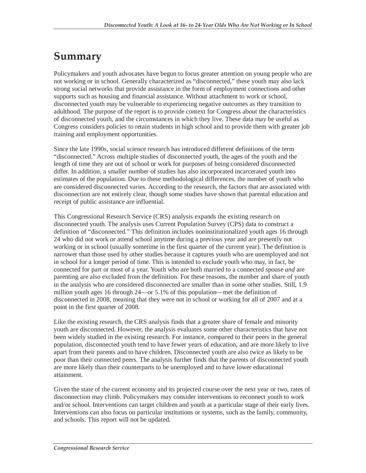## **Summary**

Policymakers and youth advocates have begun to focus greater attention on young people who are not working or in school. Generally characterized as "disconnected," these youth may also lack strong social networks that provide assistance in the form of employment connections and other supports such as housing and financial assistance. Without attachment to work or school, disconnected youth may be vulnerable to experiencing negative outcomes as they transition to adulthood. The purpose of the report is to provide context for Congress about the characteristics of disconnected youth, and the circumstances in which they live. These data may be useful as Congress considers policies to retain students in high school and to provide them with greater job training and employment opportunities.

Since the late 1990s, social science research has introduced different definitions of the term "disconnected." Across multiple studies of disconnected youth, the ages of the youth and the length of time they are out of school or work for purposes of being considered disconnected differ. In addition, a smaller number of studies has also incorporated incarcerated youth into estimates of the population. Due to these methodological differences, the number of youth who are considered disconnected varies. According to the research, the factors that are associated with disconnection are not entirely clear, though some studies have shown that parental education and receipt of public assistance are influential.

This Congressional Research Service (CRS) analysis expands the existing research on disconnected youth. The analysis uses Current Population Survey (CPS) data to construct a definition of "disconnected." This definition includes noninstitutionalized youth ages 16 through 24 who did not work or attend school anytime during a previous year and are presently not working or in school (usually sometime in the first quarter of the current year). The definition is narrower than those used by other studies because it captures youth who are unemployed and not in school for a longer period of time. This is intended to exclude youth who may, in fact, be connected for part or most of a year. Youth who are both married to a connected spouse *and* are parenting are also excluded from the definition. For these reasons, the number and share of youth in the analysis who are considered disconnected are smaller than in some other studies. Still, 1.9 million youth ages 16 through 24—or 5.1% of this population—met the definition of disconnected in 2008, meaning that they were not in school or working for all of 2007 and at a point in the first quarter of 2008.

Like the existing research, the CRS analysis finds that a greater share of female and minority youth are disconnected. However, the analysis evaluates some other characteristics that have not been widely studied in the existing research. For instance, compared to their peers in the general population, disconnected youth tend to have fewer years of education, and are more likely to live apart from their parents and to have children. Disconnected youth are also twice as likely to be poor than their connected peers. The analysis further finds that the parents of disconnected youth are more likely than their counterparts to be unemployed and to have lower educational attainment.

Given the state of the current economy and its projected course over the next year or two, rates of disconnection may climb. Policymakers may consider interventions to reconnect youth to work and/or school. Interventions can target children and youth at a particular stage of their early lives. Interventions can also focus on particular institutions or systems, such as the family, community, and schools. This report will not be updated.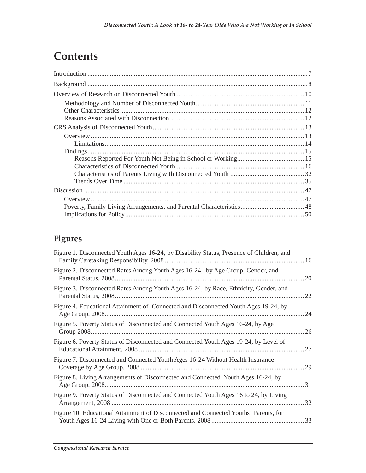## **Contents**

## **Figures**

| Figure 1. Disconnected Youth Ages 16-24, by Disability Status, Presence of Children, and |      |
|------------------------------------------------------------------------------------------|------|
| Figure 2. Disconnected Rates Among Youth Ages 16-24, by Age Group, Gender, and           | 20   |
| Figure 3. Disconnected Rates Among Youth Ages 16-24, by Race, Ethnicity, Gender, and     | 22   |
| Figure 4. Educational Attainment of Connected and Disconnected Youth Ages 19-24, by      | 24   |
| Figure 5. Poverty Status of Disconnected and Connected Youth Ages 16-24, by Age          | 26   |
| Figure 6. Poverty Status of Disconnected and Connected Youth Ages 19-24, by Level of     | 27   |
| Figure 7. Disconnected and Connected Youth Ages 16-24 Without Health Insurance           | 29   |
| Figure 8. Living Arrangements of Disconnected and Connected Youth Ages 16-24, by         | . 31 |
| Figure 9. Poverty Status of Disconnected and Connected Youth Ages 16 to 24, by Living    |      |
| Figure 10. Educational Attainment of Disconnected and Connected Youths' Parents, for     |      |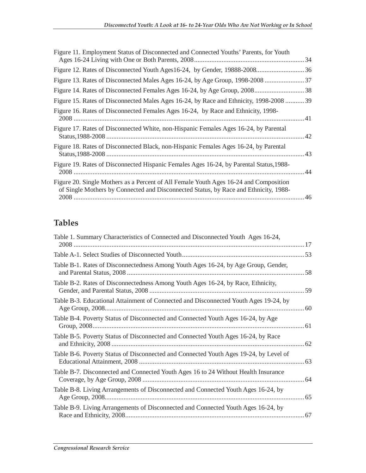| Figure 11. Employment Status of Disconnected and Connected Youths' Parents, for Youth                                                                                         |  |
|-------------------------------------------------------------------------------------------------------------------------------------------------------------------------------|--|
|                                                                                                                                                                               |  |
|                                                                                                                                                                               |  |
|                                                                                                                                                                               |  |
| Figure 15. Rates of Disconnected Males Ages 16-24, by Race and Ethnicity, 1998-2008  39                                                                                       |  |
| Figure 16. Rates of Disconnected Females Ages 16-24, by Race and Ethnicity, 1998-                                                                                             |  |
| Figure 17. Rates of Disconnected White, non-Hispanic Females Ages 16-24, by Parental                                                                                          |  |
| Figure 18. Rates of Disconnected Black, non-Hispanic Females Ages 16-24, by Parental                                                                                          |  |
| Figure 19. Rates of Disconnected Hispanic Females Ages 16-24, by Parental Status, 1988–                                                                                       |  |
| Figure 20. Single Mothers as a Percent of All Female Youth Ages 16-24 and Composition<br>of Single Mothers by Connected and Disconnected Status, by Race and Ethnicity, 1988- |  |

## **Tables**

| Table 1. Summary Characteristics of Connected and Disconnected Youth Ages 16-24,      |    |
|---------------------------------------------------------------------------------------|----|
|                                                                                       |    |
| Table B-1. Rates of Disconnectedness Among Youth Ages 16-24, by Age Group, Gender,    |    |
| Table B-2. Rates of Disconnectedness Among Youth Ages 16-24, by Race, Ethnicity,      |    |
| Table B-3. Educational Attainment of Connected and Disconnected Youth Ages 19-24, by  |    |
| Table B-4. Poverty Status of Disconnected and Connected Youth Ages 16-24, by Age      |    |
| Table B-5. Poverty Status of Disconnected and Connected Youth Ages 16-24, by Race     | 62 |
| Table B-6. Poverty Status of Disconnected and Connected Youth Ages 19-24, by Level of |    |
| Table B-7. Disconnected and Connected Youth Ages 16 to 24 Without Health Insurance    |    |
| Table B-8. Living Arrangements of Disconnected and Connected Youth Ages 16-24, by     |    |
| Table B-9. Living Arrangements of Disconnected and Connected Youth Ages 16-24, by     |    |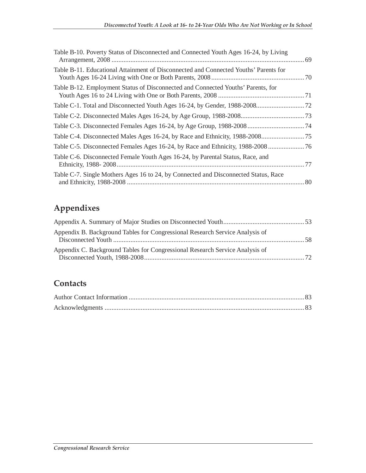| Table B-10. Poverty Status of Disconnected and Connected Youth Ages 16-24, by Living |  |
|--------------------------------------------------------------------------------------|--|
| Table B-11. Educational Attainment of Disconnected and Connected Youths' Parents for |  |
| Table B-12. Employment Status of Disconnected and Connected Youths' Parents, for     |  |
|                                                                                      |  |
|                                                                                      |  |
|                                                                                      |  |
|                                                                                      |  |
|                                                                                      |  |
| Table C-6. Disconnected Female Youth Ages 16-24, by Parental Status, Race, and       |  |
| Table C-7. Single Mothers Ages 16 to 24, by Connected and Disconnected Status, Race  |  |
|                                                                                      |  |

## **Appendixes**

| Appendix B. Background Tables for Congressional Research Service Analysis of |  |
|------------------------------------------------------------------------------|--|
| Appendix C. Background Tables for Congressional Research Service Analysis of |  |

### **Contacts**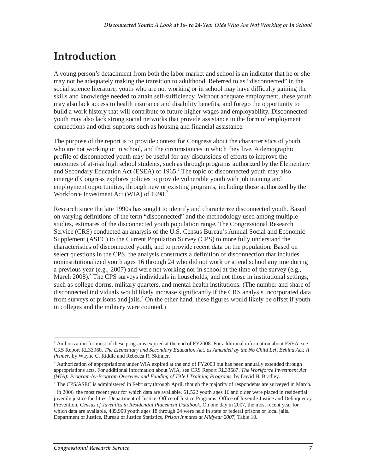## **Introduction**

A young person's detachment from both the labor market and school is an indicator that he or she may not be adequately making the transition to adulthood. Referred to as "disconnected" in the social science literature, youth who are not working or in school may have difficulty gaining the skills and knowledge needed to attain self-sufficiency. Without adequate employment, these youth may also lack access to health insurance and disability benefits, and forego the opportunity to build a work history that will contribute to future higher wages and employability. Disconnected youth may also lack strong social networks that provide assistance in the form of employment connections and other supports such as housing and financial assistance.

The purpose of the report is to provide context for Congress about the characteristics of youth who are not working or in school, and the circumstances in which they live. A demographic profile of disconnected youth may be useful for any discussions of efforts to improve the outcomes of at-risk high school students, such as through programs authorized by the Elementary and Secondary Education Act (ESEA) of  $1965$ .<sup>1</sup> The topic of disconnected youth may also emerge if Congress explores policies to provide vulnerable youth with job training and employment opportunities, through new or existing programs, including those authorized by the Workforce Investment Act (WIA) of 1998.<sup>2</sup>

Research since the late 1990s has sought to identify and characterize disconnected youth. Based on varying definitions of the term "disconnected" and the methodology used among multiple studies, estimates of the disconnected youth population range. The Congressional Research Service (CRS) conducted an analysis of the U.S. Census Bureau's Annual Social and Economic Supplement (ASEC) to the Current Population Survey (CPS) to more fully understand the characteristics of disconnected youth, and to provide recent data on the population. Based on select questions in the CPS, the analysis constructs a definition of disconnection that includes noninstitutionalized youth ages 16 through 24 who did not work or attend school anytime during a previous year (e.g., 2007) and were not working nor in school at the time of the survey (e.g., March 2008).<sup>3</sup> The CPS surveys individuals in households, and not those in institutional settings, such as college dorms, military quarters, and mental health institutions. (The number and share of disconnected individuals would likely increase significantly if the CRS analysis incorporated data from surveys of prisons and jails.<sup>4</sup> On the other hand, these figures would likely be offset if youth in colleges and the military were counted.)

<sup>-</sup><sup>1</sup> Authorization for most of these programs expired at the end of FY2008. For additional information about ESEA, see CRS Report RL33960, *The Elementary and Secondary Education Act, as Amended by the No Child Left Behind Act: A Primer*, by Wayne C. Riddle and Rebecca R. Skinner.

 $2$  Authorization of appropriations under WIA expired at the end of FY2003 but has been annually extended through appropriations acts. For additional information about WIA, see CRS Report RL33687, *The Workforce Investment Act (WIA): Program-by-Program Overview and Funding of Title I Training Programs*, by David H. Bradley.

<sup>&</sup>lt;sup>3</sup> The CPS/ASEC is administered in February through April, though the majority of respondents are surveyed in March.

<sup>&</sup>lt;sup>4</sup> In 2006, the most recent year for which data are available, 61,522 youth ages 16 and older were placed in residential juvenile justice facilities. Department of Justice, Office of Justice Programs, Office of Juvenile Justice and Delinquency Prevention, *Census of Juveniles in Residential Placement Databook*. On one day in 2007, the most recent year for which data are available, 439,900 youth ages 18 through 24 were held in state or federal prisons or local jails. Department of Justice, Bureau of Justice Statistics, *Prison Inmates at Midyear 2007*, Table 10.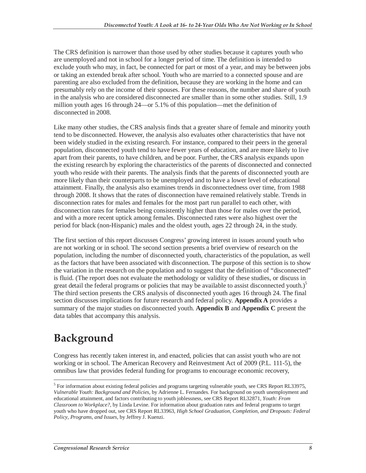The CRS definition is narrower than those used by other studies because it captures youth who are unemployed and not in school for a longer period of time. The definition is intended to exclude youth who may, in fact, be connected for part or most of a year, and may be between jobs or taking an extended break after school. Youth who are married to a connected spouse and are parenting are also excluded from the definition, because they are working in the home and can presumably rely on the income of their spouses. For these reasons, the number and share of youth in the analysis who are considered disconnected are smaller than in some other studies. Still, 1.9 million youth ages 16 through 24—or 5.1% of this population—met the definition of disconnected in 2008.

Like many other studies, the CRS analysis finds that a greater share of female and minority youth tend to be disconnected. However, the analysis also evaluates other characteristics that have not been widely studied in the existing research. For instance, compared to their peers in the general population, disconnected youth tend to have fewer years of education, and are more likely to live apart from their parents, to have children, and be poor. Further, the CRS analysis expands upon the existing research by exploring the characteristics of the parents of disconnected and connected youth who reside with their parents. The analysis finds that the parents of disconnected youth are more likely than their counterparts to be unemployed and to have a lower level of educational attainment. Finally, the analysis also examines trends in disconnectedness over time, from 1988 through 2008. It shows that the rates of disconnection have remained relatively stable. Trends in disconnection rates for males and females for the most part run parallel to each other, with disconnection rates for females being consistently higher than those for males over the period, and with a more recent uptick among females. Disconnected rates were also highest over the period for black (non-Hispanic) males and the oldest youth, ages 22 through 24, in the study.

The first section of this report discusses Congress' growing interest in issues around youth who are not working or in school. The second section presents a brief overview of research on the population, including the number of disconnected youth, characteristics of the population, as well as the factors that have been associated with disconnection. The purpose of this section is to show the variation in the research on the population and to suggest that the definition of "disconnected" is fluid. (The report does not evaluate the methodology or validity of these studies, or discuss in great detail the federal programs or policies that may be available to assist disconnected youth.)<sup>5</sup> The third section presents the CRS analysis of disconnected youth ages 16 through 24. The final section discusses implications for future research and federal policy. **Appendix A** provides a summary of the major studies on disconnected youth. **Appendix B** and **Appendix C** present the data tables that accompany this analysis.

## **Background**

-

Congress has recently taken interest in, and enacted, policies that can assist youth who are not working or in school. The American Recovery and Reinvestment Act of 2009 (P.L. 111-5), the omnibus law that provides federal funding for programs to encourage economic recovery,

<sup>&</sup>lt;sup>5</sup> For information about existing federal policies and programs targeting vulnerable youth, see CRS Report RL33975, *Vulnerable Youth: Background and Policies*, by Adrienne L. Fernandes. For background on youth unemployment and educational attainment, and factors contributing to youth joblessness, see CRS Report RL32871, *Youth: From Classroom to Workplace?*, by Linda Levine. For information about graduation rates and federal programs to target youth who have dropped out, see CRS Report RL33963, *High School Graduation, Completion, and Dropouts: Federal Policy, Programs, and Issues*, by Jeffrey J. Kuenzi.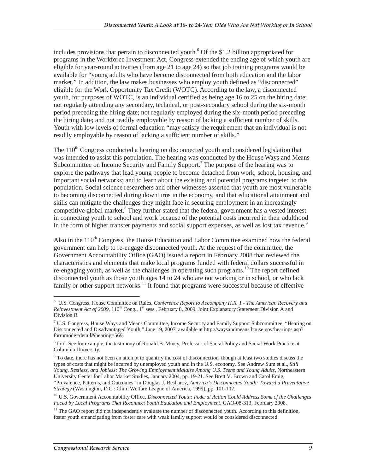includes provisions that pertain to disconnected youth. $6$  Of the \$1.2 billion appropriated for programs in the Workforce Investment Act, Congress extended the ending age of which youth are eligible for year-round activities (from age 21 to age 24) so that job training programs would be available for "young adults who have become disconnected from both education and the labor market." In addition, the law makes businesses who employ youth defined as "disconnected" eligible for the Work Opportunity Tax Credit (WOTC). According to the law, a disconnected youth, for purposes of WOTC, is an individual certified as being age 16 to 25 on the hiring date; not regularly attending any secondary, technical, or post-secondary school during the six-month period preceding the hiring date; not regularly employed during the six-month period preceding the hiring date; and not readily employable by reason of lacking a sufficient number of skills. Youth with low levels of formal education "may satisfy the requirement that an individual is not readily employable by reason of lacking a sufficient number of skills."

The  $110<sup>th</sup>$  Congress conducted a hearing on disconnected youth and considered legislation that was intended to assist this population. The hearing was conducted by the House Ways and Means Subcommittee on Income Security and Family Support.<sup>7</sup> The purpose of the hearing was to explore the pathways that lead young people to become detached from work, school, housing, and important social networks; and to learn about the existing and potential programs targeted to this population. Social science researchers and other witnesses asserted that youth are most vulnerable to becoming disconnected during downturns in the economy, and that educational attainment and skills can mitigate the challenges they might face in securing employment in an increasingly competitive global market.<sup>8</sup> They further stated that the federal government has a vested interest in connecting youth to school and work because of the potential costs incurred in their adulthood in the form of higher transfer payments and social support expenses, as well as lost tax revenue.<sup>9</sup>

Also in the  $110<sup>th</sup>$  Congress, the House Education and Labor Committee examined how the federal government can help to re-engage disconnected youth. At the request of the committee, the Government Accountability Office (GAO) issued a report in February 2008 that reviewed the characteristics and elements that make local programs funded with federal dollars successful in re-engaging youth, as well as the challenges in operating such programs.<sup>10</sup> The report defined disconnected youth as those youth ages 14 to 24 who are not working or in school, or who lack family or other support networks.<sup>11</sup> It found that programs were successful because of effective

 6 U.S. Congress, House Committee on Rules, *Conference Report to Accompany H.R. 1 - The American Recovery and Reinvestment Act of 2009*, 110<sup>th</sup> Cong., 1<sup>st</sup> sess., February 8, 2009, Joint Explanatory Statement Division A and Division B.

<sup>&</sup>lt;sup>7</sup> U.S. Congress, House Ways and Means Committee, Income Security and Family Support Subcommittee, "Hearing on Disconnected and Disadvantaged Youth," June 19, 2007, available at http://waysandmeans.house.gov/hearings.asp? formmode=detail&hearing=569.

<sup>&</sup>lt;sup>8</sup> Ibid. See for example, the testimony of Ronald B. Mincy, Professor of Social Policy and Social Work Practice at Columbia University.

<sup>&</sup>lt;sup>9</sup> To date, there has not been an attempt to quantify the cost of disconnection, though at least two studies discuss the types of costs that might be incurred by unemployed youth and in the U.S. economy. See Andrew Sum et al., *Still Young, Restless, and Jobless: The Growing Employment Malaise Among U.S. Teens and Young Adults*, Northeastern University Center for Labor Market Studies, January 2004, pp. 19-21. See Brett V. Brown and Carol Emig, "Prevalence, Patterns, and Outcomes" in Douglas J. Besharov, *America's Disconnected Youth: Toward a Preventative Strategy* (Washington, D.C.: Child Welfare League of America, 1999), pp. 101-102.

<sup>&</sup>lt;sup>10</sup> U.S. Government Accountability Office, Disconnected Youth: Federal Action Could Address Some of the Challenges *Faced by Local Programs That Reconnect Youth Education and Employment*, GAO-08-313, February 2008.

 $11$  The GAO report did not independently evaluate the number of disconnected youth. According to this definition, foster youth emancipating from foster care with weak family support would be considered disconnected.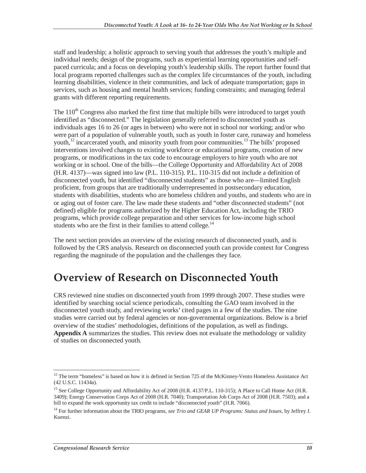staff and leadership; a holistic approach to serving youth that addresses the youth's multiple and individual needs; design of the programs, such as experiential learning opportunities and selfpaced curricula; and a focus on developing youth's leadership skills. The report further found that local programs reported challenges such as the complex life circumstances of the youth, including learning disabilities, violence in their communities, and lack of adequate transportation; gaps in services, such as housing and mental health services; funding constraints; and managing federal grants with different reporting requirements.

The  $110<sup>th</sup>$  Congress also marked the first time that multiple bills were introduced to target youth identified as "disconnected." The legislation generally referred to disconnected youth as individuals ages 16 to 26 (or ages in between) who were not in school nor working; and/or who were part of a population of vulnerable youth, such as youth in foster care, runaway and homeless youth,<sup>12</sup> incarcerated youth, and minority youth from poor communities.<sup>13</sup> The bills' proposed interventions involved changes to existing workforce or educational programs, creation of new programs, or modifications in the tax code to encourage employers to hire youth who are not working or in school. One of the bills—the College Opportunity and Affordability Act of 2008 (H.R. 4137)—was signed into law (P.L. 110-315). P.L. 110-315 did not include a definition of disconnected youth, but identified "disconnected students" as those who are—limited English proficient, from groups that are traditionally underrepresented in postsecondary education, students with disabilities, students who are homeless children and youths, and students who are in or aging out of foster care. The law made these students and "other disconnected students" (not defined) eligible for programs authorized by the Higher Education Act, including the TRIO programs, which provide college preparation and other services for low-income high school students who are the first in their families to attend college. $<sup>14</sup>$ </sup>

The next section provides an overview of the existing research of disconnected youth, and is followed by the CRS analysis. Research on disconnected youth can provide context for Congress regarding the magnitude of the population and the challenges they face.

## **Overview of Research on Disconnected Youth**

CRS reviewed nine studies on disconnected youth from 1999 through 2007. These studies were identified by searching social science periodicals, consulting the GAO team involved in the disconnected youth study, and reviewing works' cited pages in a few of the studies. The nine studies were carried out by federal agencies or non-governmental organizations. Below is a brief overview of the studies' methodologies, definitions of the population, as well as findings. **Appendix A** summarizes the studies. This review does not evaluate the methodology or validity of studies on disconnected youth.

<sup>-</sup> $12$  The term "homeless" is based on how it is defined in Section 725 of the McKinney-Vento Homeless Assistance Act (42 U.S.C. 11434a).

<sup>&</sup>lt;sup>13</sup> See College Opportunity and Affordability Act of 2008 (H.R. 4137/P.L. 110-315); A Place to Call Home Act (H.R. 3409); Energy Conservation Corps Act of 2008 (H.R. 7040); Transportation Job Corps Act of 2008 (H.R. 7503); and a bill to expand the work opportunity tax credit to include "disconnected youth" (H.R. 7066).

<sup>&</sup>lt;sup>14</sup> For further information about the TRIO programs, see Trio and GEAR UP Programs: Status and Issues, by Jeffrey J. Kuenzi.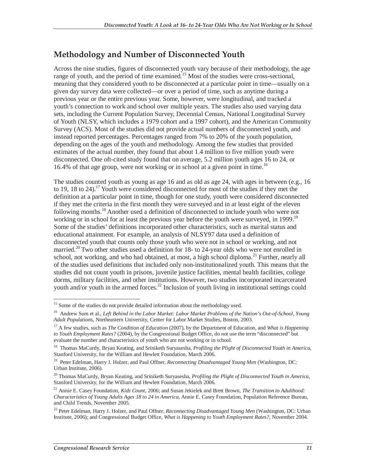### **Methodology and Number of Disconnected Youth**

Across the nine studies, figures of disconnected youth vary because of their methodology, the age range of youth, and the period of time examined.<sup>15</sup> Most of the studies were cross-sectional, meaning that they considered youth to be disconnected at a particular point in time—usually on a given day survey data were collected—or over a period of time, such as anytime during a previous year or the entire previous year. Some, however, were longitudinal, and tracked a youth's connection to work and school over multiple years. The studies also used varying data sets, including the Current Population Survey, Decennial Census, National Longitudinal Survey of Youth (NLSY, which includes a 1979 cohort and a 1997 cohort), and the American Community Survey (ACS). Most of the studies did not provide actual numbers of disconnected youth, and instead reported percentages. Percentages ranged from 7% to 20% of the youth population, depending on the ages of the youth and methodology. Among the few studies that provided estimates of the actual number, they found that about 1.4 million to five million youth were disconnected. One oft-cited study found that on average, 5.2 million youth ages 16 to 24, or 16.4% of that age group, were not working or in school at a given point in time.<sup>16</sup>

The studies counted youth as young as age 16 and as old as age 24, with ages in between (e.g., 16 to 19, 18 to 24).<sup>17</sup> Youth were considered disconnected for most of the studies if they met the definition at a particular point in time, though for one study, youth were considered disconnected if they met the criteria in the first month they were surveyed and in at least eight of the eleven following months.<sup>18</sup> Another used a definition of disconnected to include youth who were not working or in school for at least the previous year before the youth were surveyed, in 1999.<sup>19</sup> Some of the studies' definitions incorporated other characteristics, such as marital status and educational attainment. For example, an analysis of NLSY97 data used a definition of disconnected youth that counts only those youth who were not in school or working, and not married.<sup>20</sup> Two other studies used a definition for 18- to 24-year olds who were not enrolled in school, not working, and who had obtained, at most, a high school diploma.<sup>21</sup> Further, nearly all of the studies used definitions that included only non-institutionalized youth. This means that the studies did not count youth in prisons, juvenile justice facilities, mental health facilities, college dorms, military facilities, and other institutions. However, two studies incorporated incarcerated youth and/or youth in the armed forces.<sup>22</sup> Inclusion of youth living in institutional settings could

 $\overline{a}$ <sup>15</sup> Some of the studies do not provide detailed information about the methodology used.

<sup>16</sup> Andrew Sum et al., *Left Behind in the Labor Market: Labor Market Problems of the Nation's Out-of-School, Young Adult Populations*, Northeastern University, Center for Labor Market Studies, Boston, 2003.

<sup>17</sup> A few studies, such as *The Condition of Education* (2007), by the Department of Education, and *What is Happening to Youth Employment Rates?* (2004), by the Congressional Budget Office, do not use the term "disconnected" but evaluate the number and characteristics of youth who are not working or in school.

<sup>18</sup> Thomas MaCurdy, Bryan Keating, and Sriniketh Suryasesha, *Profiling the Plight of Disconnected Youth in America*, Stanford University, for the William and Hewlett Foundation, March 2006.

<sup>19</sup> Peter Edelman, Harry J. Holzer, and Paul Offner, *Reconnecting Disadvantaged Young Men* (Washington, DC: Urban Institute, 2006).

<sup>20</sup> Thomas MaCurdy, Bryan Keating, and Sriniketh Suryasesha, *Profiling the Plight of Disconnected Youth in America*, Stanford University, for the William and Hewlett Foundation, March 2006.

<sup>21</sup> Annie E. Casey Foundation, *Kids Count*, 2006; and Susan Jekielek and Brett Brown, *The Transition to Adulthood: Characteristics of Young Adults Ages 18 to 24 in America*, Annie E. Casey Foundation, Population Reference Bureau, and Child Trends, November 2005.

<sup>22</sup> Peter Edelman, Harry J. Holzer, and Paul Offner, *Reconnecting Disadvantaged Young Men* (Washington, DC: Urban Institute, 2006); and Congressional Budget Office, *What is Happening to Youth Employment Rates?*, November 2004.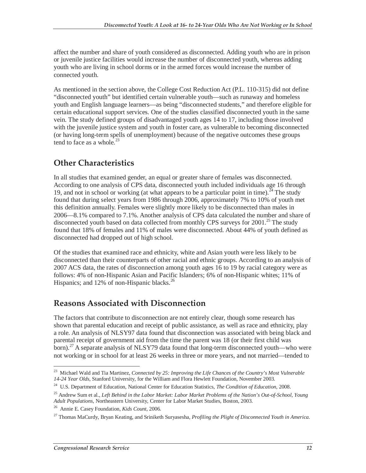affect the number and share of youth considered as disconnected. Adding youth who are in prison or juvenile justice facilities would increase the number of disconnected youth, whereas adding youth who are living in school dorms or in the armed forces would increase the number of connected youth.

As mentioned in the section above, the College Cost Reduction Act (P.L. 110-315) did not define "disconnected youth" but identified certain vulnerable youth—such as runaway and homeless youth and English language learners—as being "disconnected students," and therefore eligible for certain educational support services. One of the studies classified disconnected youth in the same vein. The study defined groups of disadvantaged youth ages 14 to 17, including those involved with the juvenile justice system and youth in foster care, as vulnerable to becoming disconnected (or having long-term spells of unemployment) because of the negative outcomes these groups tend to face as a whole. $23$ 

## **Other Characteristics**

In all studies that examined gender, an equal or greater share of females was disconnected. According to one analysis of CPS data, disconnected youth included individuals age 16 through 19, and not in school or working (at what appears to be a particular point in time).<sup>24</sup> The study found that during select years from 1986 through 2006, approximately 7% to 10% of youth met this definition annually. Females were slightly more likely to be disconnected than males in 2006—8.1% compared to 7.1%. Another analysis of CPS data calculated the number and share of disconnected youth based on data collected from monthly CPS surveys for  $2001$ <sup>25</sup>. The study found that 18% of females and 11% of males were disconnected. About 44% of youth defined as disconnected had dropped out of high school.

Of the studies that examined race and ethnicity, white and Asian youth were less likely to be disconnected than their counterparts of other racial and ethnic groups. According to an analysis of 2007 ACS data, the rates of disconnection among youth ages 16 to 19 by racial category were as follows: 4% of non-Hispanic Asian and Pacific Islanders; 6% of non-Hispanic whites; 11% of Hispanics; and 12% of non-Hispanic blacks. $^{26}$ 

### **Reasons Associated with Disconnection**

The factors that contribute to disconnection are not entirely clear, though some research has shown that parental education and receipt of public assistance, as well as race and ethnicity, play a role. An analysis of NLSY97 data found that disconnection was associated with being black and parental receipt of government aid from the time the parent was 18 (or their first child was born).<sup>27</sup> A separate analysis of NLSY79 data found that long-term disconnected youth—who were not working or in school for at least 26 weeks in three or more years, and not married—tended to

<sup>-</sup>23 Michael Wald and Tia Martinez, *Connected by 25: Improving the Life Chances of the Country's Most Vulnerable 14-24 Year Olds*, Stanford University, for the William and Flora Hewlett Foundation, November 2003.

<sup>24</sup> U.S. Department of Education, National Center for Education Statistics, *The Condition of Education*, 2008.

<sup>25</sup> Andrew Sum et al., *Left Behind in the Labor Market: Labor Market Problems of the Nation's Out-of-School, Young Adult Populations*, Northeastern University, Center for Labor Market Studies, Boston, 2003. 26 Annie E. Casey Foundation, *Kids Count*, 2006.

<sup>27</sup> Thomas MaCurdy, Bryan Keating, and Sriniketh Suryasesha, *Profiling the Plight of Disconnected Youth in America.*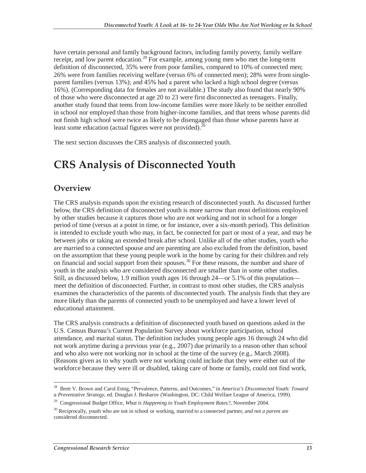have certain personal and family background factors, including family poverty, family welfare receipt, and low parent education.<sup>28</sup> For example, among young men who met the long-term definition of disconnected, 35% were from poor families, compared to 10% of connected men; 26% were from families receiving welfare (versus 6% of connected men); 28% were from singleparent families (versus 13%); and 45% had a parent who lacked a high school degree (versus 16%). (Corresponding data for females are not available.) The study also found that nearly 90% of those who were disconnected at age 20 to 23 were first disconnected as teenagers. Finally, another study found that teens from low-income families were more likely to be neither enrolled in school nor employed than those from higher-income families, and that teens whose parents did not finish high school were twice as likely to be disengaged than those whose parents have at least some education (actual figures were not provided). $^{2}$ 

The next section discusses the CRS analysis of disconnected youth.

## **CRS Analysis of Disconnected Youth**

### **Overview**

The CRS analysis expands upon the existing research of disconnected youth. As discussed further below, the CRS definition of disconnected youth is more narrow than most definitions employed by other studies because it captures those who are not working and not in school for a longer period of time (versus at a point in time, or for instance, over a six-month period). This definition is intended to exclude youth who may, in fact, be connected for part or most of a year, and may be between jobs or taking an extended break after school. Unlike all of the other studies, youth who are married to a connected spouse *and* are parenting are also excluded from the definition, based on the assumption that these young people work in the home by caring for their children and rely on financial and social support from their spouses.<sup>30</sup> For these reasons, the number and share of youth in the analysis who are considered disconnected are smaller than in some other studies. Still, as discussed below, 1.9 million youth ages 16 through 24—or 5.1% of this population meet the definition of disconnected. Further, in contrast to most other studies, the CRS analysis examines the characteristics of the parents of disconnected youth. The analysis finds that they are more likely than the parents of connected youth to be unemployed and have a lower level of educational attainment.

The CRS analysis constructs a definition of disconnected youth based on questions asked in the U.S. Census Bureau's Current Population Survey about workforce participation, school attendance, and marital status. The definition includes young people ages 16 through 24 who did not work anytime during a previous year (e.g., 2007) due primarily to a reason other than school and who also were not working nor in school at the time of the survey (e.g., March 2008). (Reasons given as to why youth were not working could include that they were either out of the workforce because they were ill or disabled, taking care of home or family, could not find work,

<sup>-</sup>28 Brett V. Brown and Carol Emig, "Prevalence, Patterns, and Outcomes," in *America's Disconnected Youth: Toward a Preventative Strategy*, ed. Douglas J. Besharov (Washington, DC: Child Welfare League of America, 1999).

<sup>29</sup> Congressional Budget Office, *What is Happening to Youth Employment Rates?*, November 2004.

<sup>30</sup> Reciprocally, youth who are not in school or working, married to a connected partner, *and not a parent* are considered disconnected.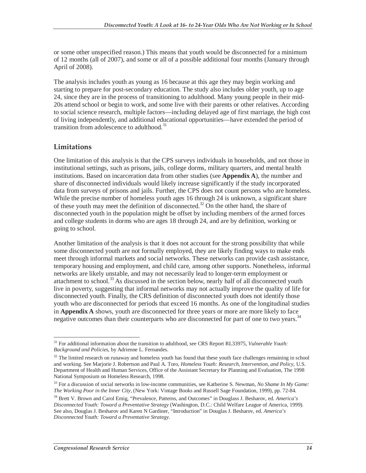or some other unspecified reason.) This means that youth would be disconnected for a minimum of 12 months (all of 2007), and some or all of a possible additional four months (January through April of 2008).

The analysis includes youth as young as 16 because at this age they may begin working and starting to prepare for post-secondary education. The study also includes older youth, up to age 24, since they are in the process of transitioning to adulthood. Many young people in their mid-20s attend school or begin to work, and some live with their parents or other relatives. According to social science research, multiple factors—including delayed age of first marriage, the high cost of living independently, and additional educational opportunities—have extended the period of transition from adolescence to adulthood.<sup>31</sup>

#### **Limitations**

One limitation of this analysis is that the CPS surveys individuals in households, and not those in institutional settings, such as prisons, jails, college dorms, military quarters, and mental health institutions. Based on incarceration data from other studies (see **Appendix A**), the number and share of disconnected individuals would likely increase significantly if the study incorporated data from surveys of prisons and jails. Further, the CPS does not count persons who are homeless. While the precise number of homeless youth ages 16 through 24 is unknown, a significant share of these youth may meet the definition of disconnected.<sup>32</sup> On the other hand, the share of disconnected youth in the population might be offset by including members of the armed forces and college students in dorms who are ages 18 through 24, and are by definition, working or going to school.

Another limitation of the analysis is that it does not account for the strong possibility that while some disconnected youth are not formally employed, they are likely finding ways to make ends meet through informal markets and social networks. These networks can provide cash assistance, temporary housing and employment, and child care, among other supports. Nonetheless, informal networks are likely unstable, and may not necessarily lead to longer-term employment or attachment to school.<sup>33</sup> As discussed in the section below, nearly half of all disconnected youth live in poverty, suggesting that informal networks may not actually improve the quality of life for disconnected youth. Finally, the CRS definition of disconnected youth does not identify those youth who are disconnected for periods that exceed 16 months. As one of the longitudinal studies in **Appendix A** shows, youth are disconnected for three years or more are more likely to face negative outcomes than their counterparts who are disconnected for part of one to two vears.<sup>34</sup>

<sup>-</sup><sup>31</sup> For additional information about the transition to adulthood, see CRS Report RL33975, *Vulnerable Youth*: *Background and Policies*, by Adrienne L. Fernandes.

 $32$  The limited research on runaway and homeless youth has found that these youth face challenges remaining in school and working. See Marjorie J. Robertson and Paul A. Toro, *Homeless Youth: Research, Intervention, and Policy*, U.S. Department of Health and Human Services, Office of the Assistant Secretary for Planning and Evaluation, The 1998 National Symposium on Homeless Research, 1998.

<sup>33</sup> For a discussion of social networks in low-income communities, see Katherine S. Newman, *No Shame In My Game: The Working Poor in the Inner City*, (New York: Vintage Books and Russell Sage Foundation, 1999), pp. 72-84.

<sup>34</sup> Brett V. Brown and Carol Emig, "Prevalence, Patterns, and Outcomes" in Douglass J. Besharov, ed. *America's Disconnected Youth: Toward a Preventative Strategy* (Washington, D.C.: Child Welfare League of America, 1999). See also, Douglas J. Besharov and Karen N Gardiner, "Introduction" in Douglas J. Besharov, ed. *America's Disconnected Youth: Toward a Preventative Strategy*.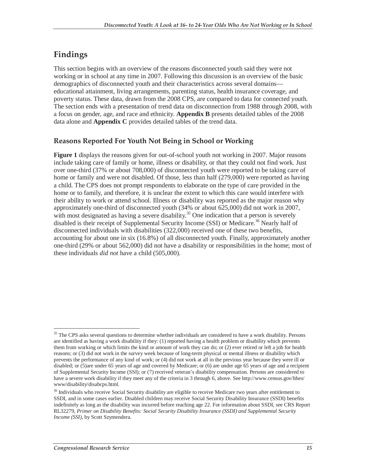### **Findings**

This section begins with an overview of the reasons disconnected youth said they were not working or in school at any time in 2007. Following this discussion is an overview of the basic demographics of disconnected youth and their characteristics across several domains educational attainment, living arrangements, parenting status, health insurance coverage, and poverty status. These data, drawn from the 2008 CPS, are compared to data for connected youth. The section ends with a presentation of trend data on disconnection from 1988 through 2008, with a focus on gender, age, and race and ethnicity. **Appendix B** presents detailed tables of the 2008 data alone and **Appendix C** provides detailed tables of the trend data.

#### **Reasons Reported For Youth Not Being in School or Working**

**Figure 1** displays the reasons given for out-of-school youth not working in 2007. Major reasons include taking care of family or home, illness or disability, or that they could not find work. Just over one-third (37% or about 708,000) of disconnected youth were reported to be taking care of home or family and were not disabled. Of those, less than half (279,000) were reported as having a child. The CPS does not prompt respondents to elaborate on the type of care provided in the home or to family, and therefore, it is unclear the extent to which this care would interfere with their ability to work or attend school. Illness or disability was reported as the major reason why approximately one-third of disconnected youth (34% or about 625,000) did not work in 2007, with most designated as having a severe disability.<sup>35</sup> One indication that a person is severely disabled is their receipt of Supplemental Security Income (SSI) or Medicare.<sup>36</sup> Nearly half of disconnected individuals with disabilities (322,000) received one of these two benefits, accounting for about one in six (16.8%) of all disconnected youth. Finally, approximately another one-third (29% or about 562,000) did not have a disability or responsibilities in the home; most of these individuals *did not* have a child (505,000).

-

<sup>&</sup>lt;sup>35</sup> The CPS asks several questions to determine whether individuals are considered to have a work disability. Persons are identified as having a work disability if they: (1) reported having a health problem or disability which prevents them from working or which limits the kind or amount of work they can do; or (2) ever retired or left a job for health reasons; or (3) did not work in the survey week because of long-term physical or mental illness or disability which prevents the performance of any kind of work; or (4) did not work at all in the previous year because they were ill or disabled; or (5)are under 65 years of age and covered by Medicare; or (6) are under age 65 years of age and a recipient of Supplemental Security Income (SSI); or (7) received veteran's disability compensation. Persons are considered to have a severe work disability if they meet any of the criteria in 3 through 6, above. See http://www.census.gov/hhes/ www/disability/disabcps.html.

<sup>&</sup>lt;sup>36</sup> Individuals who receive Social Security disability are eligible to receive Medicare two years after entitlement to SSDI, and in some cases earlier. Disabled children may receive Social Security Disability Insurance (SSDI) benefits indefinitely as long as the disability was incurred before reaching age 22. For information about SSDI, see CRS Report RL32279, *Primer on Disability Benefits: Social Security Disability Insurance (SSDI) and Supplemental Security Income (SSI)*, by Scott Szymendera.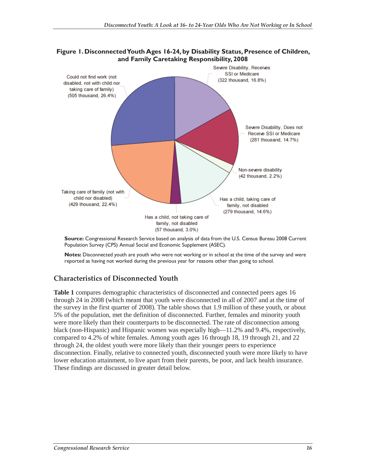

#### **Figure 1. Disconnected Youth Ages 16-24, by Disability Status, Presence of Children, and Family Caretaking Responsibility, 2008**

**Source:** Congressional Research Service based on analysis of data from the U.S. Census Bureau 2008 Current Population Survey (CPS) Annual Social and Economic Supplement (ASEC).

**Notes:** Disconnected youth are youth who were not working or in school at the time of the survey and were reported as having not worked during the previous year for reasons other than going to school.

#### **Characteristics of Disconnected Youth**

**Table 1** compares demographic characteristics of disconnected and connected peers ages 16 through 24 in 2008 (which meant that youth were disconnected in all of 2007 and at the time of the survey in the first quarter of 2008). The table shows that 1.9 million of these youth, or about 5% of the population, met the definition of disconnected. Further, females and minority youth were more likely than their counterparts to be disconnected. The rate of disconnection among black (non-Hispanic) and Hispanic women was especially high—11.2% and 9.4%, respectively, compared to 4.2% of white females. Among youth ages 16 through 18, 19 through 21, and 22 through 24, the oldest youth were more likely than their younger peers to experience disconnection. Finally, relative to connected youth, disconnected youth were more likely to have lower education attainment, to live apart from their parents, be poor, and lack health insurance. These findings are discussed in greater detail below.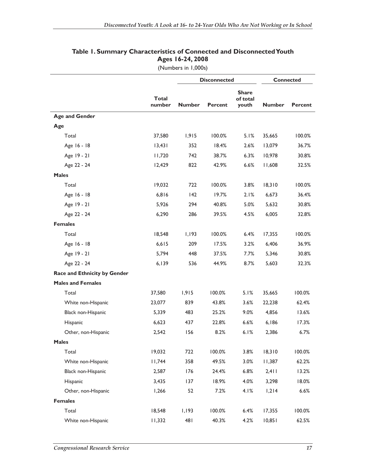|                                     |                        | <b>Disconnected</b> |                |                                   | <b>Connected</b> |         |
|-------------------------------------|------------------------|---------------------|----------------|-----------------------------------|------------------|---------|
|                                     | <b>Total</b><br>number | <b>Number</b>       | <b>Percent</b> | <b>Share</b><br>of total<br>youth | <b>Number</b>    | Percent |
| <b>Age and Gender</b>               |                        |                     |                |                                   |                  |         |
| Age                                 |                        |                     |                |                                   |                  |         |
| Total                               | 37,580                 | 1,915               | 100.0%         | 5.1%                              | 35,665           | 100.0%  |
| Age 16 - 18                         | 13,431                 | 352                 | 18.4%          | 2.6%                              | 13,079           | 36.7%   |
| Age 19 - 21                         | 11,720                 | 742                 | 38.7%          | 6.3%                              | 10,978           | 30.8%   |
| Age 22 - 24                         | 12,429                 | 822                 | 42.9%          | 6.6%                              | 11,608           | 32.5%   |
| <b>Males</b>                        |                        |                     |                |                                   |                  |         |
| Total                               | 19,032                 | 722                 | 100.0%         | 3.8%                              | 18,310           | 100.0%  |
| Age 16 - 18                         | 6,816                  | 142                 | 19.7%          | 2.1%                              | 6,673            | 36.4%   |
| Age 19 - 21                         | 5,926                  | 294                 | 40.8%          | 5.0%                              | 5,632            | 30.8%   |
| Age 22 - 24                         | 6,290                  | 286                 | 39.5%          | 4.5%                              | 6,005            | 32.8%   |
| <b>Females</b>                      |                        |                     |                |                                   |                  |         |
| Total                               | 18,548                 | 1,193               | 100.0%         | 6.4%                              | 17,355           | 100.0%  |
| Age 16 - 18                         | 6,615                  | 209                 | 17.5%          | 3.2%                              | 6,406            | 36.9%   |
| Age 19 - 21                         | 5,794                  | 448                 | 37.5%          | 7.7%                              | 5,346            | 30.8%   |
| Age 22 - 24                         | 6,139                  | 536                 | 44.9%          | 8.7%                              | 5,603            | 32.3%   |
| <b>Race and Ethnicity by Gender</b> |                        |                     |                |                                   |                  |         |
| <b>Males and Females</b>            |                        |                     |                |                                   |                  |         |
| Total                               | 37,580                 | 1,915               | 100.0%         | 5.1%                              | 35,665           | 100.0%  |
| White non-Hispanic                  | 23,077                 | 839                 | 43.8%          | 3.6%                              | 22,238           | 62.4%   |
| Black non-Hispanic                  | 5,339                  | 483                 | 25.2%          | 9.0%                              | 4,856            | 13.6%   |
| Hispanic                            | 6,623                  | 437                 | 22.8%          | 6.6%                              | 6,186            | 17.3%   |
| Other, non-Hispanic                 | 2,542                  | 156                 | 8.2%           | 6.1%                              | 2,386            | 6.7%    |
| <b>Males</b>                        |                        |                     |                |                                   |                  |         |
| Total                               | 19,032                 | 722                 | 100.0%         | 3.8%                              | 18,310           | 100.0%  |
| White non-Hispanic                  | 11,744                 | 358                 | 49.5%          | 3.0%                              | 11,387           | 62.2%   |
| Black non-Hispanic                  | 2,587                  | 176                 | 24.4%          | 6.8%                              | 2,411            | 13.2%   |
| Hispanic                            | 3,435                  | 137                 | 18.9%          | 4.0%                              | 3,298            | 18.0%   |
| Other, non-Hispanic                 | 1,266                  | 52                  | 7.2%           | 4.1%                              | 1,214            | 6.6%    |
| <b>Females</b>                      |                        |                     |                |                                   |                  |         |
| Total                               | 18,548                 | 1,193               | 100.0%         | 6.4%                              | 17,355           | 100.0%  |
| White non-Hispanic                  | 11,332                 | 481                 | 40.3%          | 4.2%                              | 10,851           | 62.5%   |

#### **Table 1. Summary Characteristics of Connected and Disconnected Youth Ages 16-24, 2008**

(Numbers in 1,000s)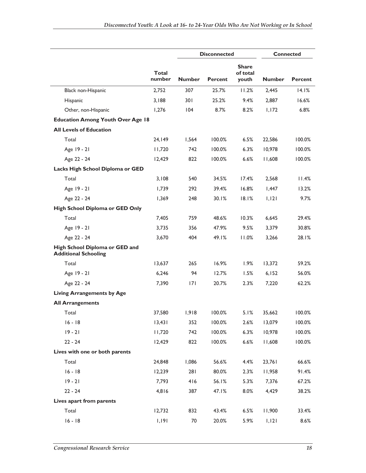|                                                               |                        | <b>Disconnected</b> |                | <b>Connected</b>                  |               |                |
|---------------------------------------------------------------|------------------------|---------------------|----------------|-----------------------------------|---------------|----------------|
|                                                               | <b>Total</b><br>number | <b>Number</b>       | <b>Percent</b> | <b>Share</b><br>of total<br>youth | <b>Number</b> | <b>Percent</b> |
| Black non-Hispanic                                            | 2,752                  | 307                 | 25.7%          | 11.2%                             | 2,445         | 14.1%          |
| Hispanic                                                      | 3,188                  | 301                 | 25.2%          | 9.4%                              | 2,887         | 16.6%          |
| Other, non-Hispanic                                           | 1,276                  | 104                 | 8.7%           | 8.2%                              | 1,172         | 6.8%           |
| <b>Education Among Youth Over Age 18</b>                      |                        |                     |                |                                   |               |                |
| <b>All Levels of Education</b>                                |                        |                     |                |                                   |               |                |
| Total                                                         | 24,149                 | 1,564               | 100.0%         | 6.5%                              | 22,586        | 100.0%         |
| Age 19 - 21                                                   | 11,720                 | 742                 | 100.0%         | 6.3%                              | 10,978        | 100.0%         |
| Age 22 - 24                                                   | 12,429                 | 822                 | 100.0%         | 6.6%                              | 11,608        | 100.0%         |
| Lacks High School Diploma or GED                              |                        |                     |                |                                   |               |                |
| Total                                                         | 3,108                  | 540                 | 34.5%          | 17.4%                             | 2,568         | 11.4%          |
| Age 19 - 21                                                   | 1,739                  | 292                 | 39.4%          | 16.8%                             | 1,447         | 13.2%          |
| Age 22 - 24                                                   | 1,369                  | 248                 | 30.1%          | 18.1%                             | 1,121         | 9.7%           |
| High School Diploma or GED Only                               |                        |                     |                |                                   |               |                |
| Total                                                         | 7,405                  | 759                 | 48.6%          | 10.3%                             | 6,645         | 29.4%          |
| Age 19 - 21                                                   | 3,735                  | 356                 | 47.9%          | 9.5%                              | 3,379         | 30.8%          |
| Age 22 - 24                                                   | 3,670                  | 404                 | 49.1%          | 11.0%                             | 3,266         | 28.1%          |
| High School Diploma or GED and<br><b>Additional Schooling</b> |                        |                     |                |                                   |               |                |
| Total                                                         | 13,637                 | 265                 | 16.9%          | 1.9%                              | 13,372        | 59.2%          |
| Age 19 - 21                                                   | 6,246                  | 94                  | 12.7%          | 1.5%                              | 6,152         | 56.0%          |
| Age 22 - 24                                                   | 7,390                  | 7                   | 20.7%          | 2.3%                              | 7,220         | 62.2%          |
| <b>Living Arrangements by Age</b>                             |                        |                     |                |                                   |               |                |
| <b>All Arrangements</b>                                       |                        |                     |                |                                   |               |                |
| Total                                                         | 37,580                 | 1,918               | 100.0%         | 5.1%                              | 35,662        | 100.0%         |
| $16 - 18$                                                     | 13,431                 | 352                 | 100.0%         | 2.6%                              | 13,079        | 100.0%         |
| $19 - 21$                                                     | 11,720                 | 742                 | 100.0%         | 6.3%                              | 10,978        | 100.0%         |
| $22 - 24$                                                     | 12,429                 | 822                 | 100.0%         | 6.6%                              | 11,608        | 100.0%         |
| Lives with one or both parents                                |                        |                     |                |                                   |               |                |
| Total                                                         | 24,848                 | 1,086               | 56.6%          | 4.4%                              | 23,761        | 66.6%          |
| $16 - 18$                                                     | 12,239                 | 281                 | 80.0%          | 2.3%                              | 11,958        | 91.4%          |
| $19 - 21$                                                     | 7,793                  | 416                 | 56.1%          | 5.3%                              | 7,376         | 67.2%          |
| $22 - 24$                                                     | 4,816                  | 387                 | 47.1%          | 8.0%                              | 4,429         | 38.2%          |
| Lives apart from parents                                      |                        |                     |                |                                   |               |                |
| Total                                                         | 12,732                 | 832                 | 43.4%          | 6.5%                              | 11,900        | 33.4%          |
| $16 - 18$                                                     | 1,191                  | 70                  | 20.0%          | 5.9%                              | 1,121         | 8.6%           |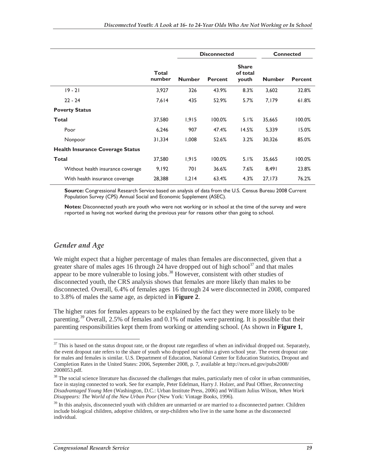|                                         |                        | <b>Disconnected</b> |                |                                   | <b>Connected</b> |                |
|-----------------------------------------|------------------------|---------------------|----------------|-----------------------------------|------------------|----------------|
|                                         | <b>Total</b><br>number | <b>Number</b>       | <b>Percent</b> | <b>Share</b><br>of total<br>youth | <b>Number</b>    | <b>Percent</b> |
| $19 - 21$                               | 3,927                  | 326                 | 43.9%          | 8.3%                              | 3,602            | 32.8%          |
| $22 - 24$                               | 7,614                  | 435                 | 52.9%          | 5.7%                              | 7,179            | 61.8%          |
| <b>Poverty Status</b>                   |                        |                     |                |                                   |                  |                |
| Total                                   | 37,580                 | 1,915               | 100.0%         | 5.1%                              | 35,665           | 100.0%         |
| Poor                                    | 6,246                  | 907                 | 47.4%          | 14.5%                             | 5,339            | 15.0%          |
| Nonpoor                                 | 31,334                 | 800,1               | 52.6%          | 3.2%                              | 30,326           | 85.0%          |
| <b>Health Insurance Coverage Status</b> |                        |                     |                |                                   |                  |                |
| <b>Total</b>                            | 37,580                 | 1,915               | 100.0%         | 5.1%                              | 35,665           | 100.0%         |
| Without health insurance coverage       | 9,192                  | 701                 | 36.6%          | 7.6%                              | 8,491            | 23.8%          |
| With health insurance coverage          | 28,388                 | 1,214               | 63.4%          | 4.3%                              | 27,173           | 76.2%          |

**Source:** Congressional Research Service based on analysis of data from the U.S. Census Bureau 2008 Current Population Survey (CPS) Annual Social and Economic Supplement (ASEC).

**Notes:** Disconnected youth are youth who were not working or in school at the time of the survey and were reported as having not worked during the previous year for reasons other than going to school.

#### *Gender and Age*

We might expect that a higher percentage of males than females are disconnected, given that a greater share of males ages 16 through 24 have dropped out of high school<sup>37</sup> and that males appear to be more vulnerable to losing jobs.<sup>38</sup> However, consistent with other studies of disconnected youth, the CRS analysis shows that females are more likely than males to be disconnected. Overall, 6.4% of females ages 16 through 24 were disconnected in 2008, compared to 3.8% of males the same age, as depicted in **Figure 2**.

The higher rates for females appears to be explained by the fact they were more likely to be parenting.<sup>39</sup> Overall, 2.5% of females and 0.1% of males were parenting. It is possible that their parenting responsibilities kept them from working or attending school. (As shown in **Figure 1**,

 $\overline{a}$  $37$  This is based on the status dropout rate, or the dropout rate regardless of when an individual dropped out. Separately, the event dropout rate refers to the share of youth who dropped out within a given school year. The event dropout rate for males and females is similar. U.S. Department of Education, National Center for Education Statistics, Dropout and Completion Rates in the United States: 2006, September 2008, p. 7, available at http://nces.ed.gov/pubs2008/ 2008053.pdf.

<sup>&</sup>lt;sup>38</sup> The social science literature has discussed the challenges that males, particularly men of color in urban communities, face in staying connected to work. See for example, Peter Edelman, Harry J. Holzer, and Paul Offner, *Reconnecting Disadvantaged Young Men* (Washington, D.C.: Urban Institute Press, 2006) and William Julius Wilson, *When Work Disappears: The World of the New Urban Poor* (New York: Vintage Books, 1996).

<sup>&</sup>lt;sup>39</sup> In this analysis, disconnected youth with children are unmarried or are married to a disconnected partner. Children include biological children, adoptive children, or step-children who live in the same home as the disconnected individual.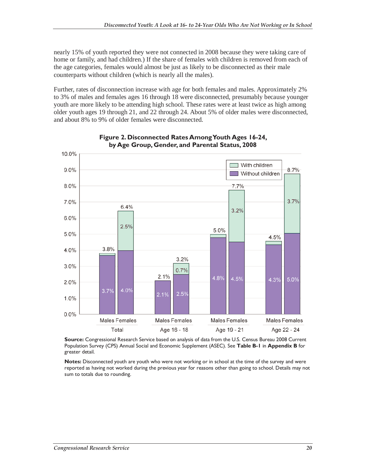nearly 15% of youth reported they were not connected in 2008 because they were taking care of home or family, and had children.) If the share of females with children is removed from each of the age categories, females would almost be just as likely to be disconnected as their male counterparts without children (which is nearly all the males).

Further, rates of disconnection increase with age for both females and males. Approximately 2% to 3% of males and females ages 16 through 18 were disconnected, presumably because younger youth are more likely to be attending high school. These rates were at least twice as high among older youth ages 19 through 21, and 22 through 24. About 5% of older males were disconnected, and about 8% to 9% of older females were disconnected.



#### **Figure 2. Disconnected Rates Among Youth Ages 16-24, by Age Group, Gender, and Parental Status, 2008**

**Source:** Congressional Research Service based on analysis of data from the U.S. Census Bureau 2008 Current Population Survey (CPS) Annual Social and Economic Supplement (ASEC). See **Table B-1** in **Appendix B** for greater detail.

**Notes:** Disconnected youth are youth who were not working or in school at the time of the survey and were reported as having not worked during the previous year for reasons other than going to school. Details may not sum to totals due to rounding.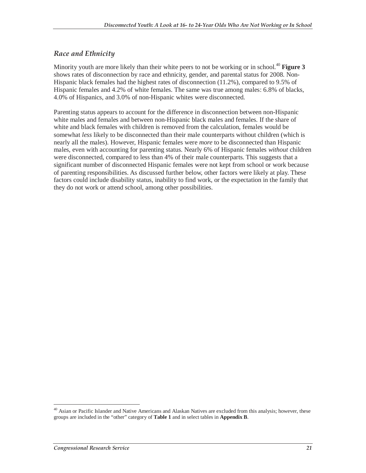#### *Race and Ethnicity*

Minority youth are more likely than their white peers to not be working or in school.<sup>40</sup> **Figure 3** shows rates of disconnection by race and ethnicity, gender, and parental status for 2008. Non-Hispanic black females had the highest rates of disconnection (11.2%), compared to 9.5% of Hispanic females and 4.2% of white females. The same was true among males: 6.8% of blacks, 4.0% of Hispanics, and 3.0% of non-Hispanic whites were disconnected.

Parenting status appears to account for the difference in disconnection between non-Hispanic white males and females and between non-Hispanic black males and females. If the share of white and black females with children is removed from the calculation, females would be somewhat *less* likely to be disconnected than their male counterparts without children (which is nearly all the males). However, Hispanic females were *more* to be disconnected than Hispanic males, even with accounting for parenting status. Nearly 6% of Hispanic females *without* children were disconnected, compared to less than 4% of their male counterparts. This suggests that a significant number of disconnected Hispanic females were not kept from school or work because of parenting responsibilities. As discussed further below, other factors were likely at play. These factors could include disability status, inability to find work, or the expectation in the family that they do not work or attend school, among other possibilities.

-

 $40$  Asian or Pacific Islander and Native Americans and Alaskan Natives are excluded from this analysis; however, these groups are included in the "other" category of **Table 1** and in select tables in **Appendix B**.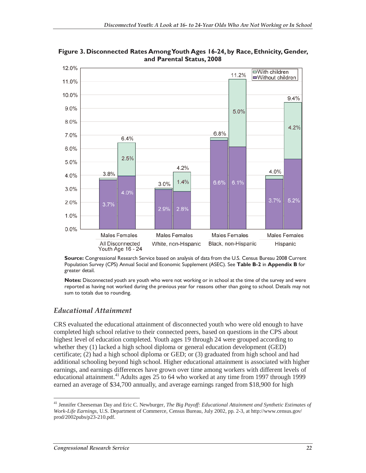

**Figure 3. Disconnected Rates Among Youth Ages 16-24, by Race, Ethnicity, Gender, and Parental Status, 2008** 

**Source:** Congressional Research Service based on analysis of data from the U.S. Census Bureau 2008 Current Population Survey (CPS) Annual Social and Economic Supplement (ASEC). See **Table B-2** in **Appendix B** for greater detail.

**Notes:** Disconnected youth are youth who were not working or in school at the time of the survey and were reported as having not worked during the previous year for reasons other than going to school. Details may not sum to totals due to rounding.

#### *Educational Attainment*

CRS evaluated the educational attainment of disconnected youth who were old enough to have completed high school relative to their connected peers, based on questions in the CPS about highest level of education completed. Youth ages 19 through 24 were grouped according to whether they (1) lacked a high school diploma or general education development (GED) certificate; (2) had a high school diploma or GED; or (3) graduated from high school and had additional schooling beyond high school. Higher educational attainment is associated with higher earnings, and earnings differences have grown over time among workers with different levels of educational attainment.<sup>41</sup> Adults ages 25 to 64 who worked at any time from 1997 through 1999 earned an average of \$34,700 annually, and average earnings ranged from \$18,900 for high

<sup>-</sup>41 Jennifer Cheeseman Day and Eric C. Newburger, *The Big Payoff: Educational Attainment and Synthetic Estimates of Work-Life Earnings*, U.S. Department of Commerce, Census Bureau, July 2002, pp. 2-3, at http://www.census.gov/ prod/2002pubs/p23-210.pdf.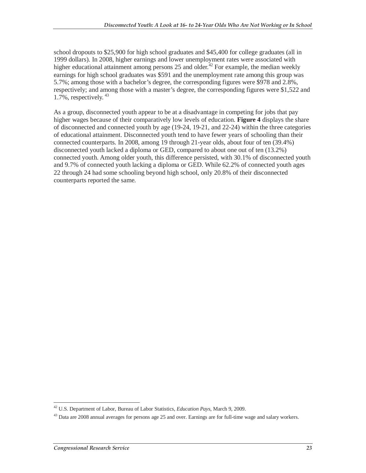school dropouts to \$25,900 for high school graduates and \$45,400 for college graduates (all in 1999 dollars). In 2008, higher earnings and lower unemployment rates were associated with higher educational attainment among persons 25 and older.<sup>42</sup> For example, the median weekly earnings for high school graduates was \$591 and the unemployment rate among this group was 5.7%; among those with a bachelor's degree, the corresponding figures were \$978 and 2.8%, respectively; and among those with a master's degree, the corresponding figures were \$1,522 and 1.7%, respectively. 43

As a group, disconnected youth appear to be at a disadvantage in competing for jobs that pay higher wages because of their comparatively low levels of education. **Figure 4** displays the share of disconnected and connected youth by age (19-24, 19-21, and 22-24) within the three categories of educational attainment. Disconnected youth tend to have fewer years of schooling than their connected counterparts. In 2008, among 19 through 21-year olds, about four of ten (39.4%) disconnected youth lacked a diploma or GED, compared to about one out of ten (13.2%) connected youth. Among older youth, this difference persisted, with 30.1% of disconnected youth and 9.7% of connected youth lacking a diploma or GED. While 62.2% of connected youth ages 22 through 24 had some schooling beyond high school, only 20.8% of their disconnected counterparts reported the same.

 $\frac{1}{1}$ 42 U.S. Department of Labor, Bureau of Labor Statistics, *Education Pays*, March 9, 2009.

<sup>&</sup>lt;sup>43</sup> Data are 2008 annual averages for persons age 25 and over. Earnings are for full-time wage and salary workers.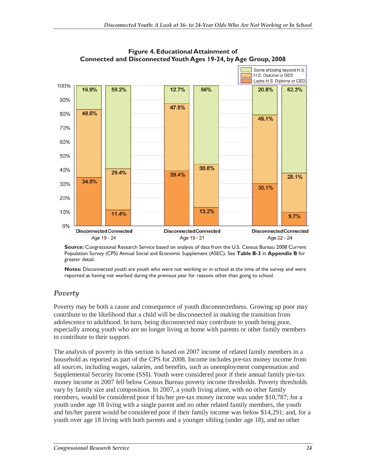

#### **Figure 4. Educational Attainment of Connected and Disconnected Youth Ages 19-24, by Age Group, 2008**

**Source:** Congressional Research Service based on analysis of data from the U.S. Census Bureau 2008 Current Population Survey (CPS) Annual Social and Economic Supplement (ASEC). See **Table B-3** in **Appendix B** for greater detail.

**Notes:** Disconnected youth are youth who were not working or in school at the time of the survey and were reported as having not worked during the previous year for reasons other than going to school.

#### *Poverty*

Poverty may be both a cause and consequence of youth disconnectedness. Growing up poor may contribute to the likelihood that a child will be disconnected in making the transition from adolescence to adulthood. In turn, being disconnected may contribute to youth being poor, especially among youth who are no longer living at home with parents or other family members to contribute to their support.

The analysis of poverty in this section is based on 2007 income of related family members in a household as reported as part of the CPS for 2008. Income includes pre-tax money income from all sources, including wages, salaries, and benefits, such as unemployment compensation and Supplemental Security Income (SSI). Youth were considered poor if their annual family pre-tax money income in 2007 fell below Census Bureau poverty income thresholds. Poverty thresholds vary by family size and composition. In 2007, a youth living alone, with no other family members, would be considered poor if his/her pre-tax money income was under \$10,787; for a youth under age 18 living with a single parent and no other related family members, the youth and his/her parent would be considered poor if their family income was below \$14,291; and, for a youth over age 18 living with both parents and a younger sibling (under age 18), and no other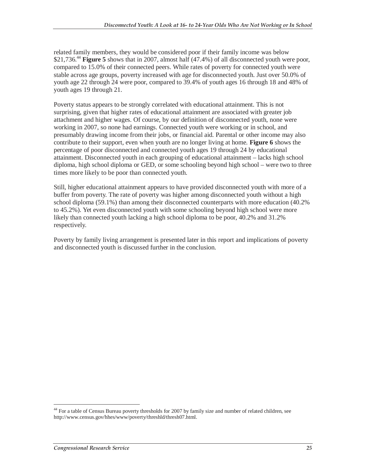related family members, they would be considered poor if their family income was below \$21,736.<sup>44</sup> **Figure 5** shows that in 2007, almost half (47.4%) of all disconnected youth were poor, compared to 15.0% of their connected peers. While rates of poverty for connected youth were stable across age groups, poverty increased with age for disconnected youth. Just over 50.0% of youth age 22 through 24 were poor, compared to 39.4% of youth ages 16 through 18 and 48% of youth ages 19 through 21.

Poverty status appears to be strongly correlated with educational attainment. This is not surprising, given that higher rates of educational attainment are associated with greater job attachment and higher wages. Of course, by our definition of disconnected youth, none were working in 2007, so none had earnings. Connected youth were working or in school, and presumably drawing income from their jobs, or financial aid. Parental or other income may also contribute to their support, even when youth are no longer living at home. **Figure 6** shows the percentage of poor disconnected and connected youth ages 19 through 24 by educational attainment. Disconnected youth in each grouping of educational attainment – lacks high school diploma, high school diploma or GED, or some schooling beyond high school – were two to three times more likely to be poor than connected youth.

Still, higher educational attainment appears to have provided disconnected youth with more of a buffer from poverty. The rate of poverty was higher among disconnected youth without a high school diploma (59.1%) than among their disconnected counterparts with more education (40.2% to 45.2%). Yet even disconnected youth with some schooling beyond high school were more likely than connected youth lacking a high school diploma to be poor, 40.2% and 31.2% respectively.

Poverty by family living arrangement is presented later in this report and implications of poverty and disconnected youth is discussed further in the conclusion.

-

<sup>&</sup>lt;sup>44</sup> For a table of Census Bureau poverty thresholds for 2007 by family size and number of related children, see http://www.census.gov/hhes/www/poverty/threshld/thresh07.html.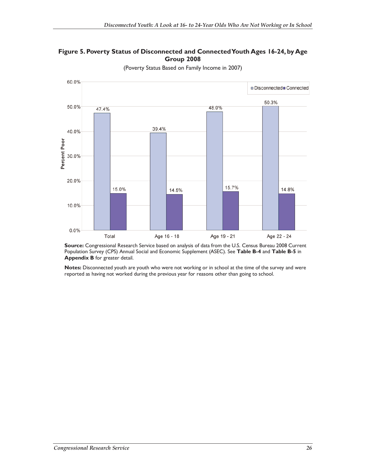



(Poverty Status Based on Family Income in 2007)

**Source:** Congressional Research Service based on analysis of data from the U.S. Census Bureau 2008 Current Population Survey (CPS) Annual Social and Economic Supplement (ASEC). See **Table B-4** and **Table B-5** in **Appendix B** for greater detail.

**Notes:** Disconnected youth are youth who were not working or in school at the time of the survey and were reported as having not worked during the previous year for reasons other than going to school.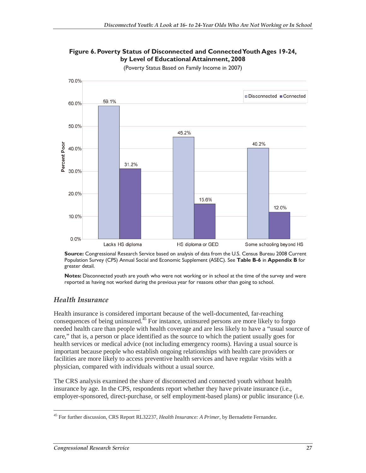

#### **Figure 6. Poverty Status of Disconnected and Connected Youth Ages 19-24, by Level of Educational Attainment, 2008**

(Poverty Status Based on Family Income in 2007)

**Source:** Congressional Research Service based on analysis of data from the U.S. Census Bureau 2008 Current Population Survey (CPS) Annual Social and Economic Supplement (ASEC). See **Table B-6** in **Appendix B** for greater detail.

**Notes:** Disconnected youth are youth who were not working or in school at the time of the survey and were reported as having not worked during the previous year for reasons other than going to school.

#### *Health Insurance*

Health insurance is considered important because of the well-documented, far-reaching consequences of being uninsured.<sup> $45$ </sup> For instance, uninsured persons are more likely to forgo needed health care than people with health coverage and are less likely to have a "usual source of care," that is, a person or place identified as the source to which the patient usually goes for health services or medical advice (not including emergency rooms). Having a usual source is important because people who establish ongoing relationships with health care providers or facilities are more likely to access preventive health services and have regular visits with a physician, compared with individuals without a usual source.

The CRS analysis examined the share of disconnected and connected youth without health insurance by age. In the CPS, respondents report whether they have private insurance (i.e., employer-sponsored, direct-purchase, or self employment-based plans) or public insurance (i.e.

<sup>-</sup>45 For further discussion, CRS Report RL32237, *Health Insurance: A Primer*, by Bernadette Fernandez.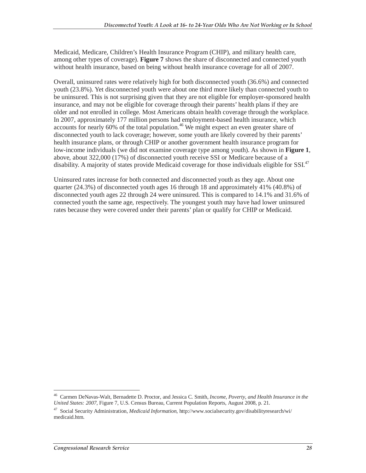Medicaid, Medicare, Children's Health Insurance Program (CHIP), and military health care, among other types of coverage). **Figure 7** shows the share of disconnected and connected youth without health insurance, based on being without health insurance coverage for all of 2007.

Overall, uninsured rates were relatively high for both disconnected youth (36.6%) and connected youth (23.8%). Yet disconnected youth were about one third more likely than connected youth to be uninsured. This is not surprising given that they are not eligible for employer-sponsored health insurance, and may not be eligible for coverage through their parents' health plans if they are older and not enrolled in college. Most Americans obtain health coverage through the workplace. In 2007, approximately 177 million persons had employment-based health insurance, which accounts for nearly  $60\%$  of the total population.<sup>46</sup> We might expect an even greater share of disconnected youth to lack coverage; however, some youth are likely covered by their parents' health insurance plans, or through CHIP or another government health insurance program for low-income individuals (we did not examine coverage type among youth). As shown in **Figure 1**, above, about 322,000 (17%) of disconnected youth receive SSI or Medicare because of a disability. A majority of states provide Medicaid coverage for those individuals eligible for SSI.<sup>47</sup>

Uninsured rates increase for both connected and disconnected youth as they age. About one quarter (24.3%) of disconnected youth ages 16 through 18 and approximately 41% (40.8%) of disconnected youth ages 22 through 24 were uninsured. This is compared to 14.1% and 31.6% of connected youth the same age, respectively. The youngest youth may have had lower uninsured rates because they were covered under their parents' plan or qualify for CHIP or Medicaid.

<sup>-</sup>46 Carmen DeNavas-Walt, Bernadette D. Proctor, and Jessica C. Smith, *Income, Poverty, and Health Insurance in the United States: 2007*, Figure 7, U.S. Census Bureau, Current Population Reports, August 2008, p. 21.

<sup>47</sup> Social Security Administration, *Medicaid Information*, http://www.socialsecurity.gov/disabilityresearch/wi/ medicaid.htm.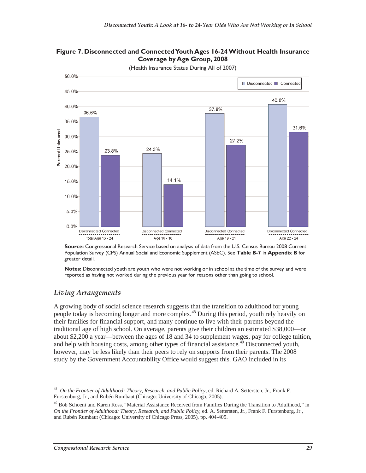



(Health Insurance Status During All of 2007)

**Source:** Congressional Research Service based on analysis of data from the U.S. Census Bureau 2008 Current Population Survey (CPS) Annual Social and Economic Supplement (ASEC). See **Table B-7** in **Appendix B** for greater detail.

**Notes:** Disconnected youth are youth who were not working or in school at the time of the survey and were reported as having not worked during the previous year for reasons other than going to school.

#### *Living Arrangements*

A growing body of social science research suggests that the transition to adulthood for young people today is becoming longer and more complex.<sup>48</sup> During this period, youth rely heavily on their families for financial support, and many continue to live with their parents beyond the traditional age of high school. On average, parents give their children an estimated \$38,000—or about \$2,200 a year—between the ages of 18 and 34 to supplement wages, pay for college tuition, and help with housing costs, among other types of financial assistance.<sup>49</sup> Disconnected youth, however, may be less likely than their peers to rely on supports from their parents. The 2008 study by the Government Accountability Office would suggest this. GAO included in its

 $\overline{a}$ 48 *On the Frontier of Adulthood: Theory, Research, and Public Policy*, ed. Richard A. Settersten, Jr., Frank F. Furstenburg, Jr., and Rubén Rumbaut (Chicago: University of Chicago, 2005).

<sup>&</sup>lt;sup>49</sup> Bob Schoeni and Karen Ross, "Material Assistance Received from Families During the Transition to Adulthood," in *On the Frontier of Adulthood: Theory, Research, and Public Policy*, ed. A. Settersten, Jr., Frank F. Furstenburg, Jr., and Rubén Rumbaut (Chicago: University of Chicago Press, 2005), pp. 404-405.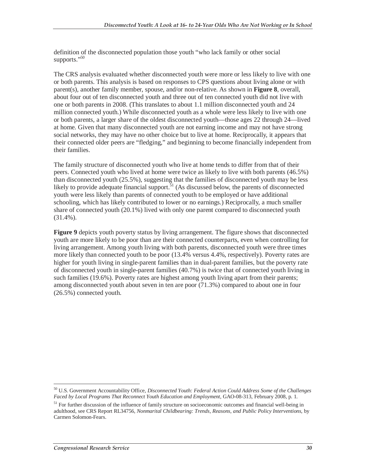definition of the disconnected population those youth "who lack family or other social supports."<sup>50</sup>

The CRS analysis evaluated whether disconnected youth were more or less likely to live with one or both parents. This analysis is based on responses to CPS questions about living alone or with parent(s), another family member, spouse, and/or non-relative. As shown in **Figure 8**, overall, about four out of ten disconnected youth and three out of ten connected youth did not live with one or both parents in 2008. (This translates to about 1.1 million disconnected youth and 24 million connected youth.) While disconnected youth as a whole were less likely to live with one or both parents, a larger share of the oldest disconnected youth—those ages 22 through 24—lived at home. Given that many disconnected youth are not earning income and may not have strong social networks, they may have no other choice but to live at home. Reciprocally, it appears that their connected older peers are "fledging," and beginning to become financially independent from their families.

The family structure of disconnected youth who live at home tends to differ from that of their peers. Connected youth who lived at home were twice as likely to live with both parents (46.5%) than disconnected youth (25.5%), suggesting that the families of disconnected youth may be less likely to provide adequate financial support. $51$  (As discussed below, the parents of disconnected youth were less likely than parents of connected youth to be employed or have additional schooling, which has likely contributed to lower or no earnings.) Reciprocally, a much smaller share of connected youth (20.1%) lived with only one parent compared to disconnected youth (31.4%).

**Figure 9** depicts youth poverty status by living arrangement. The figure shows that disconnected youth are more likely to be poor than are their connected counterparts, even when controlling for living arrangement. Among youth living with both parents, disconnected youth were three times more likely than connected youth to be poor (13.4% versus 4.4%, respectively). Poverty rates are higher for youth living in single-parent families than in dual-parent families, but the poverty rate of disconnected youth in single-parent families (40.7%) is twice that of connected youth living in such families (19.6%). Poverty rates are highest among youth living apart from their parents; among disconnected youth about seven in ten are poor (71.3%) compared to about one in four (26.5%) connected youth.

 $\overline{a}$ 50 U.S. Government Accountability Office*, Disconnected Youth: Federal Action Could Address Some of the Challenges Faced by Local Programs That Reconnect Youth Education and Employment*, GAO-08-313, February 2008, p. 1.

 $<sup>51</sup>$  For further discussion of the influence of family structure on socioeconomic outcomes and financial well-being in</sup> adulthood, see CRS Report RL34756, *Nonmarital Childbearing: Trends, Reasons, and Public Policy Interventions*, by Carmen Solomon-Fears.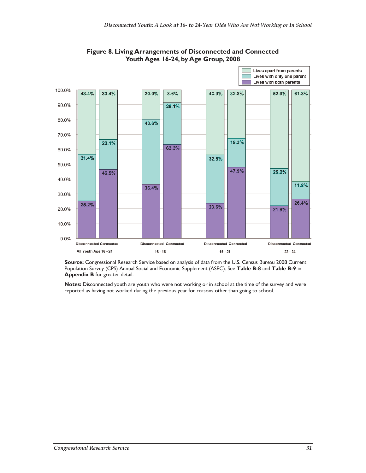

**Figure 8. Living Arrangements of Disconnected and Connected Youth Ages 16-24, by Age Group, 2008** 

**Source:** Congressional Research Service based on analysis of data from the U.S. Census Bureau 2008 Current Population Survey (CPS) Annual Social and Economic Supplement (ASEC). See **Table B-8** and **Table B-9** in **Appendix B** for greater detail.

**Notes:** Disconnected youth are youth who were not working or in school at the time of the survey and were reported as having not worked during the previous year for reasons other than going to school.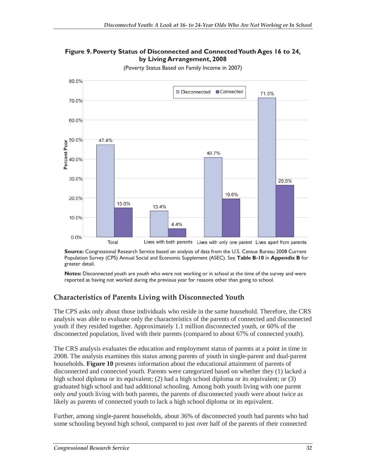



(Poverty Status Based on Family Income in 2007)

**Source:** Congressional Research Service based on analysis of data from the U.S. Census Bureau 2008 Current Population Survey (CPS) Annual Social and Economic Supplement (ASEC). See **Table B-10** in **Appendix B** for greater detail.

**Notes:** Disconnected youth are youth who were not working or in school at the time of the survey and were reported as having not worked during the previous year for reasons other than going to school.

#### **Characteristics of Parents Living with Disconnected Youth**

The CPS asks only about those individuals who reside in the same household. Therefore, the CRS analysis was able to evaluate only the characteristics of the parents of connected and disconnected youth if they resided together. Approximately 1.1 million disconnected youth, or 60% of the disconnected population, lived with their parents (compared to about 67% of connected youth).

The CRS analysis evaluates the education and employment status of parents at a point in time in 2008. The analysis examines this status among parents of youth in single-parent and dual-parent households. **Figure 10** presents information about the educational attainment of parents of disconnected and connected youth. Parents were categorized based on whether they (1) lacked a high school diploma or its equivalent; (2) had a high school diploma or its equivalent; or (3) graduated high school and had additional schooling. Among both youth living with one parent only *and* youth living with both parents, the parents of disconnected youth were about twice as likely as parents of connected youth to lack a high school diploma or its equivalent.

Further, among single-parent households, about 36% of disconnected youth had parents who had some schooling beyond high school, compared to just over half of the parents of their connected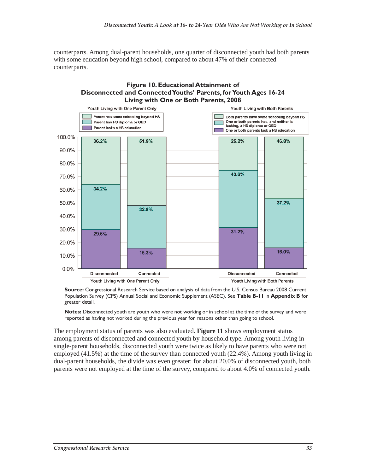counterparts. Among dual-parent households, one quarter of disconnected youth had both parents with some education beyond high school, compared to about 47% of their connected counterparts.



**Source:** Congressional Research Service based on analysis of data from the U.S. Census Bureau 2008 Current Population Survey (CPS) Annual Social and Economic Supplement (ASEC). See **Table B-11** in **Appendix B** for greater detail.

**Notes:** Disconnected youth are youth who were not working or in school at the time of the survey and were reported as having not worked during the previous year for reasons other than going to school.

The employment status of parents was also evaluated. **Figure 11** shows employment status among parents of disconnected and connected youth by household type. Among youth living in single-parent households, disconnected youth were twice as likely to have parents who were not employed (41.5%) at the time of the survey than connected youth (22.4%). Among youth living in dual-parent households, the divide was even greater: for about 20.0% of disconnected youth, both parents were not employed at the time of the survey, compared to about 4.0% of connected youth.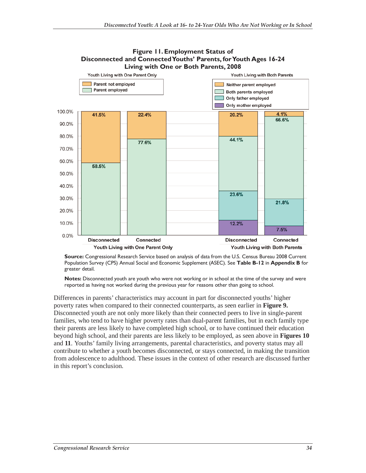

### **Figure 11. Employment Status of Disconnected and Connected Youths' Parents, for Youth Ages 16-24**

**Source:** Congressional Research Service based on analysis of data from the U.S. Census Bureau 2008 Current Population Survey (CPS) Annual Social and Economic Supplement (ASEC). See **Table B-12** in **Appendix B** for greater detail.

**Notes:** Disconnected youth are youth who were not working or in school at the time of the survey and were reported as having not worked during the previous year for reasons other than going to school.

Differences in parents' characteristics may account in part for disconnected youths' higher poverty rates when compared to their connected counterparts, as seen earlier in **Figure 9.**  Disconnected youth are not only more likely than their connected peers to live in single-parent families, who tend to have higher poverty rates than dual-parent families, but in each family type their parents are less likely to have completed high school, or to have continued their education beyond high school, and their parents are less likely to be employed, as seen above in **Figures 10**  and **11**. Youths' family living arrangements, parental characteristics, and poverty status may all contribute to whether a youth becomes disconnected, or stays connected, in making the transition from adolescence to adulthood. These issues in the context of other research are discussed further in this report's conclusion.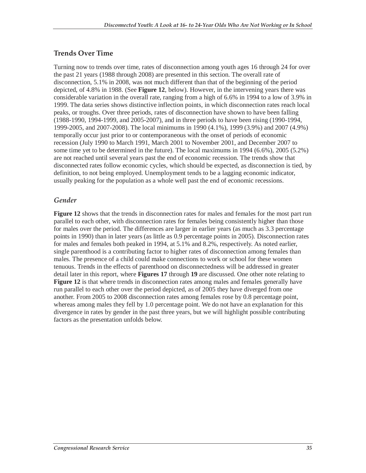#### **Trends Over Time**

Turning now to trends over time, rates of disconnection among youth ages 16 through 24 for over the past 21 years (1988 through 2008) are presented in this section. The overall rate of disconnection, 5.1% in 2008, was not much different than that of the beginning of the period depicted, of 4.8% in 1988. (See **Figure 12**, below). However, in the intervening years there was considerable variation in the overall rate, ranging from a high of 6.6% in 1994 to a low of 3.9% in 1999. The data series shows distinctive inflection points, in which disconnection rates reach local peaks, or troughs. Over three periods, rates of disconnection have shown to have been falling (1988-1990, 1994-1999, and 2005-2007), and in three periods to have been rising (1990-1994, 1999-2005, and 2007-2008). The local minimums in 1990 (4.1%), 1999 (3.9%) and 2007 (4.9%) temporally occur just prior to or contemporaneous with the onset of periods of economic recession (July 1990 to March 1991, March 2001 to November 2001, and December 2007 to some time yet to be determined in the future). The local maximums in 1994 (6.6%), 2005 (5.2%) are not reached until several years past the end of economic recession. The trends show that disconnected rates follow economic cycles, which should be expected, as disconnection is tied, by definition, to not being employed. Unemployment tends to be a lagging economic indicator, usually peaking for the population as a whole well past the end of economic recessions.

#### *Gender*

**Figure 12** shows that the trends in disconnection rates for males and females for the most part run parallel to each other, with disconnection rates for females being consistently higher than those for males over the period. The differences are larger in earlier years (as much as 3.3 percentage points in 1990) than in later years (as little as 0.9 percentage points in 2005). Disconnection rates for males and females both peaked in 1994, at 5.1% and 8.2%, respectively. As noted earlier, single parenthood is a contributing factor to higher rates of disconnection among females than males. The presence of a child could make connections to work or school for these women tenuous. Trends in the effects of parenthood on disconnectedness will be addressed in greater detail later in this report, where **Figures 17** through **19** are discussed. One other note relating to **Figure 12** is that where trends in disconnection rates among males and females generally have run parallel to each other over the period depicted, as of 2005 they have diverged from one another. From 2005 to 2008 disconnection rates among females rose by 0.8 percentage point, whereas among males they fell by 1.0 percentage point. We do not have an explanation for this divergence in rates by gender in the past three years, but we will highlight possible contributing factors as the presentation unfolds below.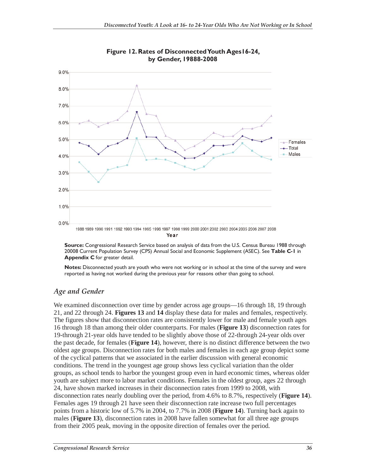

**Figure 12. Rates of Disconnected Youth Ages16-24, by Gender, 19888-2008** 

**Source:** Congressional Research Service based on analysis of data from the U.S. Census Bureau 1988 through 20008 Current Population Survey (CPS) Annual Social and Economic Supplement (ASEC). See **Table C-1** in **Appendix C** for greater detail.

**Notes:** Disconnected youth are youth who were not working or in school at the time of the survey and were reported as having not worked during the previous year for reasons other than going to school.

#### *Age and Gender*

We examined disconnection over time by gender across age groups—16 through 18, 19 through 21, and 22 through 24. **Figures 13** and **14** display these data for males and females, respectively. The figures show that disconnection rates are consistently lower for male and female youth ages 16 through 18 than among their older counterparts. For males (**Figure 13**) disconnection rates for 19-through 21-year olds have tended to be slightly above those of 22-through 24-year olds over the past decade, for females (**Figure 14**), however, there is no distinct difference between the two oldest age groups. Disconnection rates for both males and females in each age group depict some of the cyclical patterns that we associated in the earlier discussion with general economic conditions. The trend in the youngest age group shows less cyclical variation than the older groups, as school tends to harbor the youngest group even in hard economic times, whereas older youth are subject more to labor market conditions. Females in the oldest group, ages 22 through 24, have shown marked increases in their disconnection rates from 1999 to 2008, with disconnection rates nearly doubling over the period, from 4.6% to 8.7%, respectively (**Figure 14**). Females ages 19 through 21 have seen their disconnection rate increase two full percentages points from a historic low of 5.7% in 2004, to 7.7% in 2008 (**Figure 14**). Turning back again to males (**Figure 13**), disconnection rates in 2008 have fallen somewhat for all three age groups from their 2005 peak, moving in the opposite direction of females over the period.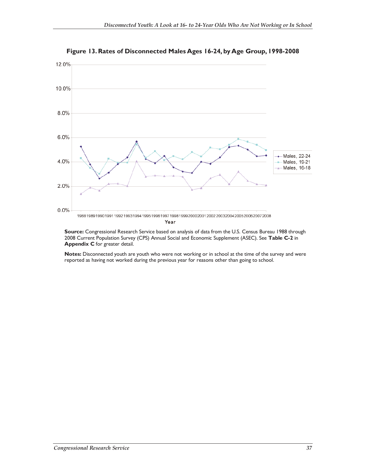

**Figure 13. Rates of Disconnected Males Ages 16-24, by Age Group, 1998-2008** 

**Source:** Congressional Research Service based on analysis of data from the U.S. Census Bureau 1988 through 2008 Current Population Survey (CPS) Annual Social and Economic Supplement (ASEC). See **Table C-2** in **Appendix C** for greater detail.

**Notes:** Disconnected youth are youth who were not working or in school at the time of the survey and were reported as having not worked during the previous year for reasons other than going to school.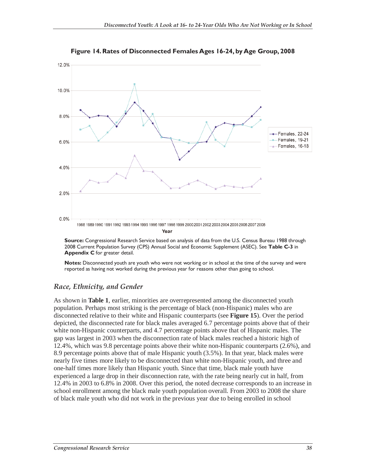

**Figure 14. Rates of Disconnected Females Ages 16-24, by Age Group, 2008** 

**Source:** Congressional Research Service based on analysis of data from the U.S. Census Bureau 1988 through 2008 Current Population Survey (CPS) Annual Social and Economic Supplement (ASEC). See **Table C-3** in **Appendix C** for greater detail.

**Notes:** Disconnected youth are youth who were not working or in school at the time of the survey and were reported as having not worked during the previous year for reasons other than going to school.

## *Race, Ethnicity, and Gender*

As shown in **Table 1**, earlier, minorities are overrepresented among the disconnected youth population. Perhaps most striking is the percentage of black (non-Hispanic) males who are disconnected relative to their white and Hispanic counterparts (see **Figure 15**). Over the period depicted, the disconnected rate for black males averaged 6.7 percentage points above that of their white non-Hispanic counterparts, and 4.7 percentage points above that of Hispanic males. The gap was largest in 2003 when the disconnection rate of black males reached a historic high of 12.4%, which was 9.8 percentage points above their white non-Hispanic counterparts (2.6%), and 8.9 percentage points above that of male Hispanic youth (3.5%). In that year, black males were nearly five times more likely to be disconnected than white non-Hispanic youth, and three and one-half times more likely than Hispanic youth. Since that time, black male youth have experienced a large drop in their disconnection rate, with the rate being nearly cut in half, from 12.4% in 2003 to 6.8% in 2008. Over this period, the noted decrease corresponds to an increase in school enrollment among the black male youth population overall. From 2003 to 2008 the share of black male youth who did not work in the previous year due to being enrolled in school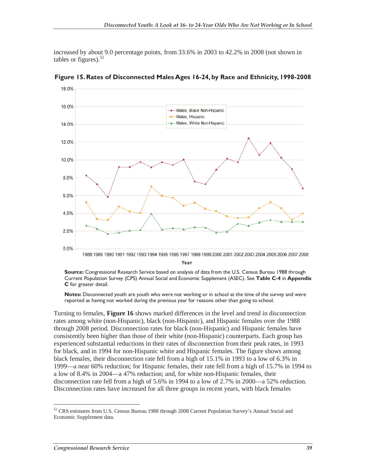increased by about 9.0 percentage points, from 33.6% in 2003 to 42.2% in 2008 (not shown in tables or figures). $52$ 



**Figure 15. Rates of Disconnected Males Ages 16-24, by Race and Ethnicity, 1998-2008** 

**Source:** Congressional Research Service based on analysis of data from the U.S. Census Bureau 1988 through Current Population Survey (CPS) Annual Social and Economic Supplement (ASEC). See **Table C-4** in **Appendix C** for greater detail.

**Notes:** Disconnected youth are youth who were not working or in school at the time of the survey and were reported as having not worked during the previous year for reasons other than going to school.

Turning to females, **Figure 16** shows marked differences in the level and trend in disconnection rates among white (non-Hispanic), black (non-Hispanic), and Hispanic females over the 1988 through 2008 period. Disconnection rates for black (non-Hispanic) and Hispanic females have consistently been higher than those of their white (non-Hispanic) counterparts. Each group has experienced substantial reductions in their rates of disconnection from their peak rates, in 1993 for black, and in 1994 for non-Hispanic white and Hispanic females. The figure shows among black females, their disconnection rate fell from a high of 15.1% in 1993 to a low of 6.3% in 1999—a near 60% reduction; for Hispanic females, their rate fell from a high of 15.7% in 1994 to a low of 8.4% in 2004—a 47% reduction; and, for white non-Hispanic females, their disconnection rate fell from a high of 5.6% in 1994 to a low of 2.7% in 2000—a 52% reduction. Disconnection rates have increased for all three groups in recent years, with black females

-

 $52$  CRS estimates from U.S. Census Bureau 1988 through 2008 Current Population Survey's Annual Social and Economic Supplement data.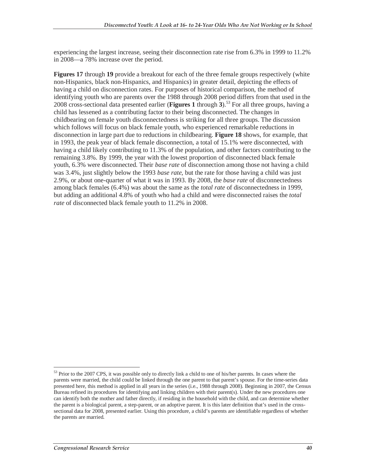experiencing the largest increase, seeing their disconnection rate rise from 6.3% in 1999 to 11.2% in 2008—a 78% increase over the period.

**Figures 17** through **19** provide a breakout for each of the three female groups respectively (white non-Hispanics, black non-Hispanics, and Hispanics) in greater detail, depicting the effects of having a child on disconnection rates. For purposes of historical comparison, the method of identifying youth who are parents over the 1988 through 2008 period differs from that used in the 2008 cross-sectional data presented earlier (**Figures 1** through 3).<sup>53</sup> For all three groups, having a child has lessened as a contributing factor to their being disconnected. The changes in childbearing on female youth disconnectedness is striking for all three groups. The discussion which follows will focus on black female youth, who experienced remarkable reductions in disconnection in large part due to reductions in childbearing. **Figure 18** shows, for example, that in 1993, the peak year of black female disconnection, a total of 15.1% were disconnected, with having a child likely contributing to 11.3% of the population, and other factors contributing to the remaining 3.8%. By 1999, the year with the lowest proportion of disconnected black female youth, 6.3% were disconnected. Their *base rate* of disconnection among those not having a child was 3.4%, just slightly below the 1993 *base rate*, but the rate for those having a child was just 2.9%, or about one-quarter of what it was in 1993. By 2008, the *base rate* of disconnectedness among black females (6.4%) was about the same as the *total rate* of disconnectedness in 1999, but adding an additional 4.8% of youth who had a child and were disconnected raises the *total rate* of disconnected black female youth to 11.2% in 2008.

 $\overline{a}$ 

<sup>&</sup>lt;sup>53</sup> Prior to the 2007 CPS, it was possible only to directly link a child to one of his/her parents. In cases where the parents were married, the child could be linked through the one parent to that parent's spouse. For the time-series data presented here, this method is applied in all years in the series (i.e., 1988 through 2008). Beginning in 2007, the Census Bureau refined its procedures for identifying and linking children with their parent(s). Under the new procedures one can identify both the mother and father directly, if residing in the household with the child, and can determine whether the parent is a biological parent, a step-parent, or an adoptive parent. It is this later definition that's used in the crosssectional data for 2008, presented earlier. Using this procedure, a child's parents are identifiable regardless of whether the parents are married.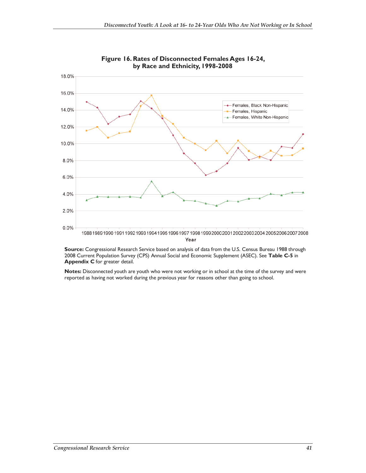



**Source:** Congressional Research Service based on analysis of data from the U.S. Census Bureau 1988 through 2008 Current Population Survey (CPS) Annual Social and Economic Supplement (ASEC). See **Table C-5** in **Appendix C** for greater detail.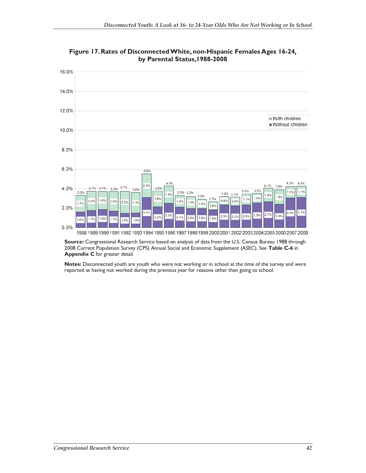

**Figure 17. Rates of Disconnected White, non-Hispanic Females Ages 16-24, by Parental Status,1988-2008** 

**Source:** Congressional Research Service based on analysis of data from the U.S. Census Bureau 1988 through 2008 Current Population Survey (CPS) Annual Social and Economic Supplement (ASEC). See **Table C-6** in **Appendix C** for greater detail.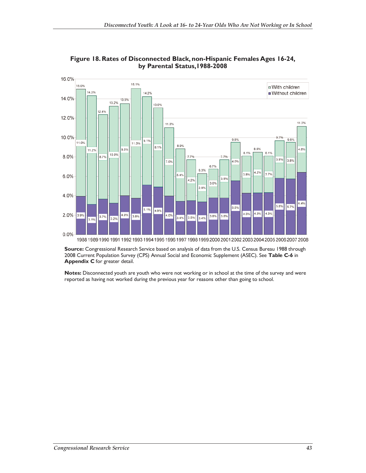

**Figure 18. Rates of Disconnected Black, non-Hispanic Females Ages 16-24, by Parental Status,1988-2008** 

Source: Congressional Research Service based on analysis of data from the U.S. Census Bureau 1988 through 2008 Current Population Survey (CPS) Annual Social and Economic Supplement (ASEC). See **Table C-6** in **Appendix C** for greater detail.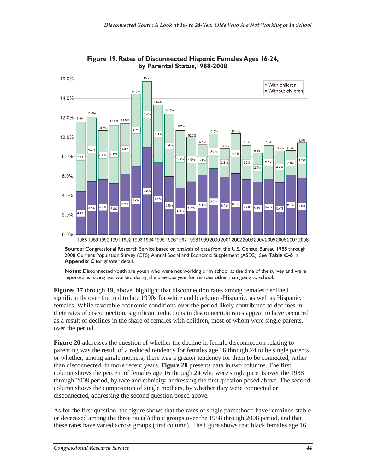

**Figure 19. Rates of Disconnected Hispanic Females Ages 16-24, by Parental Status,1988-2008** 

**Source:** Congressional Research Service based on analysis of data from the U.S. Census Bureau 1988 through 2008 Current Population Survey (CPS) Annual Social and Economic Supplement (ASEC). See **Table C-6** in **Appendix C** for greater detail.

**Notes:** Disconnected youth are youth who were not working or in school at the time of the survey and were reported as having not worked during the previous year for reasons other than going to school.

**Figures 17** through **19**, above, highlight that disconnection rates among females declined significantly over the mid to late 1990s for white and black non-Hispanic, as well as Hispanic, females. While favorable economic conditions over the period likely contributed to declines in their rates of disconnection, significant reductions in disconnection rates appear to have occurred as a result of declines in the share of females with children, most of whom were single parents, over the period.

**Figure 20** addresses the question of whether the decline in female disconnection relating to parenting was the result of a reduced tendency for females age 16 through 24 to be single parents, or whether, among single mothers, there was a greater tendency for them to be connected, rather than disconnected, in more recent years. **Figure 20** presents data in two columns. The first column shows the percent of females age 16 through 24 who were single parents over the 1988 through 2008 period, by race and ethnicity, addressing the first question posed above. The second column shows the composition of single mothers, by whether they were connected or disconnected, addressing the second question posed above.

As for the first question, the figure shows that the rates of single parenthood have remained stable or decreased among the three racial/ethnic groups over the 1988 through 2008 period, and that these rates have varied across groups (first column). The figure shows that black females age 16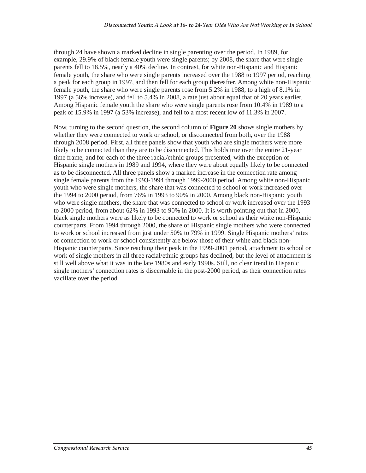through 24 have shown a marked decline in single parenting over the period. In 1989, for example, 29.9% of black female youth were single parents; by 2008, the share that were single parents fell to 18.5%, nearly a 40% decline. In contrast, for white non-Hispanic and Hispanic female youth, the share who were single parents increased over the 1988 to 1997 period, reaching a peak for each group in 1997, and then fell for each group thereafter. Among white non-Hispanic female youth, the share who were single parents rose from 5.2% in 1988, to a high of 8.1% in 1997 (a 56% increase), and fell to 5.4% in 2008, a rate just about equal that of 20 years earlier. Among Hispanic female youth the share who were single parents rose from 10.4% in 1989 to a peak of 15.9% in 1997 (a 53% increase), and fell to a most recent low of 11.3% in 2007.

Now, turning to the second question, the second column of **Figure 20** shows single mothers by whether they were connected to work or school, or disconnected from both, over the 1988 through 2008 period. First, all three panels show that youth who are single mothers were more likely to be connected than they are to be disconnected. This holds true over the entire 21-year time frame, and for each of the three racial/ethnic groups presented, with the exception of Hispanic single mothers in 1989 and 1994, where they were about equally likely to be connected as to be disconnected. All three panels show a marked increase in the connection rate among single female parents from the 1993-1994 through 1999-2000 period. Among white non-Hispanic youth who were single mothers, the share that was connected to school or work increased over the 1994 to 2000 period, from 76% in 1993 to 90% in 2000. Among black non-Hispanic youth who were single mothers, the share that was connected to school or work increased over the 1993 to 2000 period, from about 62% in 1993 to 90% in 2000. It is worth pointing out that in 2000, black single mothers were as likely to be connected to work or school as their white non-Hispanic counterparts. From 1994 through 2000, the share of Hispanic single mothers who were connected to work or school increased from just under 50% to 79% in 1999. Single Hispanic mothers' rates of connection to work or school consistently are below those of their white and black non-Hispanic counterparts. Since reaching their peak in the 1999-2001 period, attachment to school or work of single mothers in all three racial/ethnic groups has declined, but the level of attachment is still well above what it was in the late 1980s and early 1990s. Still, no clear trend in Hispanic single mothers' connection rates is discernable in the post-2000 period, as their connection rates vacillate over the period.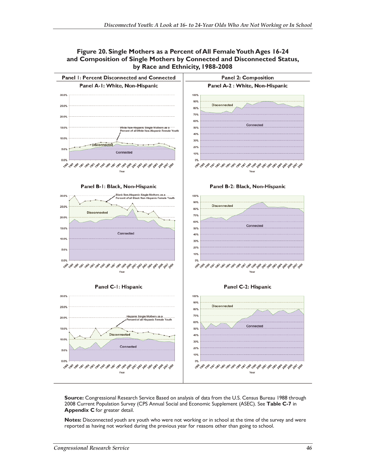



**Source:** Congressional Research Service Based on analysis of data from the U.S. Census Bureau 1988 through 2008 Current Population Survey (CPS Annual Social and Economic Supplement (ASEC). See **Table C-7** in **Appendix C** for greater detail.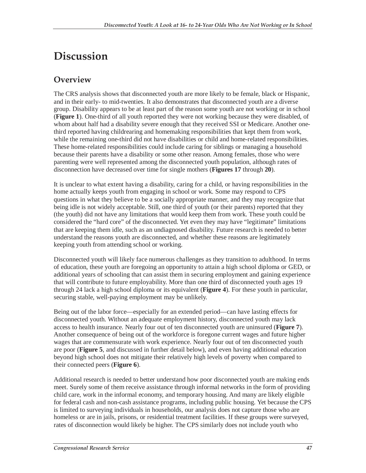# **Discussion**

# **Overview**

The CRS analysis shows that disconnected youth are more likely to be female, black or Hispanic, and in their early- to mid-twenties. It also demonstrates that disconnected youth are a diverse group. Disability appears to be at least part of the reason some youth are not working or in school (**Figure 1**). One-third of all youth reported they were not working because they were disabled, of whom about half had a disability severe enough that they received SSI or Medicare. Another onethird reported having childrearing and homemaking responsibilities that kept them from work, while the remaining one-third did not have disabilities or child and home-related responsibilities. These home-related responsibilities could include caring for siblings or managing a household because their parents have a disability or some other reason. Among females, those who were parenting were well represented among the disconnected youth population, although rates of disconnection have decreased over time for single mothers (**Figures 17** through **20**).

It is unclear to what extent having a disability, caring for a child, or having responsibilities in the home actually keeps youth from engaging in school or work. Some may respond to CPS questions in what they believe to be a socially appropriate manner, and they may recognize that being idle is not widely acceptable. Still, one third of youth (or their parents) reported that they (the youth) did not have any limitations that would keep them from work. These youth could be considered the "hard core" of the disconnected. Yet even they may have "legitimate" limitations that are keeping them idle, such as an undiagnosed disability. Future research is needed to better understand the reasons youth are disconnected, and whether these reasons are legitimately keeping youth from attending school or working.

Disconnected youth will likely face numerous challenges as they transition to adulthood. In terms of education, these youth are foregoing an opportunity to attain a high school diploma or GED, or additional years of schooling that can assist them in securing employment and gaining experience that will contribute to future employability. More than one third of disconnected youth ages 19 through 24 lack a high school diploma or its equivalent (**Figure 4**). For these youth in particular, securing stable, well-paying employment may be unlikely.

Being out of the labor force—especially for an extended period—can have lasting effects for disconnected youth. Without an adequate employment history, disconnected youth may lack access to health insurance. Nearly four out of ten disconnected youth are uninsured (**Figure 7**). Another consequence of being out of the workforce is foregone current wages and future higher wages that are commensurate with work experience. Nearly four out of ten disconnected youth are poor (**Figure 5**, and discussed in further detail below), and even having additional education beyond high school does not mitigate their relatively high levels of poverty when compared to their connected peers (**Figure 6**).

Additional research is needed to better understand how poor disconnected youth are making ends meet. Surely some of them receive assistance through informal networks in the form of providing child care, work in the informal economy, and temporary housing. And many are likely eligible for federal cash and non-cash assistance programs, including public housing. Yet because the CPS is limited to surveying individuals in households, our analysis does not capture those who are homeless or are in jails, prisons, or residential treatment facilities. If these groups were surveyed, rates of disconnection would likely be higher. The CPS similarly does not include youth who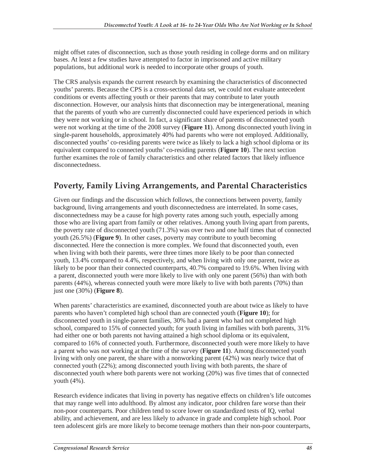might offset rates of disconnection, such as those youth residing in college dorms and on military bases. At least a few studies have attempted to factor in imprisoned and active military populations, but additional work is needed to incorporate other groups of youth.

The CRS analysis expands the current research by examining the characteristics of disconnected youths' parents. Because the CPS is a cross-sectional data set, we could not evaluate antecedent conditions or events affecting youth or their parents that may contribute to later youth disconnection. However, our analysis hints that disconnection may be intergenerational, meaning that the parents of youth who are currently disconnected could have experienced periods in which they were not working or in school. In fact, a significant share of parents of disconnected youth were not working at the time of the 2008 survey (**Figure 11**). Among disconnected youth living in single-parent households, approximately 40% had parents who were not employed. Additionally, disconnected youths' co-residing parents were twice as likely to lack a high school diploma or its equivalent compared to connected youths' co-residing parents (**Figure 10**). The next section further examines the role of family characteristics and other related factors that likely influence disconnectedness.

# **Poverty, Family Living Arrangements, and Parental Characteristics**

Given our findings and the discussion which follows, the connections between poverty, family background, living arrangements and youth disconnectedness are interrelated. In some cases, disconnectedness may be a cause for high poverty rates among such youth, especially among those who are living apart from family or other relatives. Among youth living apart from parents, the poverty rate of disconnected youth (71.3%) was over two and one half times that of connected youth (26.5%) (**Figure 9**). In other cases, poverty may contribute to youth becoming disconnected. Here the connection is more complex. We found that disconnected youth, even when living with both their parents, were three times more likely to be poor than connected youth, 13.4% compared to 4.4%, respectively, and when living with only one parent, twice as likely to be poor than their connected counterparts, 40.7% compared to 19.6%. When living with a parent, disconnected youth were more likely to live with only one parent (56%) than with both parents (44%), whereas connected youth were more likely to live with both parents (70%) than just one (30%) (**Figure 8**).

When parents' characteristics are examined, disconnected youth are about twice as likely to have parents who haven't completed high school than are connected youth (**Figure 10**); for disconnected youth in single-parent families, 30% had a parent who had not completed high school, compared to 15% of connected youth; for youth living in families with both parents, 31% had either one or both parents not having attained a high school diploma or its equivalent, compared to 16% of connected youth. Furthermore, disconnected youth were more likely to have a parent who was not working at the time of the survey (**Figure 11**). Among disconnected youth living with only one parent, the share with a nonworking parent (42%) was nearly twice that of connected youth (22%); among disconnected youth living with both parents, the share of disconnected youth where both parents were not working (20%) was five times that of connected youth (4%).

Research evidence indicates that living in poverty has negative effects on children's life outcomes that may range well into adulthood. By almost any indicator, poor children fare worse than their non-poor counterparts. Poor children tend to score lower on standardized tests of IQ, verbal ability, and achievement, and are less likely to advance in grade and complete high school. Poor teen adolescent girls are more likely to become teenage mothers than their non-poor counterparts,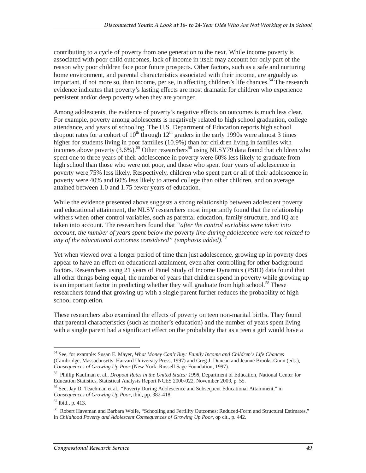contributing to a cycle of poverty from one generation to the next. While income poverty is associated with poor child outcomes, lack of income in itself may account for only part of the reason why poor children face poor future prospects. Other factors, such as a safe and nurturing home environment, and parental characteristics associated with their income, are arguably as important, if not more so, than income, per se, in affecting children's life chances.<sup>54</sup> The research evidence indicates that poverty's lasting effects are most dramatic for children who experience persistent and/or deep poverty when they are younger.

Among adolescents, the evidence of poverty's negative effects on outcomes is much less clear. For example, poverty among adolescents is negatively related to high school graduation, college attendance, and years of schooling. The U.S. Department of Education reports high school dropout rates for a cohort of  $10^{th}$  through  $12^{th}$  graders in the early 1990s were almost 3 times higher for students living in poor families (10.9%) than for children living in families with incomes above poverty  $(3.6\%)$ .<sup>55</sup> Other researchers<sup>56</sup> using NLSY79 data found that children who spent one to three years of their adolescence in poverty were 60% less likely to graduate from high school than those who were not poor, and those who spent four years of adolescence in poverty were 75% less likely. Respectively, children who spent part or all of their adolescence in poverty were 40% and 60% less likely to attend college than other children, and on average attained between 1.0 and 1.75 fewer years of education.

While the evidence presented above suggests a strong relationship between adolescent poverty and educational attainment, the NLSY researchers most importantly found that the relationship withers when other control variables, such as parental education, family structure, and IQ are taken into account. The researchers found that *"after the control variables were taken into account, the number of years spent below the poverty line during adolescence were not related to*  any of the educational outcomes considered" (emphasis added).<sup>5</sup>

Yet when viewed over a longer period of time than just adolescence, growing up in poverty does appear to have an effect on educational attainment, even after controlling for other background factors. Researchers using 21 years of Panel Study of Income Dynamics (PSID) data found that all other things being equal, the number of years that children spend in poverty while growing up is an important factor in predicting whether they will graduate from high school.<sup>58</sup> These researchers found that growing up with a single parent further reduces the probability of high school completion.

These researchers also examined the effects of poverty on teen non-marital births. They found that parental characteristics (such as mother's education) and the number of years spent living with a single parent had a significant effect on the probability that as a teen a girl would have a

 $\overline{a}$ 54 See, for example: Susan E. Mayer, *What Money Can't Buy: Family Income and Children's Life Chances* (Cambridge, Massachusetts: Harvard University Press, 1997) and Greg J. Duncan and Jeanne Brooks-Gunn (eds.), *Consequences of Growing Up Poor* (New York: Russell Sage Foundation, 1997).

<sup>55</sup> Phillip Kaufman et al., *Dropout Rates in the United States: 1998*, Department of Education, National Center for Education Statistics, Statistical Analysis Report NCES 2000-022, November 2009, p. 55.

<sup>56</sup> See, Jay D. Teachman et al., "Poverty During Adolescence and Subsequent Educational Attainment," in *Consequences of Growing Up Poor*, ibid, pp. 382-418.

<sup>57</sup> Ibid., p. 413.

<sup>58</sup> Robert Haveman and Barbara Wolfe, "Schooling and Fertility Outcomes: Reduced-Form and Structural Estimates," in *Childhood Poverty and Adolescent Consequences of Growing Up Poor*, op cit., p. 442.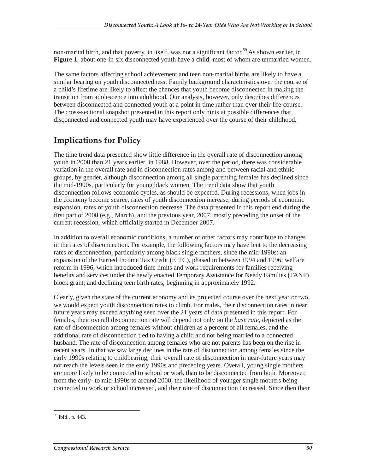non-marital birth, and that poverty, in itself, was not a significant factor.<sup>59</sup> As shown earlier, in **Figure 1**, about one-in-six disconnected youth have a child, most of whom are unmarried women.

The same factors affecting school achievement and teen non-marital births are likely to have a similar bearing on youth disconnectedness. Family background characteristics over the course of a child's lifetime are likely to affect the chances that youth become disconnected in making the transition from adolescence into adulthood. Our analysis, however, only describes differences between disconnected and connected youth at a point in time rather than over their life-course. The cross-sectional snapshot presented in this report only hints at possible differences that disconnected and connected youth may have experienced over the course of their childhood.

# **Implications for Policy**

The time trend data presented show little difference in the overall rate of disconnection among youth in 2008 than 21 years earlier, in 1988. However, over the period, there was considerable variation in the overall rate and in disconnection rates among and between racial and ethnic groups, by gender, although disconnection among all single parenting females has declined since the mid-1990s, particularly for young black women. The trend data show that youth disconnection follows economic cycles, as should be expected. During recessions, when jobs in the economy become scarce, rates of youth disconnection increase; during periods of economic expansion, rates of youth disconnection decrease. The data presented in this report end during the first part of 2008 (e.g., March), and the previous year, 2007, mostly preceding the onset of the current recession, which officially started in December 2007.

In addition to overall economic conditions, a number of other factors may contribute to changes in the rates of disconnection. For example, the following factors may have lent to the decreasing rates of disconnection, particularly among black single mothers, since the mid-1990s: an expansion of the Earned Income Tax Credit (EITC), phased in between 1994 and 1996; welfare reform in 1996, which introduced time limits and work requirements for families receiving benefits and services under the newly enacted Temporary Assistance for Needy Families (TANF) block grant; and declining teen birth rates, beginning in approximately 1992.

Clearly, given the state of the current economy and its projected course over the next year or two, we would expect youth disconnection rates to climb. For males, their disconnection rates in near future years may exceed anything seen over the 21 years of data presented in this report. For females, their overall disconnection rate will depend not only on the *base rate*, depicted as the rate of disconnection among females without children as a percent of all females, and the additional rate of disconnection tied to having a child and not being married to a connected husband. The rate of disconnection among females who are not parents has been on the rise in recent years. In that we saw large declines in the rate of disconnection among females since the early 1990s relating to childbearing, their overall rate of disconnection in near-future years may not reach the levels seen in the early 1990s and preceding years. Overall, young single mothers are more likely to be connected to school or work than to be disconnected from both. Moreover, from the early- to mid-1990s to around 2000, the likelihood of younger single mothers being connected to work or school increased, and their rate of disconnection decreased. Since then their

<sup>-</sup>59 Ibid., p. 443.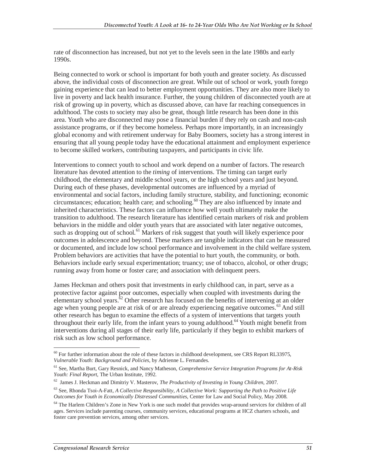rate of disconnection has increased, but not yet to the levels seen in the late 1980s and early 1990s.

Being connected to work or school is important for both youth and greater society. As discussed above, the individual costs of disconnection are great. While out of school or work, youth forego gaining experience that can lead to better employment opportunities. They are also more likely to live in poverty and lack health insurance. Further, the young children of disconnected youth are at risk of growing up in poverty, which as discussed above, can have far reaching consequences in adulthood. The costs to society may also be great, though little research has been done in this area. Youth who are disconnected may pose a financial burden if they rely on cash and non-cash assistance programs, or if they become homeless. Perhaps more importantly, in an increasingly global economy and with retirement underway for Baby Boomers, society has a strong interest in ensuring that all young people today have the educational attainment and employment experience to become skilled workers, contributing taxpayers, and participants in civic life.

Interventions to connect youth to school and work depend on a number of factors. The research literature has devoted attention to the *timing* of interventions. The timing can target early childhood, the elementary and middle school years, or the high school years and just beyond. During each of these phases, developmental outcomes are influenced by a myriad of environmental and social factors, including family structure, stability, and functioning; economic circumstances; education; health care; and schooling.<sup>60</sup> They are also influenced by innate and inherited characteristics. These factors can influence how well youth ultimately make the transition to adulthood. The research literature has identified certain markers of risk and problem behaviors in the middle and older youth years that are associated with later negative outcomes, such as dropping out of school.<sup>61</sup> Markers of risk suggest that youth will likely experience poor outcomes in adolescence and beyond. These markers are tangible indicators that can be measured or documented, and include low school performance and involvement in the child welfare system. Problem behaviors are activities that have the potential to hurt youth, the community, or both. Behaviors include early sexual experimentation; truancy; use of tobacco, alcohol, or other drugs; running away from home or foster care; and association with delinquent peers.

James Heckman and others posit that investments in early childhood can, in part, serve as a protective factor against poor outcomes, especially when coupled with investments during the elementary school years. ${}^{62}$  Other research has focused on the benefits of intervening at an older age when young people are at risk of or are already experiencing negative outcomes.<sup>63</sup> And still other research has begun to examine the effects of a system of interventions that targets youth throughout their early life, from the infant years to young adulthood.<sup>64</sup> Youth might benefit from interventions during all stages of their early life, particularly if they begin to exhibit markers of risk such as low school performance.

 $\overline{a}$  $60$  For further information about the role of these factors in childhood development, see CRS Report RL33975, *Vulnerable Youth: Background and Policies*, by Adrienne L. Fernandes.

<sup>61</sup> See, Martha Burt, Gary Resnick, and Nancy Matheson, *Comprehensive Service Integration Programs for At-Risk* 

<sup>&</sup>lt;sup>62</sup> James J. Heckman and Dimitriy V. Masterov, *The Productivity of Investing in Young Children*, 2007.

<sup>63</sup> See, Rhonda Tsoi-A-Fatt, *A Collective Responsibility, A Collective Work: Supporting the Path to Positive Life Outcomes for Youth in Economically Distressed Communities*, Center for Law and Social Policy, May 2008.

<sup>&</sup>lt;sup>64</sup> The Harlem Children's Zone in New York is one such model that provides wrap-around services for children of all ages. Services include parenting courses, community services, educational programs at HCZ charters schools, and foster care prevention services, among other services.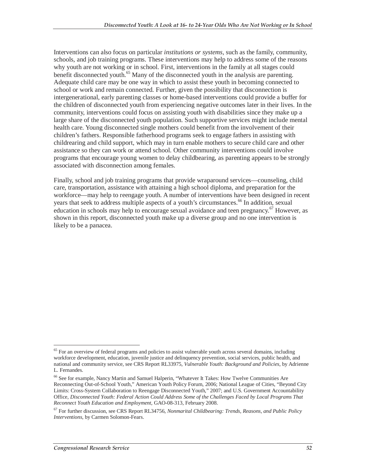Interventions can also focus on particular *institutions or systems*, such as the family, community, schools, and job training programs. These interventions may help to address some of the reasons why youth are not working or in school. First, interventions in the family at all stages could benefit disconnected youth.<sup>65</sup> Many of the disconnected youth in the analysis are parenting. Adequate child care may be one way in which to assist these youth in becoming connected to school or work and remain connected. Further, given the possibility that disconnection is intergenerational, early parenting classes or home-based interventions could provide a buffer for the children of disconnected youth from experiencing negative outcomes later in their lives. In the community, interventions could focus on assisting youth with disabilities since they make up a large share of the disconnected youth population. Such supportive services might include mental health care. Young disconnected single mothers could benefit from the involvement of their children's fathers. Responsible fatherhood programs seek to engage fathers in assisting with childrearing and child support, which may in turn enable mothers to secure child care and other assistance so they can work or attend school. Other community interventions could involve programs that encourage young women to delay childbearing, as parenting appears to be strongly associated with disconnection among females.

Finally, school and job training programs that provide wraparound services—counseling, child care, transportation, assistance with attaining a high school diploma, and preparation for the workforce—may help to reengage youth. A number of interventions have been designed in recent years that seek to address multiple aspects of a youth's circumstances.<sup>66</sup> In addition, sexual education in schools may help to encourage sexual avoidance and teen pregnancy.<sup>67</sup> However, as shown in this report, disconnected youth make up a diverse group and no one intervention is likely to be a panacea.

<sup>-</sup><sup>65</sup> For an overview of federal programs and policies to assist vulnerable youth across several domains, including workforce development, education, juvenile justice and delinquency prevention, social services, public health, and national and community service, see CRS Report RL33975, *Vulnerable Youth: Background and Policies*, by Adrienne L. Fernandes.

<sup>66</sup> See for example, Nancy Martin and Samuel Halperin, "Whatever It Takes: How Twelve Communities Are Reconnecting Out-of-School Youth," American Youth Policy Forum, 2006; National League of Cities, "Beyond City Limits: Cross-System Collaboration to Reengage Disconnected Youth," 2007; and U.S. Government Accountability Office*, Disconnected Youth: Federal Action Could Address Some of the Challenges Faced by Local Programs That Reconnect Youth Education and Employment*, GAO-08-313, February 2008.

<sup>67</sup> For further discussion, see CRS Report RL34756, *Nonmarital Childbearing: Trends, Reasons, and Public Policy Interventions*, by Carmen Solomon-Fears.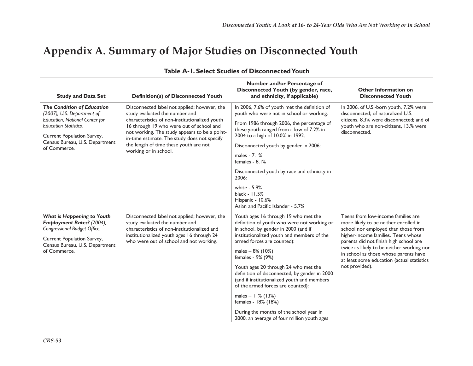# **Appendix A. Summary of Major Studies on Disconnected Youth**

| <b>Study and Data Set</b>                                                                                                                                                                                         | <b>Definition(s) of Disconnected Youth</b>                                                                                                                                                                                                                                                                                                       | Number and/or Percentage of<br>Disconnected Youth (by gender, race,<br>and ethnicity, if applicable)                                                                                                                                                                                                                                                                                                                                                                                                                                                                    | <b>Other Information on</b><br><b>Disconnected Youth</b>                                                                                                                                                                                                                                                                                                  |
|-------------------------------------------------------------------------------------------------------------------------------------------------------------------------------------------------------------------|--------------------------------------------------------------------------------------------------------------------------------------------------------------------------------------------------------------------------------------------------------------------------------------------------------------------------------------------------|-------------------------------------------------------------------------------------------------------------------------------------------------------------------------------------------------------------------------------------------------------------------------------------------------------------------------------------------------------------------------------------------------------------------------------------------------------------------------------------------------------------------------------------------------------------------------|-----------------------------------------------------------------------------------------------------------------------------------------------------------------------------------------------------------------------------------------------------------------------------------------------------------------------------------------------------------|
| <b>The Condition of Education</b><br>(2007), U.S. Department of<br>Education, National Center for<br><b>Education Statistics.</b><br>Current Population Survey,<br>Census Bureau, U.S. Department<br>of Commerce. | Disconnected label not applied; however, the<br>study evaluated the number and<br>characteristics of non-institutionalized youth<br>16 through 19 who were out of school and<br>not working. The study appears to be a point-<br>in-time estimate. The study does not specify<br>the length of time these youth are not<br>working or in school. | In 2006, 7.6% of youth met the definition of<br>youth who were not in school or working.<br>From 1986 through 2006, the percentage of<br>these youth ranged from a low of 7.2% in<br>2004 to a high of 10.0% in 1992.<br>Disconnected youth by gender in 2006:<br>males $-7.1%$<br>females - $8.1%$<br>Disconnected youth by race and ethnicity in<br>2006:<br>white - 5.9%<br>black - 11.5%<br>Hispanic - 10.6%<br>Asian and Pacific Islander - 5.7%                                                                                                                   | In 2006, of U.S.-born youth, 7.2% were<br>disconnected: of naturalized U.S.<br>citizens, 8.3% were disconnected; and of<br>youth who are non-citizens, 13.% were<br>disconnected.                                                                                                                                                                         |
| What is Happening to Youth<br>Employment Rates? (2004),<br>Congressional Budget Office.<br>Current Population Survey,<br>Census Bureau, U.S. Department<br>of Commerce.                                           | Disconnected label not applied; however, the<br>study evaluated the number and<br>characteristics of non-institutionalized and<br>institutionalized youth ages 16 through 24<br>who were out of school and not working.                                                                                                                          | Youth ages 16 through 19 who met the<br>definition of youth who were not working or<br>in school, by gender in 2000 (and if<br>institutionalized youth and members of the<br>armed forces are counted):<br>males $-8\%$ (10%)<br>females - 9% (9%)<br>Youth ages 20 through 24 who met the<br>definition of disconnected, by gender in 2000<br>(and if institutionalized youth and members<br>of the armed forces are counted):<br>males $-11\%$ (13%)<br>females - 18% (18%)<br>During the months of the school year in<br>2000, an average of four million youth ages | Teens from low-income families are<br>more likely to be neither enrolled in<br>school nor employed than those from<br>higher-income families. Teens whose<br>parents did not finish high school are<br>twice as likely to be neither working nor<br>in school as those whose parents have<br>at least some education (actual statistics<br>not provided). |

#### **Table A-1. Select Studies of Disconnected Youth**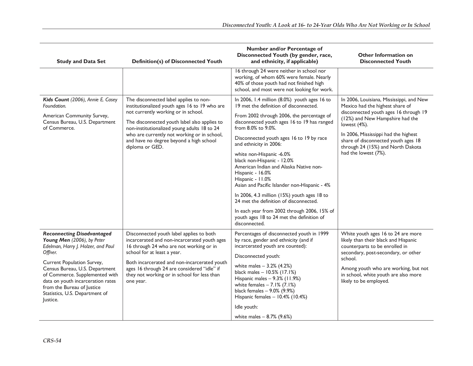| <b>Study and Data Set</b>                                                                                                                                                                                                                                                                                                           | <b>Definition(s) of Disconnected Youth</b>                                                                                                                                                                                                                                                                                                 | Number and/or Percentage of<br>Disconnected Youth (by gender, race,<br>and ethnicity, if applicable)                                                                                                                                                                                                                                                                                                                                                                                                                                                                                                                                                                             | <b>Other Information on</b><br><b>Disconnected Youth</b>                                                                                                                                                                                                                                                            |
|-------------------------------------------------------------------------------------------------------------------------------------------------------------------------------------------------------------------------------------------------------------------------------------------------------------------------------------|--------------------------------------------------------------------------------------------------------------------------------------------------------------------------------------------------------------------------------------------------------------------------------------------------------------------------------------------|----------------------------------------------------------------------------------------------------------------------------------------------------------------------------------------------------------------------------------------------------------------------------------------------------------------------------------------------------------------------------------------------------------------------------------------------------------------------------------------------------------------------------------------------------------------------------------------------------------------------------------------------------------------------------------|---------------------------------------------------------------------------------------------------------------------------------------------------------------------------------------------------------------------------------------------------------------------------------------------------------------------|
|                                                                                                                                                                                                                                                                                                                                     |                                                                                                                                                                                                                                                                                                                                            | 16 through 24 were neither in school nor<br>working, of whom 60% were female. Nearly<br>40% of those youth had not finished high<br>school, and most were not looking for work.                                                                                                                                                                                                                                                                                                                                                                                                                                                                                                  |                                                                                                                                                                                                                                                                                                                     |
| Kids Count (2006), Annie E. Casey<br>Foundation.<br>American Community Survey,<br>Census Bureau, U.S. Department<br>of Commerce.                                                                                                                                                                                                    | The disconnected label applies to non-<br>institutionalized youth ages 16 to 19 who are<br>not currently working or in school.<br>The disconnected youth label also applies to<br>non-institutionalized young adults 18 to 24<br>who are currently not working or in school,<br>and have no degree beyond a high school<br>diploma or GED. | In 2006, I.4 million (8.0%) youth ages 16 to<br>19 met the definition of disconnected.<br>From 2002 through 2006, the percentage of<br>disconnected youth ages 16 to 19 has ranged<br>from 8.0% to 9.0%.<br>Disconnected youth ages 16 to 19 by race<br>and ethnicity in 2006:<br>white non-Hispanic -6.0%<br>black non-Hispanic - 12.0%<br>American Indian and Alaska Native non-<br>Hispanic - 16.0%<br>Hispanic - 11.0%<br>Asian and Pacific Islander non-Hispanic - 4%<br>In 2006, 4.3 million (15%) youth ages 18 to<br>24 met the definition of disconnected.<br>In each year from 2002 through 2006, 15% of<br>youth ages 18 to 24 met the definition of<br>disconnected. | In 2006, Louisiana, Mississippi, and New<br>Mexico had the highest share of<br>disconnected youth ages 16 through 19<br>(12%) and New Hampshire had the<br>lowest (4%).<br>In 2006, Mississippi had the highest<br>share of disconnected youth ages 18<br>through 24 (15%) and North Dakota<br>had the lowest (7%). |
| <b>Reconnecting Disadvantaged</b><br>Young Men (2006), by Peter<br>Edelman, Harry J. Holzer, and Paul<br>Offner.<br>Current Population Survey,<br>Census Bureau, U.S. Department<br>of Commerce. Supplemented with<br>data on youth incarceration rates<br>from the Bureau of Justice<br>Statistics, U.S. Department of<br>Justice. | Disconnected youth label applies to both<br>incarcerated and non-incarcerated youth ages<br>16 through 24 who are not working or in<br>school for at least a year.<br>Both incarcerated and non-incarcerated youth<br>ages 16 through 24 are considered "idle" if<br>they not working or in school for less than<br>one year.              | Percentages of disconnected youth in 1999<br>by race, gender and ethnicity (and if<br>incarcerated youth are counted):<br>Disconnected youth:<br>white males $-3.2%$ (4.2%)<br>black males - 10.5% (17.1%)<br>Hispanic males - 9.3% (11.9%)<br>white females $-7.1\%$ (7.1%)<br>black females $-9.0\%$ (9.9%)<br>Hispanic females - 10.4% (10.4%)<br>Idle youth:<br>white males $-8.7\%$ (9.6%)                                                                                                                                                                                                                                                                                  | White youth ages 16 to 24 are more<br>likely than their black and Hispanic<br>counterparts to be enrolled in<br>secondary, post-secondary, or other<br>school.<br>Among youth who are working, but not<br>in school, white youth are also more<br>likely to be employed.                                            |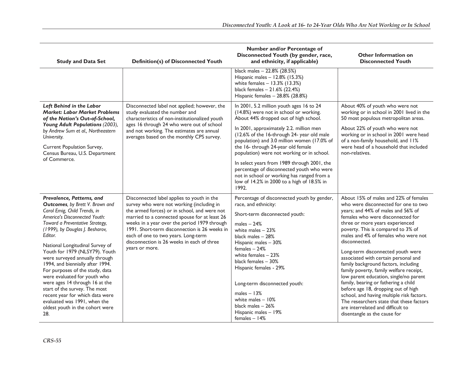| <b>Study and Data Set</b>                                                                                                                                                                                                                                                                                                                                                                                                                                                                                                                                                                                    | <b>Definition(s) of Disconnected Youth</b>                                                                                                                                                                                                                                                                                                                                                       | Number and/or Percentage of<br>Disconnected Youth (by gender, race,<br>and ethnicity, if applicable)                                                                                                                                                                                                                                                                                                                                                                                                                                                     | <b>Other Information on</b><br><b>Disconnected Youth</b>                                                                                                                                                                                                                                                                                                                                                                                                                                                                                                                                                                                                                                                                                          |
|--------------------------------------------------------------------------------------------------------------------------------------------------------------------------------------------------------------------------------------------------------------------------------------------------------------------------------------------------------------------------------------------------------------------------------------------------------------------------------------------------------------------------------------------------------------------------------------------------------------|--------------------------------------------------------------------------------------------------------------------------------------------------------------------------------------------------------------------------------------------------------------------------------------------------------------------------------------------------------------------------------------------------|----------------------------------------------------------------------------------------------------------------------------------------------------------------------------------------------------------------------------------------------------------------------------------------------------------------------------------------------------------------------------------------------------------------------------------------------------------------------------------------------------------------------------------------------------------|---------------------------------------------------------------------------------------------------------------------------------------------------------------------------------------------------------------------------------------------------------------------------------------------------------------------------------------------------------------------------------------------------------------------------------------------------------------------------------------------------------------------------------------------------------------------------------------------------------------------------------------------------------------------------------------------------------------------------------------------------|
|                                                                                                                                                                                                                                                                                                                                                                                                                                                                                                                                                                                                              |                                                                                                                                                                                                                                                                                                                                                                                                  | black males - 22.8% (28.5%)<br>Hispanic males - 12.8% (15.3%)<br>white females $- 13.3\%$ (13.3%)<br>black females - 21.6% (22.4%)<br>Hispanic females - 28.8% (28.8%)                                                                                                                                                                                                                                                                                                                                                                                   |                                                                                                                                                                                                                                                                                                                                                                                                                                                                                                                                                                                                                                                                                                                                                   |
| Left Behind in the Labor<br><b>Market: Labor Market Problems</b><br>of the Nation's Out-of-School,<br>Young Adult Populations (2003),<br>by Andrew Sum et al., Northeastern<br>University.<br>Current Population Survey,<br>Census Bureau, U.S. Department<br>of Commerce.                                                                                                                                                                                                                                                                                                                                   | Disconnected label not applied; however, the<br>study evaluated the number and<br>characteristics of non-institutionalized youth<br>ages 16 through 24 who were out of school<br>and not working. The estimates are annual<br>averages based on the monthly CPS survey.                                                                                                                          | In 2001, 5.2 million youth ages 16 to 24<br>(14.8%) were not in school or working.<br>About 44% dropped out of high school.<br>In 2001, approximately 2.2. million men<br>(12.6% of the 16-through 24- year old male<br>population) and 3.0 million women (17.0% of<br>the 16- through 24-year old female<br>population) were not working or in school.<br>In select years from 1989 through 2001, the<br>percentage of disconnected youth who were<br>not in school or working has ranged from a<br>low of 14.2% in 2000 to a high of 18.5% in<br>1992. | About 40% of youth who were not<br>working or in school in 2001 lived in the<br>50 most populous metropolitan areas.<br>About 22% of youth who were not<br>working or in school in 2001 were head<br>of a non-family household, and II%<br>were head of a household that included<br>non-relatives.                                                                                                                                                                                                                                                                                                                                                                                                                                               |
| Prevalence, Patterns, and<br>Outcomes, by Brett V. Brown and<br>Carol Emig, Child Trends, in<br>America's Disconnected Youth:<br>Toward a Preventative Strategy,<br>(1999), by Douglas J. Besharov,<br>Editor.<br>National Longitudinal Survey of<br>Youth for 1979 (NLSY79). Youth<br>were surveyed annually through<br>1994, and biennially after 1994.<br>For purposes of the study, data<br>were evaluated for youth who<br>were ages 14 through 16 at the<br>start of the survey. The most<br>recent year for which data were<br>evaluated was 1991, when the<br>oldest youth in the cohort were<br>28. | Disconnected label applies to youth in the<br>survey who were not working (including in<br>the armed forces) or in school, and were not<br>married to a connected spouse for at least 26<br>weeks in a year over the period 1979 through<br>1991. Short-term disconnection is 26 weeks in<br>each of one to two years. Long-term<br>disconnection is 26 weeks in each of three<br>years or more. | Percentage of disconnected youth by gender,<br>race, and ethnicity:<br>Short-term disconnected youth:<br>males $-24%$<br>white males $-23%$<br>black males - 28%<br>Hispanic males - 30%<br>$f$ emales $-24%$<br>white females $-23%$<br>black females - 30%<br>Hispanic females - 29%<br>Long-term disconnected youth:<br>males $-13%$<br>white males $-10%$<br>black males $-26%$<br>Hispanic males - 19%<br>females $-14%$                                                                                                                            | About 15% of males and 22% of females<br>who were disconnected for one to two<br>years; and 44% of males and 56% of<br>females who were disconnected for<br>three or more years experienced<br>poverty. This is compared to 3% of<br>males and 4% of females who were not<br>disconnected.<br>Long-term disconnected youth were<br>associated with certain personal and<br>family background factors, including<br>family poverty, family welfare receipt,<br>low parent education, single/no parent<br>family, bearing or fathering a child<br>before age 18, dropping out of high<br>school, and having multiple risk factors.<br>The researchers state that these factors<br>are interrelated and difficult to<br>disentangle as the cause for |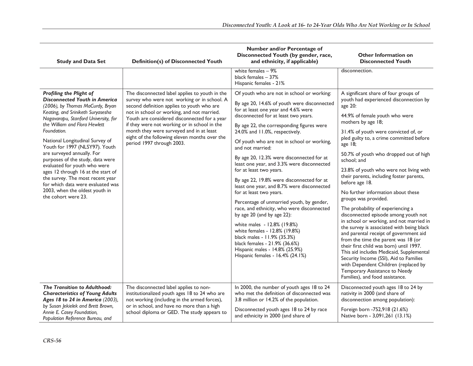| <b>Study and Data Set</b>                                                                                                                                                                                                                                                                                                                                                                                                                                                                                                                                                       | <b>Definition(s) of Disconnected Youth</b>                                                                                                                                                                                                                                                                                                                                                                          | Number and/or Percentage of<br>Disconnected Youth (by gender, race,<br>and ethnicity, if applicable)                                                                                                                                                                                                                                                                                                                                                                                                                                                                                                                                                                                                                                                                                                                                                                                                 | <b>Other Information on</b><br><b>Disconnected Youth</b>                                                                                                                                                                                                                                                                                                                                                                                                                                                                                                                                                                                                                                                                                                                                                                                                                                                                                                                              |
|---------------------------------------------------------------------------------------------------------------------------------------------------------------------------------------------------------------------------------------------------------------------------------------------------------------------------------------------------------------------------------------------------------------------------------------------------------------------------------------------------------------------------------------------------------------------------------|---------------------------------------------------------------------------------------------------------------------------------------------------------------------------------------------------------------------------------------------------------------------------------------------------------------------------------------------------------------------------------------------------------------------|------------------------------------------------------------------------------------------------------------------------------------------------------------------------------------------------------------------------------------------------------------------------------------------------------------------------------------------------------------------------------------------------------------------------------------------------------------------------------------------------------------------------------------------------------------------------------------------------------------------------------------------------------------------------------------------------------------------------------------------------------------------------------------------------------------------------------------------------------------------------------------------------------|---------------------------------------------------------------------------------------------------------------------------------------------------------------------------------------------------------------------------------------------------------------------------------------------------------------------------------------------------------------------------------------------------------------------------------------------------------------------------------------------------------------------------------------------------------------------------------------------------------------------------------------------------------------------------------------------------------------------------------------------------------------------------------------------------------------------------------------------------------------------------------------------------------------------------------------------------------------------------------------|
|                                                                                                                                                                                                                                                                                                                                                                                                                                                                                                                                                                                 |                                                                                                                                                                                                                                                                                                                                                                                                                     | white females - 9%<br>black females - 37%<br>Hispanic females - 21%                                                                                                                                                                                                                                                                                                                                                                                                                                                                                                                                                                                                                                                                                                                                                                                                                                  | disconnection.                                                                                                                                                                                                                                                                                                                                                                                                                                                                                                                                                                                                                                                                                                                                                                                                                                                                                                                                                                        |
| Profiling the Plight of<br><b>Disconnected Youth in America</b><br>(2006), by Thomas MaCurdy, Bryan<br>Keating, and Sriniketh Suryasesha<br>Nagavarapu, Stanford University, for<br>the William and Flora Hewlett<br>Foundation.<br>National Longitudinal Survey of<br>Youth for 1997 (NLSY97). Youth<br>are surveyed annually. For<br>purposes of the study, data were<br>evaluated for youth who were<br>ages 12 through 16 at the start of<br>the survey. The most recent year<br>for which data were evaluated was<br>2003, when the oldest youth in<br>the cohort were 23. | The disconnected label applies to youth in the<br>survey who were not working or in school. A<br>second definition applies to youth who are<br>not in school or working, and not married.<br>Youth are considered disconnected for a year<br>if they were not working or in school in the<br>month they were surveyed and in at least<br>eight of the following eleven months over the<br>period 1997 through 2003. | Of youth who are not in school or working:<br>By age 20, 14.6% of youth were disconnected<br>for at least one year and 4.6% were<br>disconnected for at least two years.<br>By age 22, the corresponding figures were<br>24.0% and 11.0%, respectively.<br>Of youth who are not in school or working,<br>and not married:<br>By age 20, 12.3% were disconnected for at<br>least one year, and 3.3% were disconnected<br>for at least two years.<br>By age 22, 19.8% were disconnected for at<br>least one year, and 8.7% were disconnected<br>for at least two years.<br>Percentage of unmarried youth, by gender,<br>race, and ethnicity, who were disconnected<br>by age 20 (and by age 22):<br>white males - 12.8% (19.8%)<br>white females - 12.8% (19.8%)<br>black males - 11.9% (35.3%)<br>black females - 21.9% (36.6%)<br>Hispanic males - 14.8% (25.9%)<br>Hispanic females - 16.4% (24.1%) | A significant share of four groups of<br>youth had experienced disconnection by<br>age 20:<br>44.9% of female youth who were<br>mothers by age 18;<br>31.4% of youth were convicted of, or<br>pled guilty to, a crime committed before<br>age 18;<br>50.7% of youth who dropped out of high<br>school: and<br>23.8% of youth who were not living with<br>their parents, including foster parents,<br>before age 18.<br>No further information about these<br>groups was provided.<br>The probability of experiencing a<br>disconnected episode among youth not<br>in school or working, and not married in<br>the survey is associated with being black<br>and parental receipt of government aid<br>from the time the parent was 18 (or<br>their first child was born) until 1997.<br>This aid includes Medicaid, Supplemental<br>Security Income (SSI), Aid to Families<br>with Dependent Children (replaced by<br>Temporary Assistance to Needy<br>Families), and food assistance. |
| The Transition to Adulthood:<br><b>Characteristics of Young Adults</b><br>Ages 18 to 24 in America (2003),<br>by Susan Jekielek and Brett Brown,<br>Annie E. Casey Foundation,<br>Population Reference Bureau, and                                                                                                                                                                                                                                                                                                                                                              | The disconnected label applies to non-<br>institutionalized youth ages 18 to 24 who are<br>not working (including in the armed forces),<br>or in school, and have no more than a high<br>school diploma or GED. The study appears to                                                                                                                                                                                | In 2000, the number of youth ages 18 to 24<br>who met the definition of disconnected was<br>3.8 million or 14.2% of the population.<br>Disconnected youth ages 18 to 24 by race<br>and ethnicity in 2000 (and share of                                                                                                                                                                                                                                                                                                                                                                                                                                                                                                                                                                                                                                                                               | Disconnected youth ages 18 to 24 by<br>nativity in 2000 (and share of<br>disconnection among population):<br>Foreign born -752,918 (21.6%)<br>Native born - 3,091,261 (13.1%)                                                                                                                                                                                                                                                                                                                                                                                                                                                                                                                                                                                                                                                                                                                                                                                                         |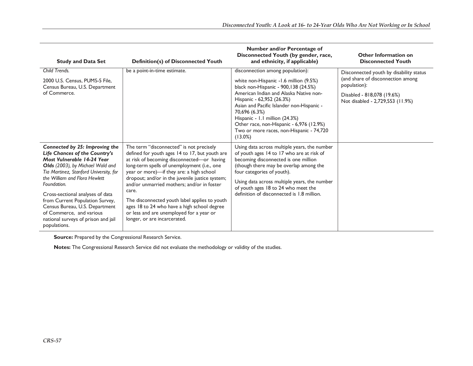| <b>Study and Data Set</b>                                                                                                                                                                                                                                                                                                                                                                                               | <b>Definition(s) of Disconnected Youth</b>                                                                                                                                                                                                                                                                                                                                                                                                                                                                                | Number and/or Percentage of<br>Disconnected Youth (by gender, race,<br>and ethnicity, if applicable)                                                                                                                                                                                                                                                                                         | <b>Other Information on</b><br><b>Disconnected Youth</b>                                                                                                       |
|-------------------------------------------------------------------------------------------------------------------------------------------------------------------------------------------------------------------------------------------------------------------------------------------------------------------------------------------------------------------------------------------------------------------------|---------------------------------------------------------------------------------------------------------------------------------------------------------------------------------------------------------------------------------------------------------------------------------------------------------------------------------------------------------------------------------------------------------------------------------------------------------------------------------------------------------------------------|----------------------------------------------------------------------------------------------------------------------------------------------------------------------------------------------------------------------------------------------------------------------------------------------------------------------------------------------------------------------------------------------|----------------------------------------------------------------------------------------------------------------------------------------------------------------|
| Child Trends.<br>2000 U.S. Census, PUMS-5 File,<br>Census Bureau, U.S. Department<br>of Commerce.                                                                                                                                                                                                                                                                                                                       | be a point-in-time estimate.                                                                                                                                                                                                                                                                                                                                                                                                                                                                                              | disconnection among population):<br>white non-Hispanic -1.6 million (9.5%)<br>black non-Hispanic - 900,138 (24.5%)<br>American Indian and Alaska Native non-<br>Hispanic - 62,952 (26.3%)<br>Asian and Pacific Islander non-Hispanic -<br>70,696 (6.3%)<br>Hispanic - 1.1 million (24.3%)<br>Other race, non-Hispanic - 6,976 (12.9%)<br>Two or more races, non-Hispanic - 74,720<br>(13.0%) | Disconnected youth by disability status<br>(and share of disconnection among<br>population):<br>Disabled - 818,078 (19.6%)<br>Not disabled - 2,729,553 (11.9%) |
| Connected by 25: Improving the<br>Life Chances of the Country's<br>Most Vulnerable 14-24 Year<br>Olds (2003), by Michael Wald and<br>Tia Martinez, Stanford University, for<br>the William and Flora Hewlett<br>Foundation.<br>Cross-sectional analyses of data<br>from Current Population Survey,<br>Census Bureau, U.S. Department<br>of Commerce, and various<br>national surveys of prison and jail<br>populations. | The term "disconnected" is not precisely<br>defined for youth ages 14 to 17, but youth are<br>at risk of becoming disconnected-or having<br>long-term spells of unemployment (i.e., one<br>year or more)-if they are: a high school<br>dropout; and/or in the juvenile justice system;<br>and/or unmarried mothers; and/or in foster<br>care.<br>The disconnected youth label applies to youth<br>ages 18 to 24 who have a high school degree<br>or less and are unemployed for a year or<br>longer, or are incarcerated. | Using data across multiple years, the number<br>of youth ages 14 to 17 who are at risk of<br>becoming disconnected is one million<br>(though there may be overlap among the<br>four categories of youth).<br>Using data across multiple years, the number<br>of youth ages 18 to 24 who meet the<br>definition of disconnected is 1.8 million.                                               |                                                                                                                                                                |

**Source:** Prepared by the Congressional Research Service.

**Notes:** The Congressional Research Service did not evaluate the methodology or validity of the studies.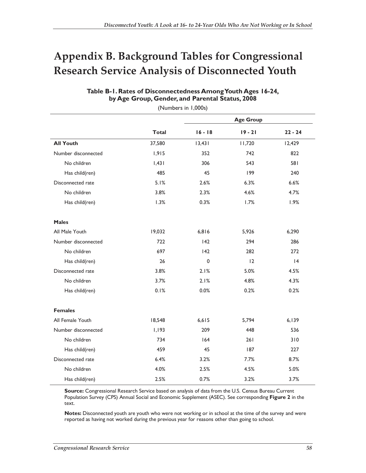# **Appendix B. Background Tables for Congressional Research Service Analysis of Disconnected Youth**

|                     |              | <b>Age Group</b> |           |           |
|---------------------|--------------|------------------|-----------|-----------|
|                     | <b>Total</b> | $16 - 18$        | $19 - 21$ | $22 - 24$ |
| <b>All Youth</b>    | 37,580       | 13,431           | 11,720    | 12,429    |
| Number disconnected | 1,915        | 352              | 742       | 822       |
| No children         | 1,431        | 306              | 543       | 581       |
| Has child(ren)      | 485          | 45               | 199       | 240       |
| Disconnected rate   | 5.1%         | 2.6%             | 6.3%      | 6.6%      |
| No children         | 3.8%         | 2.3%             | 4.6%      | 4.7%      |
| Has child(ren)      | 1.3%         | 0.3%             | 1.7%      | 1.9%      |
| <b>Males</b>        |              |                  |           |           |
| All Male Youth      | 19,032       | 6,816            | 5,926     | 6,290     |
| Number disconnected | 722          | 142              | 294       | 286       |
| No children         | 697          | 142              | 282       | 272       |
| Has child(ren)      | 26           | 0                | 12        | 4         |
| Disconnected rate   | 3.8%         | 2.1%             | 5.0%      | 4.5%      |
| No children         | 3.7%         | 2.1%             | 4.8%      | 4.3%      |
| Has child(ren)      | 0.1%         | 0.0%             | 0.2%      | 0.2%      |
| <b>Females</b>      |              |                  |           |           |
| All Female Youth    | 18,548       | 6, 615           | 5,794     | 6,139     |
| Number disconnected | 1,193        | 209              | 448       | 536       |
| No children         | 734          | 164              | 261       | 310       |
| Has child(ren)      | 459          | 45               | 187       | 227       |
| Disconnected rate   | 6.4%         | 3.2%             | 7.7%      | 8.7%      |
| No children         | 4.0%         | 2.5%             | 4.5%      | 5.0%      |
| Has child(ren)      | 2.5%         | 0.7%             | 3.2%      | 3.7%      |

## **Table B-1. Rates of Disconnectedness Among Youth Ages 16-24, by Age Group, Gender, and Parental Status, 2008**

(Numbers in 1,000s)

**Source:** Congressional Research Service based on analysis of data from the U.S. Census Bureau Current Population Survey (CPS) Annual Social and Economic Supplement (ASEC). See corresponding **Figure 2** in the text.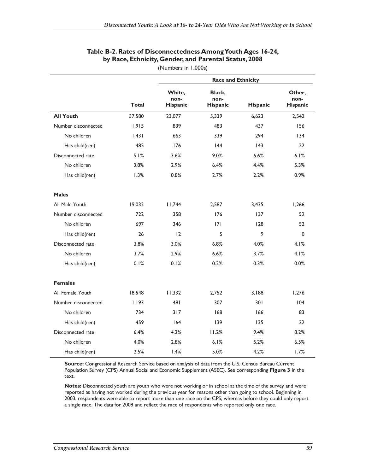|                     |              | <b>Race and Ethnicity</b>  |                                   |                 |                            |  |
|---------------------|--------------|----------------------------|-----------------------------------|-----------------|----------------------------|--|
|                     | <b>Total</b> | White,<br>non-<br>Hispanic | Black,<br>non-<br><b>Hispanic</b> | <b>Hispanic</b> | Other,<br>non-<br>Hispanic |  |
| <b>All Youth</b>    | 37,580       | 23,077                     | 5,339                             | 6.623           | 2,542                      |  |
| Number disconnected | 1,915        | 839                        | 483                               | 437             | 156                        |  |
| No children         | 1,431        | 663                        | 339                               | 294             | 134                        |  |
| Has child(ren)      | 485          | 176                        | 44                                | 143             | 22                         |  |
| Disconnected rate   | 5.1%         | 3.6%                       | 9.0%                              | 6.6%            | 6.1%                       |  |
| No children         | 3.8%         | 2.9%                       | 6.4%                              | 4.4%            | 5.3%                       |  |
| Has child(ren)      | 1.3%         | 0.8%                       | 2.7%                              | 2.2%            | 0.9%                       |  |
| <b>Males</b>        |              |                            |                                   |                 |                            |  |
| All Male Youth      | 19,032       | 11,744                     | 2,587                             | 3,435           | 1,266                      |  |
| Number disconnected | 722          | 358                        | 176                               | 137             | 52                         |  |
| No children         | 697          | 346                        | 7                                 | 128             | 52                         |  |
| Has child(ren)      | 26           | 12                         | 5                                 | 9               | $\mathbf 0$                |  |
| Disconnected rate   | 3.8%         | 3.0%                       | 6.8%                              | 4.0%            | 4.1%                       |  |
| No children         | 3.7%         | 2.9%                       | 6.6%                              | 3.7%            | 4.1%                       |  |
| Has child(ren)      | 0.1%         | 0.1%                       | 0.2%                              | 0.3%            | 0.0%                       |  |
| <b>Females</b>      |              |                            |                                   |                 |                            |  |
| All Female Youth    | 18,548       | 11,332                     | 2,752                             | 3,188           | 1,276                      |  |
| Number disconnected | 1,193        | 481                        | 307                               | 301             | 104                        |  |
| No children         | 734          | 317                        | 168                               | 166             | 83                         |  |
| Has child(ren)      | 459          | 164                        | 139                               | 135             | 22                         |  |
| Disconnected rate   | 6.4%         | 4.2%                       | 11.2%                             | 9.4%            | 8.2%                       |  |
| No children         | 4.0%         | 2.8%                       | 6.1%                              | 5.2%            | 6.5%                       |  |
| Has child(ren)      | 2.5%         | 1.4%                       | 5.0%                              | 4.2%            | 1.7%                       |  |

## **Table B-2. Rates of Disconnectedness Among Youth Ages 16-24, by Race, Ethnicity, Gender, and Parental Status, 2008**

(Numbers in 1,000s)

**Source:** Congressional Research Service based on analysis of data from the U.S. Census Bureau Current Population Survey (CPS) Annual Social and Economic Supplement (ASEC). See corresponding **Figure 3** in the text.

Notes: Disconnected youth are youth who were not working or in school at the time of the survey and were reported as having not worked during the previous year for reasons other than going to school. Beginning in 2003, respondents were able to report more than one race on the CPS, whereas before they could only report a single race. The data for 2008 and reflect the race of respondents who reported only one race.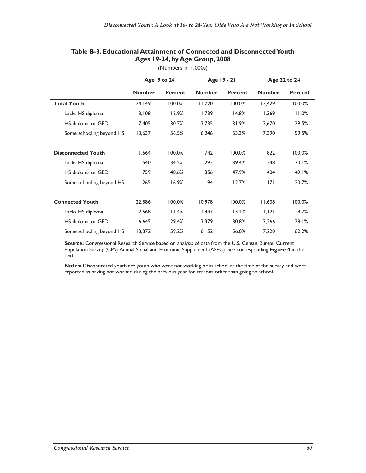|                           | Age 19 to 24  |                | Age 19 - 21       |                | Age 22 to 24  |         |
|---------------------------|---------------|----------------|-------------------|----------------|---------------|---------|
|                           | <b>Number</b> | <b>Percent</b> | <b>Number</b>     | <b>Percent</b> | <b>Number</b> | Percent |
| <b>Total Youth</b>        | 24.149        | 100.0%         | 11,720            | 100.0%         | 12,429        | 100.0%  |
| Lacks HS diploma          | 3,108         | 12.9%          | 1,739             | 14.8%          | 1,369         | 11.0%   |
| HS diploma or GED         | 7,405         | 30.7%          | 3,735             | 31.9%          | 3,670         | 29.5%   |
| Some schooling beyond HS  | 13,637        | 56.5%          | 6,246             | 53.3%          | 7,390         | 59.5%   |
| <b>Disconnected Youth</b> | 1,564         | 100.0%         | 742               | 100.0%         | 822           | 100.0%  |
| Lacks HS diploma          | 540           | 34.5%          | 292               | 39.4%          | 248           | 30.1%   |
| HS diploma or GED         | 759           | 48.6%          | 356               | 47.9%          | 404           | 49.1%   |
| Some schooling beyond HS  | 265           | 16.9%          | 94                | 12.7%          | 7             | 20.7%   |
| <b>Connected Youth</b>    | 22,586        | 100.0%         | 10,978            | 100.0%         | 11,608        | 100.0%  |
| Lacks HS diploma          | 2,568         | 11.4%          | $\mathsf{I}$ ,447 | 13.2%          | 1,121         | 9.7%    |
| HS diploma or GED         | 6,645         | 29.4%          | 3,379             | 30.8%          | 3,266         | 28.1%   |
| Some schooling beyond HS  | 13,372        | 59.2%          | 6,152             | 56.0%          | 7,220         | 62.2%   |

## **Table B-3. Educational Attainment of Connected and Disconnected Youth Ages 19-24, by Age Group, 2008**

(Numbers in 1,000s)

**Source:** Congressional Research Service based on analysis of data from the U.S. Census Bureau Current Population Survey (CPS) Annual Social and Economic Supplement (ASEC). See corresponding **Figure 4** in the text.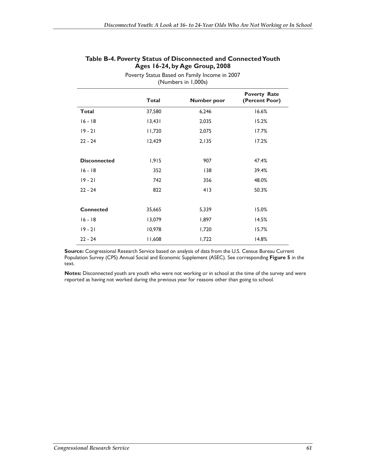| (Numbers in 1,000s) |              |             |                                       |  |
|---------------------|--------------|-------------|---------------------------------------|--|
|                     | <b>Total</b> | Number poor | <b>Poverty Rate</b><br>(Percent Poor) |  |
| <b>Total</b>        | 37,580       | 6,246       | 16.6%                                 |  |
| $16 - 18$           | 13,431       | 2,035       | 15.2%                                 |  |
| $19 - 21$           | 11,720       | 2,075       | 17.7%                                 |  |
| $22 - 24$           | 12,429       | 2,135       | 17.2%                                 |  |
|                     |              |             |                                       |  |
| <b>Disconnected</b> | 1,915        | 907         | 47.4%                                 |  |
| $16 - 18$           | 352          | 138         | 39.4%                                 |  |
| $19 - 21$           | 742          | 356         | 48.0%                                 |  |
| $22 - 24$           | 822          | 413         | 50.3%                                 |  |
|                     |              |             |                                       |  |
| <b>Connected</b>    | 35,665       | 5,339       | 15.0%                                 |  |
| $16 - 18$           | 13,079       | 1,897       | 14.5%                                 |  |
| $19 - 21$           | 10,978       | 1,720       | 15.7%                                 |  |
| $22 - 24$           | 11,608       | 1,722       | 14.8%                                 |  |

#### **Table B-4. Poverty Status of Disconnected and Connected Youth Ages 16-24, by Age Group, 2008**  Poverty Status Based on Family Income in 2007

**Source:** Congressional Research Service based on analysis of data from the U.S. Census Bureau Current Population Survey (CPS) Annual Social and Economic Supplement (ASEC). See corresponding **Figure 5** in the text.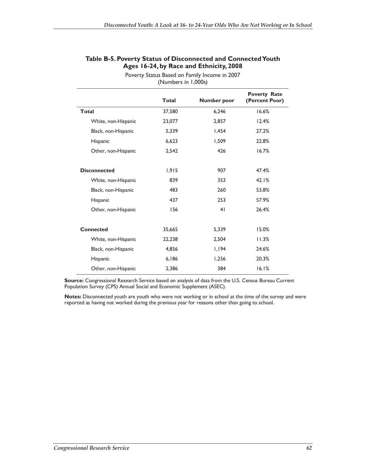| (Numbers in 1,000s) |              |                |                                       |  |
|---------------------|--------------|----------------|---------------------------------------|--|
|                     | <b>Total</b> | Number poor    | <b>Poverty Rate</b><br>(Percent Poor) |  |
| Total               | 37,580       | 6,246          | 16.6%                                 |  |
| White, non-Hispanic | 23,077       | 2,857          | 12.4%                                 |  |
| Black, non-Hispanic | 5,339        | 1,454          | 27.2%                                 |  |
| Hispanic            | 6,623        | 1,509          | 22.8%                                 |  |
| Other, non-Hispanic | 2,542        | 426            | 16.7%                                 |  |
| <b>Disconnected</b> | 1,915        | 907            | 47.4%                                 |  |
| White, non-Hispanic | 839          | 353            | 42.1%                                 |  |
| Black, non-Hispanic | 483          | 260            | 53.8%                                 |  |
| Hispanic            | 437          | 253            | 57.9%                                 |  |
| Other, non-Hispanic | 156          | 4 <sub>1</sub> | 26.4%                                 |  |
|                     |              |                |                                       |  |
| <b>Connected</b>    | 35,665       | 5,339          | 15.0%                                 |  |
| White, non-Hispanic | 22,238       | 2,504          | 11.3%                                 |  |
| Black, non-Hispanic | 4,856        | 1,194          | 24.6%                                 |  |
| Hispanic            | 6,186        | 1,256          | 20.3%                                 |  |
| Other, non-Hispanic | 2,386        | 384            | 16.1%                                 |  |

#### **Table B-5. Poverty Status of Disconnected and Connected Youth Ages 16-24, by Race and Ethnicity, 2008**  Poverty Status Based on Family Income in 2007

**Source:** Congressional Research Service based on analysis of data from the U.S. Census Bureau Current Population Survey (CPS) Annual Social and Economic Supplement (ASEC).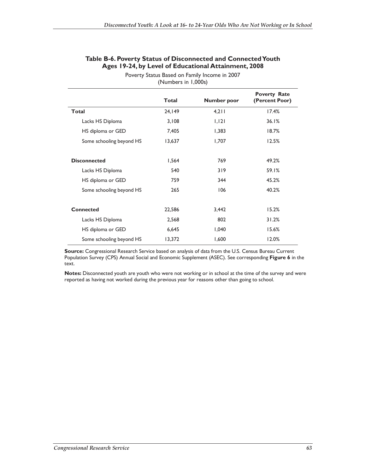|                          | <b>Total</b> | <b>Number poor</b> | <b>Poverty Rate</b><br>(Percent Poor) |
|--------------------------|--------------|--------------------|---------------------------------------|
| <b>Total</b>             | 24,149       | 4,211              | 17.4%                                 |
| Lacks HS Diploma         | 3,108        | 1,121              | 36.1%                                 |
| HS diploma or GED        | 7,405        | 1,383              | 18.7%                                 |
| Some schooling beyond HS | 13,637       | 1,707              | 12.5%                                 |
|                          |              |                    |                                       |
| <b>Disconnected</b>      | 1,564        | 769                | 49.2%                                 |
| Lacks HS Diploma         | 540          | 319                | 59.1%                                 |
| HS diploma or GED        | 759          | 344                | 45.2%                                 |
| Some schooling beyond HS | 265          | 106                | 40.2%                                 |
|                          |              |                    |                                       |
| <b>Connected</b>         | 22,586       | 3,442              | 15.2%                                 |
| Lacks HS Diploma         | 2,568        | 802                | 31.2%                                 |
| HS diploma or GED        | 6,645        | 1,040              | 15.6%                                 |
| Some schooling beyond HS | 13,372       | 1,600              | 12.0%                                 |

### **Table B-6. Poverty Status of Disconnected and Connected Youth Ages 19-24, by Level of Educational Attainment, 2008**

Poverty Status Based on Family Income in 2007 (Numbers in 1,000s)

**Source:** Congressional Research Service based on analysis of data from the U.S. Census Bureau Current Population Survey (CPS) Annual Social and Economic Supplement (ASEC). See corresponding **Figure 6** in the text.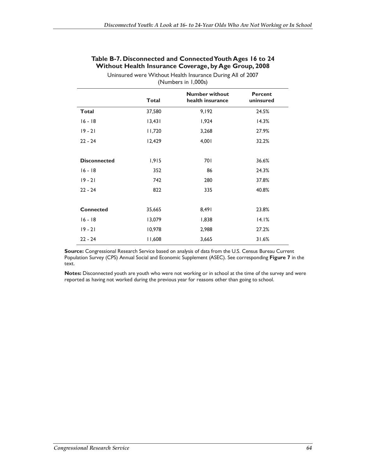|  | Table B-7. Disconnected and Connected Youth Ages 16 to 24 |  |
|--|-----------------------------------------------------------|--|
|  | Without Health Insurance Coverage, by Age Group, 2008     |  |

| Uninsured were Without Health Insurance During All of 2007<br>(Numbers in 1,000s) |              |                                           |                             |  |  |  |
|-----------------------------------------------------------------------------------|--------------|-------------------------------------------|-----------------------------|--|--|--|
|                                                                                   | <b>Total</b> | <b>Number without</b><br>health insurance | <b>Percent</b><br>uninsured |  |  |  |
| <b>Total</b>                                                                      | 37,580       | 9,192                                     | 24.5%                       |  |  |  |
| $16 - 18$                                                                         | 13,431       | 1,924                                     | 14.3%                       |  |  |  |
| $19 - 21$                                                                         | 11,720       | 3,268                                     | 27.9%                       |  |  |  |
| $22 - 24$                                                                         | 12,429       | 4,001                                     | 32.2%                       |  |  |  |
|                                                                                   |              |                                           |                             |  |  |  |
| <b>Disconnected</b>                                                               | 1,915        | 701                                       | 36.6%                       |  |  |  |
| $16 - 18$                                                                         | 352          | 86                                        | 24.3%                       |  |  |  |
| $19 - 21$                                                                         | 742          | 280                                       | 37.8%                       |  |  |  |
| $22 - 24$                                                                         | 822          | 335                                       | 40.8%                       |  |  |  |
|                                                                                   |              |                                           |                             |  |  |  |
| <b>Connected</b>                                                                  | 35,665       | 8,491                                     | 23.8%                       |  |  |  |
| $16 - 18$                                                                         | 13,079       | 1,838                                     | 14.1%                       |  |  |  |
| $19 - 21$                                                                         | 10,978       | 2,988                                     | 27.2%                       |  |  |  |
| $22 - 24$                                                                         | 11,608       | 3,665                                     | 31.6%                       |  |  |  |

**Source:** Congressional Research Service based on analysis of data from the U.S. Census Bureau Current Population Survey (CPS) Annual Social and Economic Supplement (ASEC). See corresponding **Figure 7** in the text.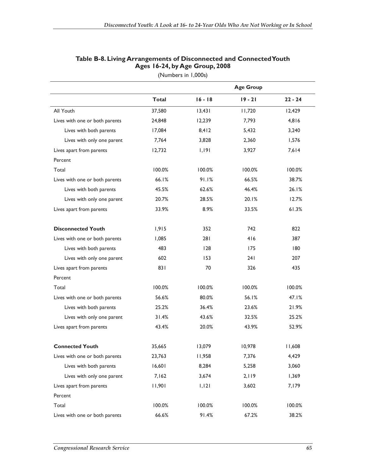|                                |              | <b>Age Group</b> |           |           |  |  |
|--------------------------------|--------------|------------------|-----------|-----------|--|--|
|                                | <b>Total</b> | $16 - 18$        | $19 - 21$ | $22 - 24$ |  |  |
| All Youth                      | 37,580       | 13,431           | 11,720    | 12,429    |  |  |
| Lives with one or both parents | 24,848       | 12,239           | 7,793     | 4,816     |  |  |
| Lives with both parents        | 17,084       | 8,412            | 5,432     | 3,240     |  |  |
| Lives with only one parent     | 7,764        | 3,828            | 2,360     | 1,576     |  |  |
| Lives apart from parents       | 12,732       | 1,191            | 3,927     | 7,614     |  |  |
| Percent                        |              |                  |           |           |  |  |
| Total                          | 100.0%       | 100.0%           | 100.0%    | 100.0%    |  |  |
| Lives with one or both parents | 66.1%        | 91.1%            | 66.5%     | 38.7%     |  |  |
| Lives with both parents        | 45.5%        | 62.6%            | 46.4%     | 26.1%     |  |  |
| Lives with only one parent     | 20.7%        | 28.5%            | 20.1%     | 12.7%     |  |  |
| Lives apart from parents       | 33.9%        | 8.9%             | 33.5%     | 61.3%     |  |  |
|                                |              |                  |           |           |  |  |
| <b>Disconnected Youth</b>      | 1,915        | 352              | 742       | 822       |  |  |
| Lives with one or both parents | 1,085        | 281              | 416       | 387       |  |  |
| Lives with both parents        | 483          | 128              | 175       | 180       |  |  |
| Lives with only one parent     | 602          | 153              | 24 I      | 207       |  |  |
| Lives apart from parents       | 831          | 70               | 326       | 435       |  |  |
| Percent                        |              |                  |           |           |  |  |
| Total                          | 100.0%       | 100.0%           | 100.0%    | 100.0%    |  |  |
| Lives with one or both parents | 56.6%        | 80.0%            | 56.1%     | 47.1%     |  |  |
| Lives with both parents        | 25.2%        | 36.4%            | 23.6%     | 21.9%     |  |  |
| Lives with only one parent     | 31.4%        | 43.6%            | 32.5%     | 25.2%     |  |  |
| Lives apart from parents       | 43.4%        | 20.0%            | 43.9%     | 52.9%     |  |  |
|                                |              |                  |           |           |  |  |
| <b>Connected Youth</b>         | 35,665       | 13,079           | 10,978    | 11,608    |  |  |
| Lives with one or both parents | 23,763       | 11,958           | 7,376     | 4,429     |  |  |
| Lives with both parents        | 16,601       | 8,284            | 5,258     | 3,060     |  |  |
| Lives with only one parent     | 7,162        | 3,674            | 2,119     | 1,369     |  |  |
| Lives apart from parents       | 11,901       | 1,121            | 3,602     | 7,179     |  |  |
| Percent                        |              |                  |           |           |  |  |
| Total                          | 100.0%       | 100.0%           | 100.0%    | 100.0%    |  |  |
| Lives with one or both parents | 66.6%        | 91.4%            | 67.2%     | 38.2%     |  |  |

## **Table B-8. Living Arrangements of Disconnected and Connected Youth Ages 16-24, by Age Group, 2008**

(Numbers in 1,000s)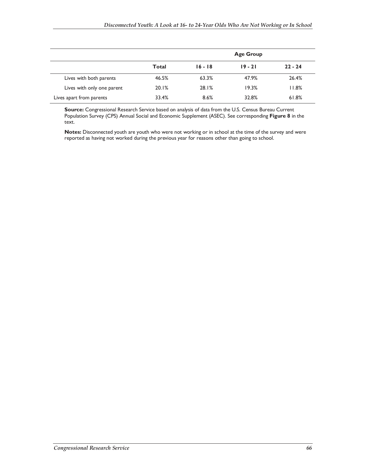|                            |              | <b>Age Group</b> |           |           |  |  |
|----------------------------|--------------|------------------|-----------|-----------|--|--|
|                            | <b>Total</b> | $16 - 18$        | $19 - 21$ | $22 - 24$ |  |  |
| Lives with both parents    | 46.5%        | 63.3%            | 47.9%     | 26.4%     |  |  |
| Lives with only one parent | 20.1%        | 28.1%            | 19.3%     | 11.8%     |  |  |
| Lives apart from parents   | 33.4%        | 8.6%             | 32.8%     | 61.8%     |  |  |

**Source:** Congressional Research Service based on analysis of data from the U.S. Census Bureau Current Population Survey (CPS) Annual Social and Economic Supplement (ASEC). See corresponding **Figure 8** in the text.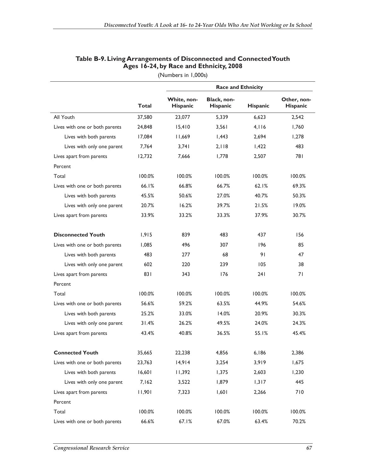|                                |              | <b>Race and Ethnicity</b>      |                         |                 |                         |
|--------------------------------|--------------|--------------------------------|-------------------------|-----------------|-------------------------|
|                                | <b>Total</b> | White, non-<br><b>Hispanic</b> | Black, non-<br>Hispanic | <b>Hispanic</b> | Other, non-<br>Hispanic |
| All Youth                      | 37,580       | 23,077                         | 5.339                   | 6.623           | 2,542                   |
| Lives with one or both parents | 24,848       | 15,410                         | 3,561                   | 4.116           | 1,760                   |
| Lives with both parents        | 17,084       | 11,669                         | 1,443                   | 2,694           | 1,278                   |
| Lives with only one parent     | 7,764        | 3,741                          | 2.118                   | 1,422           | 483                     |
| Lives apart from parents       | 12,732       | 7,666                          | 1,778                   | 2,507           | 781                     |
| Percent                        |              |                                |                         |                 |                         |
| Total                          | 100.0%       | 100.0%                         | 100.0%                  | 100.0%          | 100.0%                  |
| Lives with one or both parents | 66.1%        | 66.8%                          | 66.7%                   | 62.1%           | 69.3%                   |
| Lives with both parents        | 45.5%        | 50.6%                          | 27.0%                   | 40.7%           | 50.3%                   |
| Lives with only one parent     | 20.7%        | 16.2%                          | 39.7%                   | 21.5%           | 19.0%                   |
| Lives apart from parents       | 33.9%        | 33.2%                          | 33.3%                   | 37.9%           | 30.7%                   |
| <b>Disconnected Youth</b>      | 1,915        | 839                            | 483                     | 437             | 156                     |
| Lives with one or both parents | 1,085        | 496                            | 307                     | 196             | 85                      |
| Lives with both parents        | 483          | 277                            | 68                      | 91              | 47                      |
| Lives with only one parent     | 602          | 220                            | 239                     | 105             | 38                      |
| Lives apart from parents       | 831          | 343                            | 176                     | 241             | 71                      |
| Percent                        |              |                                |                         |                 |                         |
| Total                          | 100.0%       | 100.0%                         | 100.0%                  | 100.0%          | 100.0%                  |
| Lives with one or both parents | 56.6%        | 59.2%                          | 63.5%                   | 44.9%           | 54.6%                   |
| Lives with both parents        | 25.2%        | 33.0%                          | 14.0%                   | 20.9%           | 30.3%                   |
| Lives with only one parent     | 31.4%        | 26.2%                          | 49.5%                   | 24.0%           | 24.3%                   |
| Lives apart from parents       | 43.4%        | 40.8%                          | 36.5%                   | 55.1%           | 45.4%                   |
| <b>Connected Youth</b>         | 35,665       | 22,238                         | 4,856                   | 6,186           | 2,386                   |
| Lives with one or both parents | 23,763       | 14,914                         | 3,254                   | 3,919           | 1,675                   |
| Lives with both parents        | 16,601       | 11,392                         | 1,375                   | 2,603           | 1,230                   |
| Lives with only one parent     | 7,162        | 3,522                          | 1,879                   | 1,317           | 445                     |
| Lives apart from parents       | 11,901       | 7,323                          | 1,601                   | 2,266           | 710                     |
| Percent                        |              |                                |                         |                 |                         |
| Total                          | 100.0%       | 100.0%                         | 100.0%                  | 100.0%          | 100.0%                  |
| Lives with one or both parents | 66.6%        | 67.1%                          | 67.0%                   | 63.4%           | 70.2%                   |

### **Table B-9. Living Arrangements of Disconnected and Connected Youth Ages 16-24, by Race and Ethnicity, 2008**

(Numbers in 1,000s)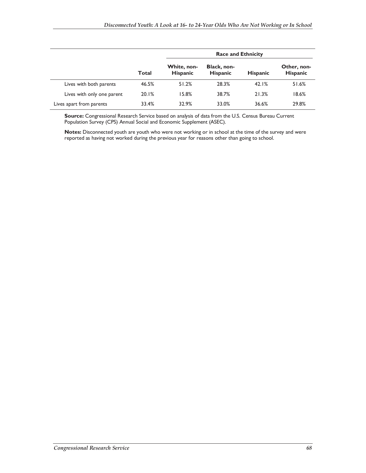|                            |              | <b>Race and Ethnicity</b>      |                                |                 |                                |  |  |
|----------------------------|--------------|--------------------------------|--------------------------------|-----------------|--------------------------------|--|--|
|                            | <b>Total</b> | White, non-<br><b>Hispanic</b> | Black, non-<br><b>Hispanic</b> | <b>Hispanic</b> | Other, non-<br><b>Hispanic</b> |  |  |
| Lives with both parents    | 46.5%        | 51.2%                          | 28.3%                          | 42.1%           | 51.6%                          |  |  |
| Lives with only one parent | 20.1%        | 15.8%                          | 38.7%                          | 21.3%           | 18.6%                          |  |  |
| Lives apart from parents   | 33.4%        | 32.9%                          | 33.0%                          | 36.6%           | 29.8%                          |  |  |

**Source:** Congressional Research Service based on analysis of data from the U.S. Census Bureau Current Population Survey (CPS) Annual Social and Economic Supplement (ASEC).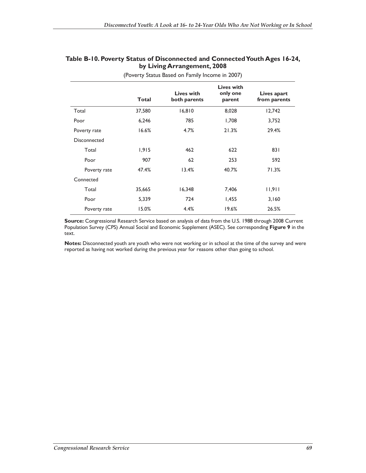#### **Table B-10. Poverty Status of Disconnected and Connected Youth Ages 16-24, by Living Arrangement, 2008**

|              | <b>Total</b> | Lives with<br>both parents | Lives with<br>only one<br>parent | Lives apart<br>from parents |
|--------------|--------------|----------------------------|----------------------------------|-----------------------------|
| Total        | 37,580       | 16,810                     | 8,028                            | 12,742                      |
| Poor         | 6,246        | 785                        | 1,708                            | 3,752                       |
| Poverty rate | 16.6%        | 4.7%                       | 21.3%                            | 29.4%                       |
| Disconnected |              |                            |                                  |                             |
| Total        | 1,915        | 462                        | 622                              | 831                         |
| Poor         | 907          | 62                         | 253                              | 592                         |
| Poverty rate | 47.4%        | 13.4%                      | 40.7%                            | 71.3%                       |
| Connected    |              |                            |                                  |                             |
| Total        | 35,665       | 16,348                     | 7,406                            | 11,911                      |
| Poor         | 5,339        | 724                        | 1,455                            | 3,160                       |
| Poverty rate | 15.0%        | 4.4%                       | 19.6%                            | 26.5%                       |

(Poverty Status Based on Family Income in 2007)

**Source:** Congressional Research Service based on analysis of data from the U.S. 1988 through 2008 Current Population Survey (CPS) Annual Social and Economic Supplement (ASEC). See corresponding **Figure 9** in the text.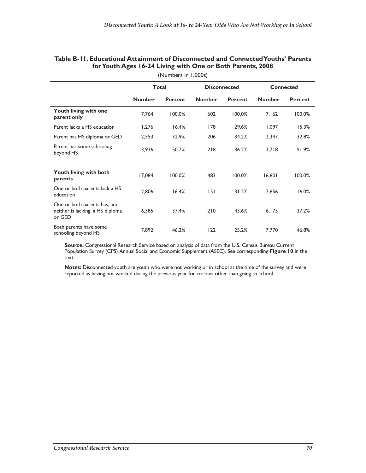|                                                                            | <b>Total</b>  |                | <b>Disconnected</b> |                | <b>Connected</b> |                |
|----------------------------------------------------------------------------|---------------|----------------|---------------------|----------------|------------------|----------------|
|                                                                            | <b>Number</b> | <b>Percent</b> | <b>Number</b>       | <b>Percent</b> | <b>Number</b>    | <b>Percent</b> |
| Youth living with one<br>parent only                                       | 7,764         | 100.0%         | 602                 | 100.0%         | 7,162            | 100.0%         |
| Parent lacks a HS education                                                | 1,276         | 16.4%          | 178                 | 29.6%          | 1,097            | 15.3%          |
| Parent has HS diploma or GED                                               | 2,553         | 32.9%          | 206                 | 34.2%          | 2,347            | 32.8%          |
| Parent has some schooling<br>beyond HS                                     | 3,936         | 50.7%          | 218                 | 36.2%          | 3,718            | 51.9%          |
| <b>Youth living with both</b><br>parents                                   | 17.084        | 100.0%         | 483                 | 100.0%         | 16,601           | 100.0%         |
| One or both parents lack a HS<br>education                                 | 2,806         | 16.4%          | 151                 | 31.2%          | 2,656            | 16.0%          |
| One or both parents has, and<br>neither is lacking, a HS diploma<br>or GED | 6,385         | 37.4%          | 210                 | 43.6%          | 6,175            | 37.2%          |
| Both parents have some<br>schooling beyond HS                              | 7,892         | 46.2%          | 122                 | 25.2%          | 7,770            | 46.8%          |

#### **Table B-11. Educational Attainment of Disconnected and Connected Youths' Parents for Youth Ages 16-24 Living with One or Both Parents, 2008**  (Numbers in 1,000s)

**Source:** Congressional Research Service based on analysis of data from the U.S. Census Bureau Current Population Survey (CPS) Annual Social and Economic Supplement (ASEC). See corresponding **Figure 10** in the text.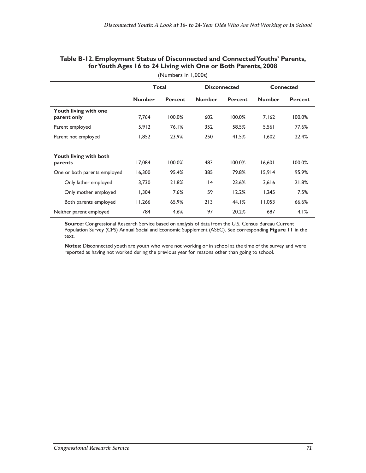|                                             |               | <b>Total</b>   |               | <b>Disconnected</b> | <b>Connected</b> |                |  |  |  |
|---------------------------------------------|---------------|----------------|---------------|---------------------|------------------|----------------|--|--|--|
|                                             | <b>Number</b> | <b>Percent</b> | <b>Number</b> | <b>Percent</b>      | <b>Number</b>    | <b>Percent</b> |  |  |  |
| <b>Youth living with one</b><br>parent only | 7,764         | 100.0%         | 602           | 100.0%              | 7,162            | 100.0%         |  |  |  |
| Parent employed                             | 5,912         | 76.1%          | 352           | 58.5%               | 5,561            | 77.6%          |  |  |  |
| Parent not employed                         | 1,852         | 23.9%          | 250           | 41.5%               | 1,602            | 22.4%          |  |  |  |
| <b>Youth living with both</b><br>parents    | 17.084        | 100.0%         | 483           | 100.0%              | 16,601           | 100.0%         |  |  |  |
| One or both parents employed                | 16,300        | 95.4%          | 385           | 79.8%               | 15,914           | 95.9%          |  |  |  |
| Only father employed                        | 3,730         | 21.8%          | 114           | 23.6%               | 3,616            | 21.8%          |  |  |  |
| Only mother employed                        | 1,304         | 7.6%           | 59            | 12.2%               | 1,245            | 7.5%           |  |  |  |
| Both parents employed                       | 11,266        | 65.9%          | 213           | 44.1%               | 11,053           | 66.6%          |  |  |  |
| Neither parent employed                     | 784           | 4.6%           | 97            | 20.2%               | 687              | 4.1%           |  |  |  |

#### **Table B-12. Employment Status of Disconnected and Connected Youths' Parents, for Youth Ages 16 to 24 Living with One or Both Parents, 2008**  (Numbers in 1,000s)

**Source:** Congressional Research Service based on analysis of data from the U.S. Census Bureau Current Population Survey (CPS) Annual Social and Economic Supplement (ASEC). See corresponding **Figure 11** in the text.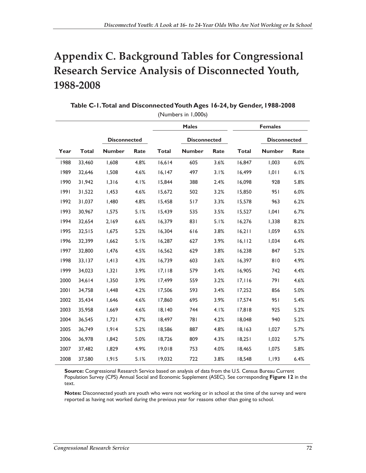# **Appendix C. Background Tables for Congressional Research Service Analysis of Disconnected Youth, 1988-2008**

|      | (Numbers in 1,000s) |                     |      |              |                     |      |              |                     |      |  |
|------|---------------------|---------------------|------|--------------|---------------------|------|--------------|---------------------|------|--|
|      |                     |                     |      |              | <b>Males</b>        |      |              | <b>Females</b>      |      |  |
|      |                     | <b>Disconnected</b> |      |              | <b>Disconnected</b> |      |              | <b>Disconnected</b> |      |  |
| Year | <b>Total</b>        | <b>Number</b>       | Rate | <b>Total</b> | <b>Number</b>       | Rate | <b>Total</b> | <b>Number</b>       | Rate |  |
| 1988 | 33,460              | 1,608               | 4.8% | 16,614       | 605                 | 3.6% | 16,847       | 1,003               | 6.0% |  |
| 1989 | 32,646              | 1,508               | 4.6% | 16, 147      | 497                 | 3.1% | 16,499       | 1,011               | 6.1% |  |
| 1990 | 31,942              | 1,316               | 4.1% | 15,844       | 388                 | 2.4% | 16,098       | 928                 | 5.8% |  |
| 1991 | 31,522              | 1,453               | 4.6% | 15,672       | 502                 | 3.2% | 15,850       | 951                 | 6.0% |  |
| 1992 | 31,037              | 1,480               | 4.8% | 15,458       | 517                 | 3.3% | 15,578       | 963                 | 6.2% |  |
| 1993 | 30,967              | 1,575               | 5.1% | 15,439       | 535                 | 3.5% | 15,527       | 1,041               | 6.7% |  |
| 1994 | 32,654              | 2,169               | 6.6% | 16,379       | 831                 | 5.1% | 16,276       | 1,338               | 8.2% |  |
| 1995 | 32,515              | 1,675               | 5.2% | 16,304       | 616                 | 3.8% | 16,211       | 1,059               | 6.5% |  |
| 1996 | 32,399              | 1,662               | 5.1% | 16,287       | 627                 | 3.9% | 16, 112      | 1,034               | 6.4% |  |
| 1997 | 32,800              | 1,476               | 4.5% | 16,562       | 629                 | 3.8% | 16,238       | 847                 | 5.2% |  |
| 1998 | 33,137              | 1,413               | 4.3% | 16,739       | 603                 | 3.6% | 16,397       | 810                 | 4.9% |  |
| 1999 | 34,023              | 1,321               | 3.9% | 17, 118      | 579                 | 3.4% | 16,905       | 742                 | 4.4% |  |
| 2000 | 34,614              | 1,350               | 3.9% | 17,499       | 559                 | 3.2% | 17,116       | 791                 | 4.6% |  |
| 2001 | 34,758              | I,448               | 4.2% | 17,506       | 593                 | 3.4% | 17,252       | 856                 | 5.0% |  |
| 2002 | 35,434              | 1,646               | 4.6% | 17,860       | 695                 | 3.9% | 17,574       | 951                 | 5.4% |  |
| 2003 | 35,958              | 1,669               | 4.6% | 18,140       | 744                 | 4.1% | 17,818       | 925                 | 5.2% |  |
| 2004 | 36,545              | 1,721               | 4.7% | 18,497       | 781                 | 4.2% | 18,048       | 940                 | 5.2% |  |
| 2005 | 36,749              | 1,914               | 5.2% | 18,586       | 887                 | 4.8% | 18,163       | 1,027               | 5.7% |  |
| 2006 | 36,978              | 1,842               | 5.0% | 18,726       | 809                 | 4.3% | 18,251       | 1,032               | 5.7% |  |
| 2007 | 37,482              | 1,829               | 4.9% | 19,018       | 753                 | 4.0% | 18,465       | 1,075               | 5.8% |  |
| 2008 | 37,580              | 1,915               | 5.1% | 19,032       | 722                 | 3.8% | 18,548       | 1,193               | 6.4% |  |

**Table C-1. Total and Disconnected Youth Ages 16-24, by Gender, 1988-2008** 

**Source:** Congressional Research Service based on analysis of data from the U.S. Census Bureau Current Population Survey (CPS) Annual Social and Economic Supplement (ASEC). See corresponding **Figure 12** in the text.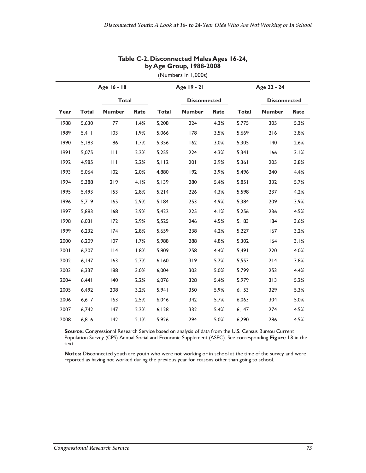|      | Age 16 - 18    |               | Age 19 - 21 |              |                     |      |              |                     |      |
|------|----------------|---------------|-------------|--------------|---------------------|------|--------------|---------------------|------|
|      |                | <b>Total</b>  |             |              | <b>Disconnected</b> |      |              | <b>Disconnected</b> |      |
| Year | <b>Total</b>   | <b>Number</b> | Rate        | <b>Total</b> | <b>Number</b>       | Rate | <b>Total</b> | <b>Number</b>       | Rate |
| 1988 | 5,630          | 77            | 1.4%        | 5,208        | 224                 | 4.3% | 5,775        | 305                 | 5.3% |
| 1989 | $5,4$   $\mid$ | 103           | 1.9%        | 5,066        | 178                 | 3.5% | 5,669        | 216                 | 3.8% |
| 1990 | 5,183          | 86            | 1.7%        | 5,356        | 162                 | 3.0% | 5,305        | 140                 | 2.6% |
| 1991 | 5,075          | $\mathbf{H}$  | 2.2%        | 5,255        | 224                 | 4.3% | 5,341        | 166                 | 3.1% |
| 1992 | 4,985          | $\mathbf{H}$  | 2.2%        | 5.112        | 201                 | 3.9% | 5,361        | 205                 | 3.8% |
| 1993 | 5,064          | 102           | 2.0%        | 4,880        | 192                 | 3.9% | 5,496        | 240                 | 4.4% |
| 1994 | 5,388          | 219           | 4.1%        | 5,139        | 280                 | 5.4% | 5,851        | 332                 | 5.7% |
| 1995 | 5,493          | 153           | 2.8%        | 5,214        | 226                 | 4.3% | 5,598        | 237                 | 4.2% |
| 1996 | 5,719          | 165           | 2.9%        | 5,184        | 253                 | 4.9% | 5,384        | 209                 | 3.9% |
| 1997 | 5,883          | 168           | 2.9%        | 5,422        | 225                 | 4.1% | 5,256        | 236                 | 4.5% |
| 1998 | 6,031          | 172           | 2.9%        | 5,525        | 246                 | 4.5% | 5,183        | 84                  | 3.6% |
| 1999 | 6,232          | 174           | 2.8%        | 5,659        | 238                 | 4.2% | 5,227        | 167                 | 3.2% |
| 2000 | 6,209          | 107           | 1.7%        | 5,988        | 288                 | 4.8% | 5,302        | 164                 | 3.1% |
| 2001 | 6,207          | 114           | 1.8%        | 5,809        | 258                 | 4.4% | 5,491        | 220                 | 4.0% |
| 2002 | 6,147          | 163           | 2.7%        | 6,160        | 319                 | 5.2% | 5,553        | 214                 | 3.8% |
| 2003 | 6,337          | 188           | 3.0%        | 6,004        | 303                 | 5.0% | 5,799        | 253                 | 4.4% |
| 2004 | 6,441          | $ 40\rangle$  | 2.2%        | 6,076        | 328                 | 5.4% | 5,979        | 313                 | 5.2% |
| 2005 | 6,492          | 208           | 3.2%        | 5,941        | 350                 | 5.9% | 6,153        | 329                 | 5.3% |
| 2006 | 6,617          | 163           | 2.5%        | 6,046        | 342                 | 5.7% | 6,063        | 304                 | 5.0% |
| 2007 | 6,742          | 147           | 2.2%        | 6,128        | 332                 | 5.4% | 6,147        | 274                 | 4.5% |
| 2008 | 6,816          | $ 42\rangle$  | 2.1%        | 5,926        | 294                 | 5.0% | 6,290        | 286                 | 4.5% |

### **Table C-2. Disconnected Males Ages 16-24, by Age Group, 1988-2008**

(Numbers in 1,000s)

**Source:** Congressional Research Service based on analysis of data from the U.S. Census Bureau Current Population Survey (CPS) Annual Social and Economic Supplement (ASEC). See corresponding **Figure 13** in the text.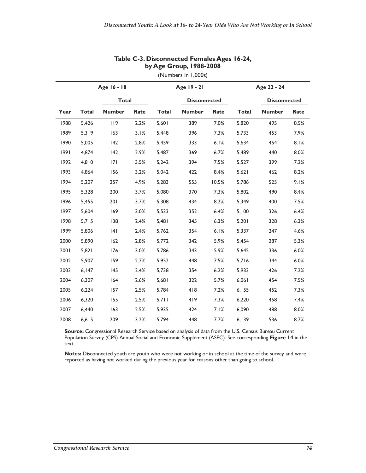|      | Age 16 - 18  |               |      |              | Age 19 - 21         |       | Age 22 - 24  |                     |      |
|------|--------------|---------------|------|--------------|---------------------|-------|--------------|---------------------|------|
|      |              | <b>Total</b>  |      |              | <b>Disconnected</b> |       |              | <b>Disconnected</b> |      |
| Year | <b>Total</b> | <b>Number</b> | Rate | <b>Total</b> | <b>Number</b>       | Rate  | <b>Total</b> | <b>Number</b>       | Rate |
| 1988 | 5,426        | 119           | 2.2% | 5,601        | 389                 | 7.0%  | 5,820        | 495                 | 8.5% |
| 1989 | 5,319        | 163           | 3.1% | 5,448        | 396                 | 7.3%  | 5,733        | 453                 | 7.9% |
| 1990 | 5,005        | 142           | 2.8% | 5,459        | 333                 | 6.1%  | 5,634        | 454                 | 8.1% |
| 1991 | 4,874        | 142           | 2.9% | 5,487        | 369                 | 6.7%  | 5,489        | 440                 | 8.0% |
| 1992 | 4,810        | 7             | 3.5% | 5,242        | 394                 | 7.5%  | 5,527        | 399                 | 7.2% |
| 1993 | 4,864        | 156           | 3.2% | 5,042        | 422                 | 8.4%  | 5,621        | 462                 | 8.2% |
| 1994 | 5,207        | 257           | 4.9% | 5,283        | 555                 | 10.5% | 5.786        | 525                 | 9.1% |
| 1995 | 5,328        | 200           | 3.7% | 5,080        | 370                 | 7.3%  | 5,802        | 490                 | 8.4% |
| 1996 | 5,455        | 201           | 3.7% | 5,308        | 434                 | 8.2%  | 5,349        | 400                 | 7.5% |
| 1997 | 5,604        | 169           | 3.0% | 5,533        | 352                 | 6.4%  | 5,100        | 326                 | 6.4% |
| 1998 | 5,715        | 138           | 2.4% | 5,481        | 345                 | 6.3%  | 5,201        | 328                 | 6.3% |
| 1999 | 5,806        | 4             | 2.4% | 5,762        | 354                 | 6.1%  | 5,337        | 247                 | 4.6% |
| 2000 | 5,890        | 162           | 2.8% | 5,772        | 342                 | 5.9%  | 5,454        | 287                 | 5.3% |
| 2001 | 5,821        | 176           | 3.0% | 5,786        | 343                 | 5.9%  | 5,645        | 336                 | 6.0% |
| 2002 | 5,907        | 159           | 2.7% | 5,952        | 448                 | 7.5%  | 5,716        | 344                 | 6.0% |
| 2003 | 6,147        | 145           | 2.4% | 5,738        | 354                 | 6.2%  | 5,933        | 426                 | 7.2% |
| 2004 | 6,307        | 164           | 2.6% | 5,681        | 322                 | 5.7%  | 6,061        | 454                 | 7.5% |
| 2005 | 6,224        | 157           | 2.5% | 5,784        | 418                 | 7.2%  | 6,155        | 452                 | 7.3% |
| 2006 | 6,320        | 155           | 2.5% | 5,711        | 419                 | 7.3%  | 6,220        | 458                 | 7.4% |
| 2007 | 6,440        | 163           | 2.5% | 5,935        | 424                 | 7.1%  | 6,090        | 488                 | 8.0% |
| 2008 | 6,615        | 209           | 3.2% | 5,794        | 448                 | 7.7%  | 6,139        | 536                 | 8.7% |

#### **Table C-3. Disconnected Females Ages 16-24, by Age Group, 1988-2008**

(Numbers in 1,000s)

**Source:** Congressional Research Service based on analysis of data from the U.S. Census Bureau Current Population Survey (CPS) Annual Social and Economic Supplement (ASEC). See corresponding **Figure 14** in the text.

**Notes:** Disconnected youth are youth who were not working or in school at the time of the survey and were reported as having not worked during the previous year for reasons other than going to school.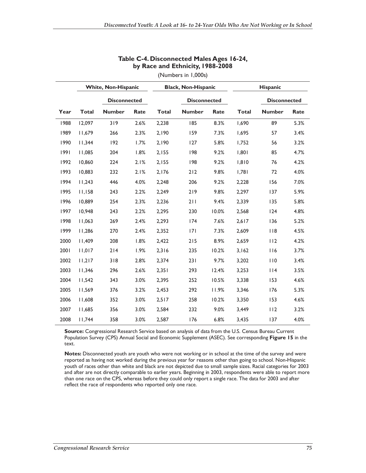|      |              | <b>White, Non-Hispanic</b> |      |              | <b>Black, Non-Hispanic</b> |       | <b>Hispanic</b> |                     |      |
|------|--------------|----------------------------|------|--------------|----------------------------|-------|-----------------|---------------------|------|
|      |              | <b>Disconnected</b>        |      |              | <b>Disconnected</b>        |       |                 | <b>Disconnected</b> |      |
| Year | <b>Total</b> | <b>Number</b>              | Rate | <b>Total</b> | <b>Number</b>              | Rate  | <b>Total</b>    | <b>Number</b>       | Rate |
| 1988 | 12,097       | 319                        | 2.6% | 2,238        | 185                        | 8.3%  | 1,690           | 89                  | 5.3% |
| 1989 | 11,679       | 266                        | 2.3% | 2,190        | 159                        | 7.3%  | 1,695           | 57                  | 3.4% |
| 1990 | 11,344       | 192                        | 1.7% | 2,190        | 127                        | 5.8%  | 1,752           | 56                  | 3.2% |
| 1991 | 11,085       | 204                        | 1.8% | 2,155        | 198                        | 9.2%  | 1,801           | 85                  | 4.7% |
| 1992 | 10,860       | 224                        | 2.1% | 2,155        | 198                        | 9.2%  | 1.810           | 76                  | 4.2% |
| 1993 | 10,883       | 232                        | 2.1% | 2,176        | 212                        | 9.8%  | 1,781           | 72                  | 4.0% |
| 1994 | 11.243       | 446                        | 4.0% | 2,248        | 206                        | 9.2%  | 2,228           | 156                 | 7.0% |
| 1995 | 11,158       | 243                        | 2.2% | 2,249        | 219                        | 9.8%  | 2,297           | 137                 | 5.9% |
| 1996 | 10,889       | 254                        | 2.3% | 2,236        | 211                        | 9.4%  | 2,339           | 135                 | 5.8% |
| 1997 | 10,948       | 243                        | 2.2% | 2,295        | 230                        | 10.0% | 2,568           | 124                 | 4.8% |
| 1998 | 11,063       | 269                        | 2.4% | 2,293        | 174                        | 7.6%  | 2,617           | 136                 | 5.2% |
| 1999 | 11,286       | 270                        | 2.4% | 2,352        | 7                          | 7.3%  | 2,609           | 118                 | 4.5% |
| 2000 | 11,409       | 208                        | 1.8% | 2,422        | 215                        | 8.9%  | 2,659           | 112                 | 4.2% |
| 2001 | 11,017       | 214                        | 1.9% | 2,316        | 235                        | 10.2% | 3,162           | 116                 | 3.7% |
| 2002 | 11,217       | 318                        | 2.8% | 2,374        | 231                        | 9.7%  | 3,202           | 110                 | 3.4% |
| 2003 | 11,346       | 296                        | 2.6% | 2,351        | 293                        | 12.4% | 3,253           | $ $   4             | 3.5% |
| 2004 | 11,542       | 343                        | 3.0% | 2,395        | 252                        | 10.5% | 3,338           | 153                 | 4.6% |
| 2005 | 11,569       | 376                        | 3.2% | 2,453        | 292                        | 11.9% | 3,346           | 176                 | 5.3% |
| 2006 | 11,608       | 352                        | 3.0% | 2,517        | 258                        | 10.2% | 3,350           | 153                 | 4.6% |
| 2007 | 11,685       | 356                        | 3.0% | 2,584        | 232                        | 9.0%  | 3,449           | 112                 | 3.2% |
| 2008 | 11,744       | 358                        | 3.0% | 2,587        | 176                        | 6.8%  | 3,435           | 137                 | 4.0% |

#### **Table C-4. Disconnected Males Ages 16-24, by Race and Ethnicity, 1988-2008**

(Numbers in 1,000s)

**Source:** Congressional Research Service based on analysis of data from the U.S. Census Bureau Current Population Survey (CPS) Annual Social and Economic Supplement (ASEC). See corresponding **Figure 15** in the text.

**Notes:** Disconnected youth are youth who were not working or in school at the time of the survey and were reported as having not worked during the previous year for reasons other than going to school. Non-Hispanic youth of races other than white and black are not depicted due to small sample sizes. Racial categories for 2003 and after are not directly comparable to earlier years. Beginning in 2003, respondents were able to report more than one race on the CPS, whereas before they could only report a single race. The data for 2003 and after reflect the race of respondents who reported only one race.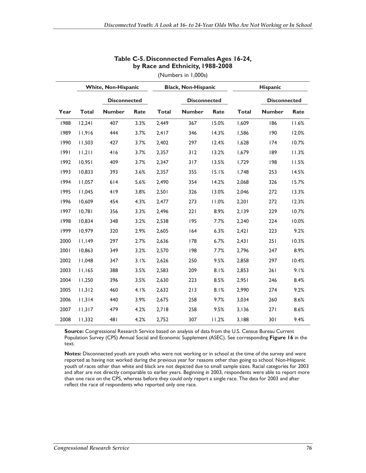|      |              | <b>White, Non-Hispanic</b> |      |              | <b>Black, Non-Hispanic</b> |       | <b>Hispanic</b> |                     |       |
|------|--------------|----------------------------|------|--------------|----------------------------|-------|-----------------|---------------------|-------|
|      |              | <b>Disconnected</b>        |      |              | <b>Disconnected</b>        |       |                 | <b>Disconnected</b> |       |
| Year | <b>Total</b> | <b>Number</b>              | Rate | <b>Total</b> | <b>Number</b>              | Rate  | <b>Total</b>    | <b>Number</b>       | Rate  |
| 1988 | 12,241       | 407                        | 3.3% | 2,449        | 367                        | 15.0% | 1,609           | 186                 | 11.6% |
| 1989 | 11.916       | 444                        | 3.7% | 2,417        | 346                        | 14.3% | 1,586           | 190                 | 12.0% |
| 1990 | 11,503       | 427                        | 3.7% | 2,402        | 297                        | 12.4% | 1,628           | 174                 | 10.7% |
| 1991 | 11,211       | 416                        | 3.7% | 2,357        | 312                        | 13.2% | 1,679           | 189                 | 11.3% |
| 1992 | 10,951       | 409                        | 3.7% | 2,347        | 317                        | 13.5% | 1,729           | 198                 | 11.5% |
| 1993 | 10,833       | 393                        | 3.6% | 2,357        | 355                        | 15.1% | 1,748           | 253                 | 14.5% |
| 1994 | 11,057       | 614                        | 5.6% | 2,490        | 354                        | 14.2% | 2,068           | 326                 | 15.7% |
| 1995 | 11,045       | 419                        | 3.8% | 2,501        | 326                        | 13.0% | 2,046           | 272                 | 13.3% |
| 1996 | 10.609       | 454                        | 4.3% | 2,477        | 273                        | 11.0% | 2,201           | 272                 | 12.3% |
| 1997 | 10,781       | 356                        | 3.3% | 2,496        | 221                        | 8.9%  | 2,139           | 229                 | 10.7% |
| 1998 | 10,834       | 348                        | 3.2% | 2,538        | 195                        | 7.7%  | 2,240           | 224                 | 10.0% |
| 1999 | 10,979       | 320                        | 2.9% | 2,605        | 164                        | 6.3%  | 2,421           | 223                 | 9.2%  |
| 2000 | 11,149       | 297                        | 2.7% | 2,636        | 178                        | 6.7%  | 2,431           | 251                 | 10.3% |
| 2001 | 10,863       | 349                        | 3.2% | 2,570        | 198                        | 7.7%  | 2,796           | 247                 | 8.9%  |
| 2002 | 11,048       | 347                        | 3.1% | 2,626        | 250                        | 9.5%  | 2,858           | 297                 | 10.4% |
| 2003 | 11,165       | 388                        | 3.5% | 2,583        | 209                        | 8.1%  | 2,853           | 261                 | 9.1%  |
| 2004 | 11,250       | 396                        | 3.5% | 2,630        | 223                        | 8.5%  | 2,951           | 246                 | 8.4%  |
| 2005 | 11,312       | 460                        | 4.1% | 2,632        | 213                        | 8.1%  | 2,990           | 274                 | 9.2%  |
| 2006 | 11,314       | 440                        | 3.9% | 2,675        | 258                        | 9.7%  | 3,034           | 260                 | 8.6%  |
| 2007 | 11,317       | 479                        | 4.2% | 2,718        | 258                        | 9.5%  | 3,136           | 271                 | 8.6%  |
| 2008 | 11,332       | 481                        | 4.2% | 2,752        | 307                        | 11.2% | 3,188           | 301                 | 9.4%  |

#### **Table C-5. Disconnected Females Ages 16-24, by Race and Ethnicity, 1988-2008**

(Numbers in 1,000s)

**Source:** Congressional Research Service based on analysis of data from the U.S. Census Bureau Current Population Survey (CPS) Annual Social and Economic Supplement (ASEC). See corresponding **Figure 16** in the text.

**Notes:** Disconnected youth are youth who were not working or in school at the time of the survey and were reported as having not worked during the previous year for reasons other than going to school. Non-Hispanic youth of races other than white and black are not depicted due to small sample sizes. Racial categories for 2003 and after are not directly comparable to earlier years. Beginning in 2003, respondents were able to report more than one race on the CPS, whereas before they could only report a single race. The data for 2003 and after reflect the race of respondents who reported only one race.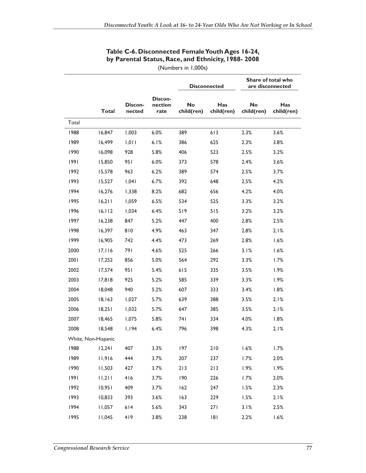### **Table C-6. Disconnected Female Youth Ages 16-24, by Parental Status, Race, and Ethnicity, 1988- 2008**

(Numbers in 1,000s)

|       |                     |                   |                            |                         | <b>Disconnected</b> |                         | Share of total who<br>are disconnected |
|-------|---------------------|-------------------|----------------------------|-------------------------|---------------------|-------------------------|----------------------------------------|
|       | <b>Total</b>        | Discon-<br>nected | Discon-<br>nection<br>rate | <b>No</b><br>child(ren) | Has<br>child(ren)   | <b>No</b><br>child(ren) | Has<br>child(ren)                      |
| Total |                     |                   |                            |                         |                     |                         |                                        |
| 1988  | 16,847              | 1,003             | 6.0%                       | 389                     | 613                 | 2.3%                    | 3.6%                                   |
| 1989  | 16,499              | 1,011             | 6.1%                       | 386                     | 625                 | 2.3%                    | 3.8%                                   |
| 1990  | 16,098              | 928               | 5.8%                       | 406                     | 523                 | 2.5%                    | 3.2%                                   |
| 1991  | 15,850              | 951               | 6.0%                       | 373                     | 578                 | 2.4%                    | 3.6%                                   |
| 1992  | 15,578              | 963               | 6.2%                       | 389                     | 574                 | 2.5%                    | 3.7%                                   |
| 1993  | 15,527              | 1,041             | 6.7%                       | 392                     | 648                 | 2.5%                    | 4.2%                                   |
| 1994  | 16,276              | 1,338             | 8.2%                       | 682                     | 656                 | 4.2%                    | 4.0%                                   |
| 1995  | 16,211              | 1,059             | 6.5%                       | 534                     | 525                 | 3.3%                    | 3.2%                                   |
| 1996  | 16, 112             | 1,034             | 6.4%                       | 519                     | 515                 | 3.2%                    | 3.2%                                   |
| 1997  | 16,238              | 847               | 5.2%                       | 447                     | 400                 | 2.8%                    | 2.5%                                   |
| 1998  | 16,397              | 810               | 4.9%                       | 463                     | 347                 | 2.8%                    | 2.1%                                   |
| 1999  | 16,905              | 742               | 4.4%                       | 473                     | 269                 | 2.8%                    | 1.6%                                   |
| 2000  | 17,116              | 791               | 4.6%                       | 525                     | 266                 | 3.1%                    | 1.6%                                   |
| 2001  | 17,252              | 856               | 5.0%                       | 564                     | 292                 | 3.3%                    | 1.7%                                   |
| 2002  | 17,574              | 951               | 5.4%                       | 615                     | 335                 | 3.5%                    | 1.9%                                   |
| 2003  | 17,818              | 925               | 5.2%                       | 585                     | 339                 | 3.3%                    | 1.9%                                   |
| 2004  | 18,048              | 940               | 5.2%                       | 607                     | 333                 | 3.4%                    | 1.8%                                   |
| 2005  | 18,163              | 1,027             | 5.7%                       | 639                     | 388                 | 3.5%                    | 2.1%                                   |
| 2006  | 18,251              | 1,032             | 5.7%                       | 647                     | 385                 | 3.5%                    | 2.1%                                   |
| 2007  | 18,465              | 1,075             | 5.8%                       | 74 I                    | 334                 | 4.0%                    | 1.8%                                   |
| 2008  | 18,548              | 1,194             | 6.4%                       | 796                     | 398                 | 4.3%                    | 2.1%                                   |
|       | White, Non-Hispanic |                   |                            |                         |                     |                         |                                        |
| 1988  | 12,241              | 407               | 3.3%                       | 197                     | 210                 | 1.6%                    | 1.7%                                   |
| 1989  | 11,916              | 444               | 3.7%                       | 207                     | 237                 | 1.7%                    | 2.0%                                   |
| 1990  | 11,503              | 427               | 3.7%                       | 213                     | 213                 | 1.9%                    | 1.9%                                   |
| 1991  | 11,211              | 416               | 3.7%                       | 190                     | 226                 | 1.7%                    | 2.0%                                   |
| 1992  | 10,951              | 409               | 3.7%                       | 162                     | 247                 | 1.5%                    | 2.3%                                   |
| 1993  | 10,833              | 393               | 3.6%                       | 163                     | 229                 | 1.5%                    | 2.1%                                   |
| 1994  | 11,057              | 614               | 5.6%                       | 343                     | 271                 | 3.1%                    | 2.5%                                   |
| 1995  | 11,045              | 419               | 3.8%                       | 238                     | 8                   | 2.2%                    | 1.6%                                   |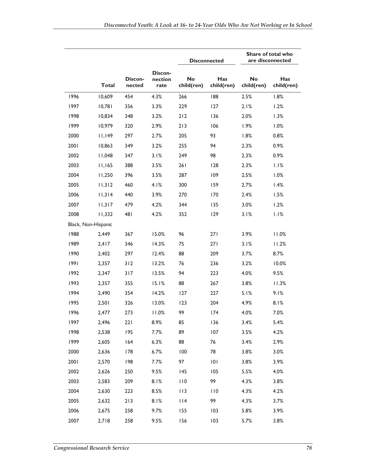|      |                     |                   |                            |                         | Share of total who<br>are disconnected<br><b>Disconnected</b> |                         |                   |
|------|---------------------|-------------------|----------------------------|-------------------------|---------------------------------------------------------------|-------------------------|-------------------|
|      | <b>Total</b>        | Discon-<br>nected | Discon-<br>nection<br>rate | <b>No</b><br>child(ren) | Has<br>child(ren)                                             | <b>No</b><br>child(ren) | Has<br>child(ren) |
| 1996 | 10,609              | 454               | 4.3%                       | 266                     | 188                                                           | 2.5%                    | 1.8%              |
| 1997 | 10,781              | 356               | 3.3%                       | 229                     | 127                                                           | 2.1%                    | 1.2%              |
| 1998 | 10,834              | 348               | 3.2%                       | 212                     | 136                                                           | 2.0%                    | 1.3%              |
| 1999 | 10,979              | 320               | 2.9%                       | 213                     | 106                                                           | 1.9%                    | 1.0%              |
| 2000 | 11,149              | 297               | 2.7%                       | 205                     | 93                                                            | 1.8%                    | 0.8%              |
| 2001 | 10,863              | 349               | 3.2%                       | 255                     | 94                                                            | 2.3%                    | 0.9%              |
| 2002 | 11,048              | 347               | 3.1%                       | 249                     | 98                                                            | 2.3%                    | 0.9%              |
| 2003 | 11,165              | 388               | 3.5%                       | 261                     | 128                                                           | 2.3%                    | 1.1%              |
| 2004 | 11,250              | 396               | 3.5%                       | 287                     | 109                                                           | 2.5%                    | 1.0%              |
| 2005 | 11,312              | 460               | 4.1%                       | 300                     | 159                                                           | 2.7%                    | 1.4%              |
| 2006 | 11,314              | 440               | 3.9%                       | 270                     | 170                                                           | 2.4%                    | 1.5%              |
| 2007 | 11,317              | 479               | 4.2%                       | 344                     | 135                                                           | 3.0%                    | 1.2%              |
| 2008 | 11,332              | 481               | 4.2%                       | 352                     | 129                                                           | 3.1%                    | 1.1%              |
|      | Black, Non-Hispanic |                   |                            |                         |                                                               |                         |                   |
| 1988 | 2,449               | 367               | 15.0%                      | 96                      | 271                                                           | 3.9%                    | 11.0%             |
| 1989 | 2,417               | 346               | 14.3%                      | 75                      | 271                                                           | 3.1%                    | 11.2%             |
| 1990 | 2,402               | 297               | 12.4%                      | 88                      | 209                                                           | 3.7%                    | 8.7%              |
| 1991 | 2,357               | 312               | 13.2%                      | 76                      | 236                                                           | 3.2%                    | 10.0%             |
| 1992 | 2,347               | 317               | 13.5%                      | 94                      | 223                                                           | 4.0%                    | 9.5%              |
| 1993 | 2,357               | 355               | 15.1%                      | 88                      | 267                                                           | 3.8%                    | 11.3%             |
| 1994 | 2,490               | 354               | 14.2%                      | 127                     | 227                                                           | 5.1%                    | 9.1%              |
| 1995 | 2,501               | 326               | 13.0%                      | 123                     | 204                                                           | 4.9%                    | 8.1%              |
| 1996 | 2,477               | 273               | 11.0%                      | 99                      | 174                                                           | 4.0%                    | 7.0%              |
| 1997 | 2,496               | 221               | 8.9%                       | 85                      | 136                                                           | 3.4%                    | 5.4%              |
| 1998 | 2,538               | 195               | 7.7%                       | 89                      | 107                                                           | 3.5%                    | 4.2%              |
| 1999 | 2,605               | 164               | 6.3%                       | 88                      | 76                                                            | 3.4%                    | 2.9%              |
| 2000 | 2,636               | 178               | 6.7%                       | 100                     | 78                                                            | 3.8%                    | 3.0%              |
| 2001 | 2,570               | 198               | 7.7%                       | 97                      | 101                                                           | 3.8%                    | 3.9%              |
| 2002 | 2,626               | 250               | 9.5%                       | 145                     | 105                                                           | 5.5%                    | 4.0%              |
| 2003 | 2,583               | 209               | 8.1%                       | 110                     | 99                                                            | 4.3%                    | 3.8%              |
| 2004 | 2,630               | 223               | 8.5%                       | 113                     | 110                                                           | 4.3%                    | 4.2%              |
| 2005 | 2,632               | 213               | 8.1%                       | $ $  4                  | 99                                                            | 4.3%                    | 3.7%              |
| 2006 | 2,675               | 258               | 9.7%                       | 155                     | 103                                                           | 5.8%                    | 3.9%              |
| 2007 | 2,718               | 258               | 9.5%                       | 156                     | 103                                                           | 5.7%                    | 3.8%              |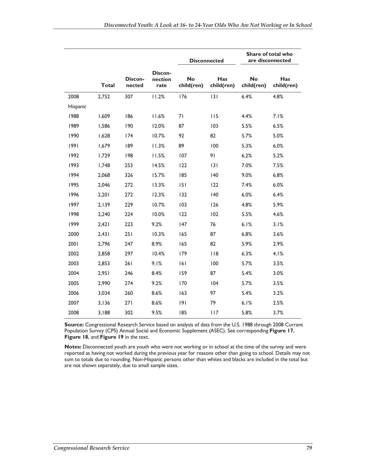|          |              |                   |                            |                         | <b>Disconnected</b> |                         | Share of total who<br>are disconnected |
|----------|--------------|-------------------|----------------------------|-------------------------|---------------------|-------------------------|----------------------------------------|
|          | <b>Total</b> | Discon-<br>nected | Discon-<br>nection<br>rate | <b>No</b><br>child(ren) | Has<br>child(ren)   | <b>No</b><br>child(ren) | Has<br>child(ren)                      |
| 2008     | 2,752        | 307               | 11.2%                      | 176                     | 3                   | 6.4%                    | 4.8%                                   |
| Hispanic |              |                   |                            |                         |                     |                         |                                        |
| 1988     | 1,609        | 186               | 11.6%                      | 71                      | 115                 | 4.4%                    | 7.1%                                   |
| 1989     | 1,586        | 190               | 12.0%                      | 87                      | 103                 | 5.5%                    | 6.5%                                   |
| 1990     | 1,628        | 174               | 10.7%                      | 92                      | 82                  | 5.7%                    | 5.0%                                   |
| 1991     | 1,679        | 189               | 11.3%                      | 89                      | 100                 | 5.3%                    | 6.0%                                   |
| 1992     | 1,729        | 198               | 11.5%                      | 107                     | 91                  | 6.2%                    | 5.2%                                   |
| 1993     | 1,748        | 253               | 14.5%                      | 122                     | 3                   | 7.0%                    | 7.5%                                   |
| 1994     | 2,068        | 326               | 15.7%                      | 185                     | 140                 | 9.0%                    | 6.8%                                   |
| 1995     | 2.046        | 272               | 13.3%                      | 151                     | 122                 | 7.4%                    | 6.0%                                   |
| 1996     | 2,201        | 272               | 12.3%                      | 132                     | 140                 | 6.0%                    | 6.4%                                   |
| 1997     | 2,139        | 229               | 10.7%                      | 103                     | 126                 | 4.8%                    | 5.9%                                   |
| 1998     | 2,240        | 224               | 10.0%                      | 122                     | 102                 | 5.5%                    | 4.6%                                   |
| 1999     | 2,421        | 223               | 9.2%                       | 147                     | 76                  | 6.1%                    | 3.1%                                   |
| 2000     | 2,431        | 251               | 10.3%                      | 165                     | 87                  | 6.8%                    | 3.6%                                   |
| 2001     | 2,796        | 247               | 8.9%                       | 165                     | 82                  | 5.9%                    | 2.9%                                   |
| 2002     | 2,858        | 297               | 10.4%                      | 179                     | 118                 | 6.3%                    | 4.1%                                   |
| 2003     | 2,853        | 261               | 9.1%                       | 6                       | 100                 | 5.7%                    | 3.5%                                   |
| 2004     | 2,951        | 246               | 8.4%                       | 159                     | 87                  | 5.4%                    | 3.0%                                   |
| 2005     | 2,990        | 274               | 9.2%                       | 170                     | 104                 | 5.7%                    | 3.5%                                   |
| 2006     | 3,034        | 260               | 8.6%                       | 163                     | 97                  | 5.4%                    | 3.2%                                   |
| 2007     | 3,136        | 271               | 8.6%                       | 9                       | 79                  | 6.1%                    | 2.5%                                   |
| 2008     | 3,188        | 302               | 9.5%                       | 185                     | 117                 | 5.8%                    | 3.7%                                   |

**Source:** Congressional Research Service based on analysis of data from the U.S. 1988 through 2008 Current Population Survey (CPS) Annual Social and Economic Supplement (ASEC). See corresponding **Figure 17**, **Figure 18**, and **Figure 19** in the text.

**Notes:** Disconnected youth are youth who were not working or in school at the time of the survey and were reported as having not worked during the previous year for reasons other than going to school. Details may not sum to totals due to rounding. Non-Hispanic persons other than whites and blacks are included in the total but are not shown separately, due to small sample sizes.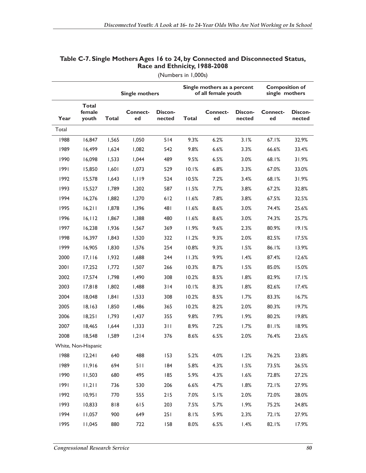|       |                                 |              | <b>Single mothers</b> |                   |              | Single mothers as a percent<br>of all female youth |                   | <b>Composition of</b><br>single mothers |                   |
|-------|---------------------------------|--------------|-----------------------|-------------------|--------------|----------------------------------------------------|-------------------|-----------------------------------------|-------------------|
| Year  | <b>Total</b><br>female<br>youth | <b>Total</b> | <b>Connect-</b><br>ed | Discon-<br>nected | <b>Total</b> | <b>Connect-</b><br>ed                              | Discon-<br>nected | Connect-<br>ed                          | Discon-<br>nected |
| Total |                                 |              |                       |                   |              |                                                    |                   |                                         |                   |
| 1988  | 16,847                          | 1,565        | 1,050                 | 514               | 9.3%         | 6.2%                                               | 3.1%              | 67.1%                                   | 32.9%             |
| 1989  | 16,499                          | 1,624        | 1,082                 | 542               | 9.8%         | 6.6%                                               | 3.3%              | 66.6%                                   | 33.4%             |
| 1990  | 16,098                          | 1,533        | 1,044                 | 489               | 9.5%         | 6.5%                                               | 3.0%              | 68.1%                                   | 31.9%             |
| 1991  | 15,850                          | 1,601        | 1,073                 | 529               | 10.1%        | 6.8%                                               | 3.3%              | 67.0%                                   | 33.0%             |
| 1992  | 15,578                          | 1,643        | 1,119                 | 524               | 10.5%        | 7.2%                                               | 3.4%              | 68.1%                                   | 31.9%             |
| 1993  | 15,527                          | 1,789        | 1,202                 | 587               | 11.5%        | 7.7%                                               | 3.8%              | 67.2%                                   | 32.8%             |
| 1994  | 16,276                          | 1,882        | 1,270                 | 612               | 11.6%        | 7.8%                                               | 3.8%              | 67.5%                                   | 32.5%             |
| 1995  | 16,211                          | 1,878        | 1,396                 | 481               | 11.6%        | 8.6%                                               | 3.0%              | 74.4%                                   | 25.6%             |
| 1996  | 16, 112                         | 1,867        | 1,388                 | 480               | 11.6%        | 8.6%                                               | 3.0%              | 74.3%                                   | 25.7%             |
| 1997  | 16,238                          | 1,936        | 1,567                 | 369               | 11.9%        | 9.6%                                               | 2.3%              | 80.9%                                   | 19.1%             |
| 1998  | 16,397                          | 1.843        | 1,520                 | 322               | 11.2%        | 9.3%                                               | 2.0%              | 82.5%                                   | 17.5%             |
| 1999  | 16,905                          | 1,830        | 1,576                 | 254               | 10.8%        | 9.3%                                               | 1.5%              | 86.1%                                   | 13.9%             |
| 2000  | 17,116                          | 1,932        | 1,688                 | 244               | 11.3%        | 9.9%                                               | 1.4%              | 87.4%                                   | 12.6%             |
| 2001  | 17,252                          | 1,772        | 1,507                 | 266               | 10.3%        | 8.7%                                               | 1.5%              | 85.0%                                   | 15.0%             |
| 2002  | 17,574                          | 1,798        | 1,490                 | 308               | 10.2%        | 8.5%                                               | 1.8%              | 82.9%                                   | 17.1%             |
| 2003  | 17,818                          | 1,802        | 1,488                 | 314               | 10.1%        | 8.3%                                               | 1.8%              | 82.6%                                   | 17.4%             |
| 2004  | 18,048                          | 1,841        | 1,533                 | 308               | 10.2%        | 8.5%                                               | 1.7%              | 83.3%                                   | 16.7%             |
| 2005  | 18,163                          | 1,850        | 1,486                 | 365               | 10.2%        | 8.2%                                               | 2.0%              | 80.3%                                   | 19.7%             |
| 2006  | 18,251                          | 1,793        | 1,437                 | 355               | 9.8%         | 7.9%                                               | 1.9%              | 80.2%                                   | 19.8%             |
| 2007  | 18,465                          | 1,644        | 1,333                 | 311               | 8.9%         | 7.2%                                               | 1.7%              | 81.1%                                   | 18.9%             |
| 2008  | 18,548                          | 1,589        | 1,214                 | 376               | 8.6%         | 6.5%                                               | 2.0%              | 76.4%                                   | 23.6%             |
|       | White, Non-Hispanic             |              |                       |                   |              |                                                    |                   |                                         |                   |
| 1988  | 12,241                          | 640          | 488                   | 153               | 5.2%         | 4.0%                                               | 1.2%              | 76.2%                                   | 23.8%             |
| 1989  | 11,916                          | 694          | 511                   | 184               | 5.8%         | 4.3%                                               | 1.5%              | 73.5%                                   | 26.5%             |
| 1990  | 11,503                          | 680          | 495                   | 185               | 5.9%         | 4.3%                                               | 1.6%              | 72.8%                                   | 27.2%             |
| 1991  | 11,211                          | 736          | 530                   | 206               | 6.6%         | 4.7%                                               | 1.8%              | 72.I%                                   | 27.9%             |
| 1992  | 10,951                          | 770          | 555                   | $215$             | 7.0%         | 5.1%                                               | 2.0%              | 72.0%                                   | 28.0%             |
| 1993  | 10,833                          | 818          | 615                   | 203               | 7.5%         | 5.7%                                               | 1.9%              | 75.2%                                   | 24.8%             |
| 1994  | 11,057                          | 900          | 649                   | 251               | 8.1%         | 5.9%                                               | 2.3%              | 72.1%                                   | 27.9%             |
| 1995  | 11,045                          | 880          | 722                   | 158               | 8.0%         | 6.5%                                               | 1.4%              | 82.1%                                   | 17.9%             |

#### **Table C-7. Single Mothers Ages 16 to 24, by Connected and Disconnected Status, Race and Ethnicity, 1988-2008**

(Numbers in 1,000s)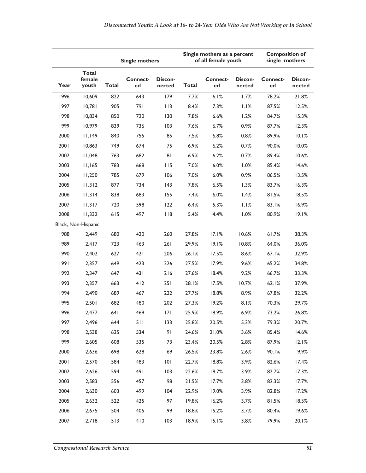|      |                                 |              | <b>Single mothers</b> |                   |              | Single mothers as a percent<br>of all female youth |                   |                       | <b>Composition of</b><br>single mothers |  |
|------|---------------------------------|--------------|-----------------------|-------------------|--------------|----------------------------------------------------|-------------------|-----------------------|-----------------------------------------|--|
| Year | <b>Total</b><br>female<br>youth | <b>Total</b> | <b>Connect-</b><br>ed | Discon-<br>nected | <b>Total</b> | <b>Connect-</b><br>ed                              | Discon-<br>nected | <b>Connect-</b><br>ed | Discon-<br>nected                       |  |
| 1996 | 10,609                          | 822          | 643                   | 179               | 7.7%         | 6.1%                                               | 1.7%              | 78.2%                 | 21.8%                                   |  |
| 1997 | 10,781                          | 905          | 791                   | 113               | 8.4%         | 7.3%                                               | 1.1%              | 87.5%                 | 12.5%                                   |  |
| 1998 | 10,834                          | 850          | 720                   | 130               | 7.8%         | 6.6%                                               | 1.2%              | 84.7%                 | 15.3%                                   |  |
| 1999 | 10,979                          | 839          | 736                   | 103               | 7.6%         | 6.7%                                               | 0.9%              | 87.7%                 | 12.3%                                   |  |
| 2000 | 11,149                          | 840          | 755                   | 85                | 7.5%         | 6.8%                                               | 0.8%              | 89.9%                 | 10.1%                                   |  |
| 2001 | 10,863                          | 749          | 674                   | 75                | 6.9%         | 6.2%                                               | 0.7%              | 90.0%                 | 10.0%                                   |  |
| 2002 | 11,048                          | 763          | 682                   | 81                | 6.9%         | 6.2%                                               | 0.7%              | 89.4%                 | 10.6%                                   |  |
| 2003 | 11,165                          | 783          | 668                   | 115               | 7.0%         | 6.0%                                               | 1.0%              | 85.4%                 | 14.6%                                   |  |
| 2004 | 11,250                          | 785          | 679                   | 106               | 7.0%         | 6.0%                                               | 0.9%              | 86.5%                 | 13.5%                                   |  |
| 2005 | 11,312                          | 877          | 734                   | 43                | 7.8%         | 6.5%                                               | 1.3%              | 83.7%                 | 16.3%                                   |  |
| 2006 | 11,314                          | 838          | 683                   | 155               | 7.4%         | 6.0%                                               | 1.4%              | 81.5%                 | 18.5%                                   |  |
| 2007 | 11,317                          | 720          | 598                   | 122               | 6.4%         | 5.3%                                               | 1.1%              | 83.1%                 | 16.9%                                   |  |
| 2008 | 11,332                          | 615          | 497                   | 118               | 5.4%         | 4.4%                                               | 1.0%              | 80.9%                 | 19.1%                                   |  |
|      | Black, Non-Hispanic             |              |                       |                   |              |                                                    |                   |                       |                                         |  |
| 1988 | 2,449                           | 680          | 420                   | 260               | 27.8%        | 17.1%                                              | 10.6%             | 61.7%                 | 38.3%                                   |  |
| 1989 | 2,417                           | 723          | 463                   | 261               | 29.9%        | 19.1%                                              | 10.8%             | 64.0%                 | 36.0%                                   |  |
| 1990 | 2,402                           | 627          | 421                   | 206               | 26.1%        | 17.5%                                              | 8.6%              | 67.1%                 | 32.9%                                   |  |
| 1991 | 2,357                           | 649          | 423                   | 226               | 27.5%        | 17.9%                                              | 9.6%              | 65.2%                 | 34.8%                                   |  |
| 1992 | 2,347                           | 647          | 431                   | 216               | 27.6%        | 18.4%                                              | 9.2%              | 66.7%                 | 33.3%                                   |  |
| 1993 | 2,357                           | 663          | 412                   | 251               | 28.1%        | 17.5%                                              | 10.7%             | 62.1%                 | 37.9%                                   |  |
| 1994 | 2,490                           | 689          | 467                   | 222               | 27.7%        | 18.8%                                              | 8.9%              | 67.8%                 | 32.2%                                   |  |
| 1995 | 2,501                           | 682          | 480                   | 202               | 27.3%        | 19.2%                                              | 8.1%              | 70.3%                 | 29.7%                                   |  |
| 1996 | 2,477                           | 64 I         | 469                   | 7                 | 25.9%        | 18.9%                                              | 6.9%              | 73.2%                 | 26.8%                                   |  |
| 1997 | 2,496                           | 644          | 511                   | 133               | 25.8%        | 20.5%                                              | 5.3%              | 79.3%                 | 20.7%                                   |  |
| 1998 | 2,538                           | 625          | 534                   | 91                | 24.6%        | 21.0%                                              | 3.6%              | 85.4%                 | 14.6%                                   |  |
| 1999 | 2,605                           | 608          | 535                   | 73                | 23.4%        | 20.5%                                              | 2.8%              | 87.9%                 | 12.1%                                   |  |
| 2000 | 2,636                           | 698          | 628                   | 69                | 26.5%        | 23.8%                                              | 2.6%              | 90.1%                 | 9.9%                                    |  |
| 2001 | 2,570                           | 584          | 483                   | 0                 | 22.7%        | 18.8%                                              | 3.9%              | 82.6%                 | 17.4%                                   |  |
| 2002 | 2,626                           | 594          | 491                   | 103               | 22.6%        | 18.7%                                              | 3.9%              | 82.7%                 | 17.3%                                   |  |
| 2003 | 2,583                           | 556          | 457                   | 98                | 21.5%        | 17.7%                                              | 3.8%              | 82.3%                 | 17.7%                                   |  |
| 2004 | 2,630                           | 603          | 499                   | 104               | 22.9%        | 19.0%                                              | 3.9%              | 82.8%                 | 17.2%                                   |  |
| 2005 | 2,632                           | 522          | 425                   | 97                | 19.8%        | 16.2%                                              | 3.7%              | 81.5%                 | 18.5%                                   |  |
| 2006 | 2,675                           | 504          | 405                   | 99                | 18.8%        | 15.2%                                              | 3.7%              | 80.4%                 | 19.6%                                   |  |
| 2007 | 2,718                           | 513          | 410                   | 103               | 18.9%        | 15.1%                                              | 3.8%              | 79.9%                 | 20.1%                                   |  |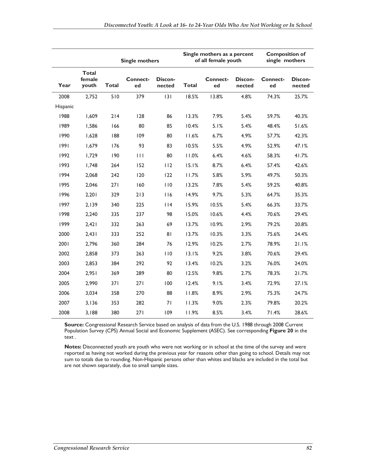|          |                                 |              | <b>Single mothers</b> |                   | Single mothers as a percent<br>of all female youth |                |                   |                | <b>Composition of</b><br>single mothers |  |
|----------|---------------------------------|--------------|-----------------------|-------------------|----------------------------------------------------|----------------|-------------------|----------------|-----------------------------------------|--|
| Year     | <b>Total</b><br>female<br>youth | <b>Total</b> | <b>Connect-</b><br>ed | Discon-<br>nected | <b>Total</b>                                       | Connect-<br>ed | Discon-<br>nected | Connect-<br>ed | Discon-<br>nected                       |  |
| 2008     | 2,752                           | 510          | 379                   | 3                 | 18.5%                                              | 13.8%          | 4.8%              | 74.3%          | 25.7%                                   |  |
| Hispanic |                                 |              |                       |                   |                                                    |                |                   |                |                                         |  |
| 1988     | 1,609                           | 214          | 128                   | 86                | 13.3%                                              | 7.9%           | 5.4%              | 59.7%          | 40.3%                                   |  |
| 1989     | 1,586                           | 166          | 80                    | 85                | 10.4%                                              | 5.1%           | 5.4%              | 48.4%          | 51.6%                                   |  |
| 1990     | 1,628                           | 188          | 109                   | 80                | 11.6%                                              | 6.7%           | 4.9%              | 57.7%          | 42.3%                                   |  |
| 1991     | 1,679                           | 176          | 93                    | 83                | 10.5%                                              | 5.5%           | 4.9%              | 52.9%          | 47.1%                                   |  |
| 1992     | 1,729                           | 190          | $\mathbf{H}$          | 80                | 11.0%                                              | 6.4%           | 4.6%              | 58.3%          | 41.7%                                   |  |
| 1993     | 1.748                           | 264          | 152                   | 112               | 15.1%                                              | 8.7%           | 6.4%              | 57.4%          | 42.6%                                   |  |
| 1994     | 2,068                           | 242          | 120                   | 122               | 11.7%                                              | 5.8%           | 5.9%              | 49.7%          | 50.3%                                   |  |
| 1995     | 2,046                           | 271          | 160                   | 110               | 13.2%                                              | 7.8%           | 5.4%              | 59.2%          | 40.8%                                   |  |
| 1996     | 2,201                           | 329          | 213                   | 116               | 14.9%                                              | 9.7%           | 5.3%              | 64.7%          | 35.3%                                   |  |
| 1997     | 2,139                           | 340          | 225                   | 114               | 15.9%                                              | 10.5%          | 5.4%              | 66.3%          | 33.7%                                   |  |
| 1998     | 2,240                           | 335          | 237                   | 98                | 15.0%                                              | 10.6%          | 4.4%              | 70.6%          | 29.4%                                   |  |
| 1999     | 2,421                           | 332          | 263                   | 69                | 13.7%                                              | 10.9%          | 2.9%              | 79.2%          | 20.8%                                   |  |
| 2000     | 2,431                           | 333          | 252                   | 81                | 13.7%                                              | 10.3%          | 3.3%              | 75.6%          | 24.4%                                   |  |
| 2001     | 2,796                           | 360          | 284                   | 76                | 12.9%                                              | 10.2%          | 2.7%              | 78.9%          | 21.1%                                   |  |
| 2002     | 2,858                           | 373          | 263                   | 110               | 13.1%                                              | 9.2%           | 3.8%              | 70.6%          | 29.4%                                   |  |
| 2003     | 2,853                           | 384          | 292                   | 92                | 13.4%                                              | 10.2%          | 3.2%              | 76.0%          | 24.0%                                   |  |
| 2004     | 2,951                           | 369          | 289                   | 80                | 12.5%                                              | 9.8%           | 2.7%              | 78.3%          | 21.7%                                   |  |
| 2005     | 2,990                           | 371          | 271                   | 100               | 12.4%                                              | 9.1%           | 3.4%              | 72.9%          | 27.1%                                   |  |
| 2006     | 3,034                           | 358          | 270                   | 88                | 11.8%                                              | 8.9%           | 2.9%              | 75.3%          | 24.7%                                   |  |
| 2007     | 3,136                           | 353          | 282                   | 71                | 11.3%                                              | 9.0%           | 2.3%              | 79.8%          | 20.2%                                   |  |
| 2008     | 3,188                           | 380          | 271                   | 109               | 11.9%                                              | 8.5%           | 3.4%              | 71.4%          | 28.6%                                   |  |

**Source:** Congressional Research Service based on analysis of data from the U.S. 1988 through 2008 Current Population Survey (CPS) Annual Social and Economic Supplement (ASEC). See corresponding **Figure 20** in the text .

**Notes:** Disconnected youth are youth who were not working or in school at the time of the survey and were reported as having not worked during the previous year for reasons other than going to school. Details may not sum to totals due to rounding. Non-Hispanic persons other than whites and blacks are included in the total but are not shown separately, due to small sample sizes.